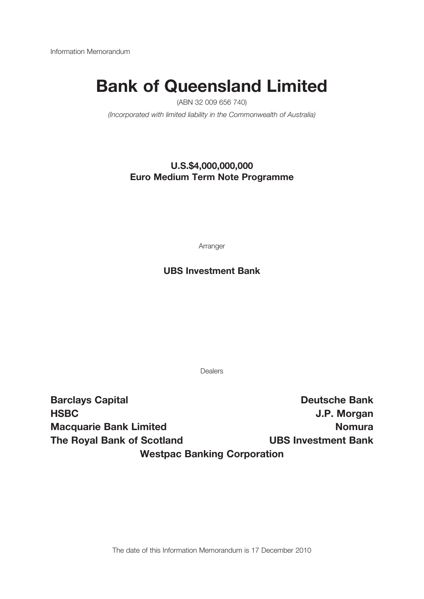Information Memorandum

# **Bank of Queensland Limited**

(ABN 32 009 656 740)

(Incorporated with limited liability in the Commonwealth of Australia)

## **U.S.\$4,000,000,000 Euro Medium Term Note Programme**

Arranger

## **UBS Investment Bank**

Dealers

**Barclays Capital Deutsche Bank HSBC J.P. Morgan Macquarie Bank Limited Nomura The Royal Bank of Scotland UBS Investment Bank Westpac Banking Corporation**

The date of this Information Memorandum is 17 December 2010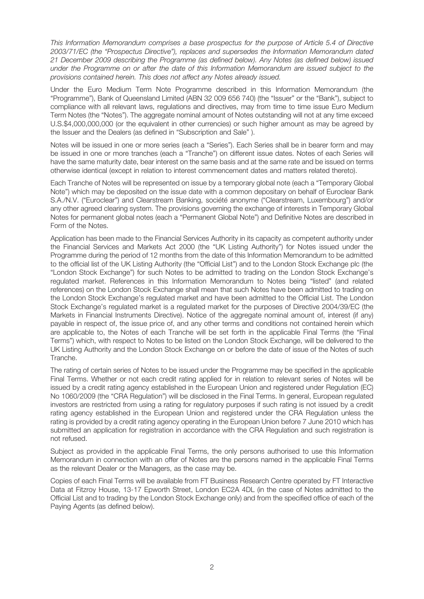This Information Memorandum comprises a base prospectus for the purpose of Article 5.4 of Directive 2003/71/EC (the "Prospectus Directive"), replaces and supersedes the Information Memorandum dated 21 December 2009 describing the Programme (as defined below). Any Notes (as defined below) issued under the Programme on or after the date of this Information Memorandum are issued subject to the provisions contained herein. This does not affect any Notes already issued.

Under the Euro Medium Term Note Programme described in this Information Memorandum (the "Programme"), Bank of Queensland Limited (ABN 32 009 656 740) (the "Issuer" or the "Bank"), subject to compliance with all relevant laws, regulations and directives, may from time to time issue Euro Medium Term Notes (the "Notes"). The aggregate nominal amount of Notes outstanding will not at any time exceed U.S.\$4,000,000,000 (or the equivalent in other currencies) or such higher amount as may be agreed by the Issuer and the Dealers (as defined in "Subscription and Sale" ).

Notes will be issued in one or more series (each a "Series"). Each Series shall be in bearer form and may be issued in one or more tranches (each a "Tranche") on different issue dates. Notes of each Series will have the same maturity date, bear interest on the same basis and at the same rate and be issued on terms otherwise identical (except in relation to interest commencement dates and matters related thereto).

Each Tranche of Notes will be represented on issue by a temporary global note (each a "Temporary Global Note") which may be deposited on the issue date with a common depositary on behalf of Euroclear Bank S.A./N.V. ("Euroclear") and Clearstream Banking, société anonyme ("Clearstream, Luxembourg") and/or any other agreed clearing system. The provisions governing the exchange of interests in Temporary Global Notes for permanent global notes (each a "Permanent Global Note") and Definitive Notes are described in Form of the Notes.

Application has been made to the Financial Services Authority in its capacity as competent authority under the Financial Services and Markets Act 2000 (the "UK Listing Authority") for Notes issued under the Programme during the period of 12 months from the date of this Information Memorandum to be admitted to the official list of the UK Listing Authority (the "Official List") and to the London Stock Exchange plc (the "London Stock Exchange") for such Notes to be admitted to trading on the London Stock Exchange's regulated market. References in this Information Memorandum to Notes being "listed" (and related references) on the London Stock Exchange shall mean that such Notes have been admitted to trading on the London Stock Exchange's regulated market and have been admitted to the Official List. The London Stock Exchange's regulated market is a regulated market for the purposes of Directive 2004/39/EC (the Markets in Financial Instruments Directive). Notice of the aggregate nominal amount of, interest (if any) payable in respect of, the issue price of, and any other terms and conditions not contained herein which are applicable to, the Notes of each Tranche will be set forth in the applicable Final Terms (the "Final Terms") which, with respect to Notes to be listed on the London Stock Exchange, will be delivered to the UK Listing Authority and the London Stock Exchange on or before the date of issue of the Notes of such Tranche.

The rating of certain series of Notes to be issued under the Programme may be specified in the applicable Final Terms. Whether or not each credit rating applied for in relation to relevant series of Notes will be issued by a credit rating agency established in the European Union and registered under Regulation (EC) No 1060/2009 (the "CRA Regulation") will be disclosed in the Final Terms. In general, European regulated investors are restricted from using a rating for regulatory purposes if such rating is not issued by a credit rating agency established in the European Union and registered under the CRA Regulation unless the rating is provided by a credit rating agency operating in the European Union before 7 June 2010 which has submitted an application for registration in accordance with the CRA Regulation and such registration is not refused.

Subject as provided in the applicable Final Terms, the only persons authorised to use this Information Memorandum in connection with an offer of Notes are the persons named in the applicable Final Terms as the relevant Dealer or the Managers, as the case may be.

Copies of each Final Terms will be available from FT Business Research Centre operated by FT Interactive Data at Fitzroy House, 13-17 Epworth Street, London EC2A 4DL (in the case of Notes admitted to the Official List and to trading by the London Stock Exchange only) and from the specified office of each of the Paying Agents (as defined below).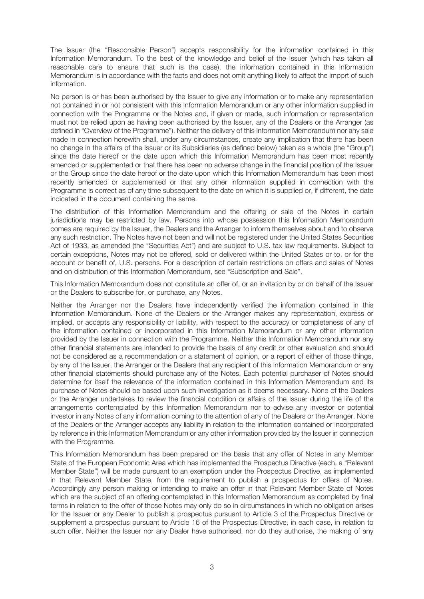The Issuer (the "Responsible Person") accepts responsibility for the information contained in this Information Memorandum. To the best of the knowledge and belief of the Issuer (which has taken all reasonable care to ensure that such is the case), the information contained in this Information Memorandum is in accordance with the facts and does not omit anything likely to affect the import of such information.

No person is or has been authorised by the Issuer to give any information or to make any representation not contained in or not consistent with this Information Memorandum or any other information supplied in connection with the Programme or the Notes and, if given or made, such information or representation must not be relied upon as having been authorised by the Issuer, any of the Dealers or the Arranger (as defined in "Overview of the Programme"). Neither the delivery of this Information Memorandum nor any sale made in connection herewith shall, under any circumstances, create any implication that there has been no change in the affairs of the Issuer or its Subsidiaries (as defined below) taken as a whole (the "Group") since the date hereof or the date upon which this Information Memorandum has been most recently amended or supplemented or that there has been no adverse change in the financial position of the Issuer or the Group since the date hereof or the date upon which this Information Memorandum has been most recently amended or supplemented or that any other information supplied in connection with the Programme is correct as of any time subsequent to the date on which it is supplied or, if different, the date indicated in the document containing the same.

The distribution of this Information Memorandum and the offering or sale of the Notes in certain jurisdictions may be restricted by law. Persons into whose possession this Information Memorandum comes are required by the Issuer, the Dealers and the Arranger to inform themselves about and to observe any such restriction. The Notes have not been and will not be registered under the United States Securities Act of 1933, as amended (the "Securities Act") and are subject to U.S. tax law requirements. Subject to certain exceptions, Notes may not be offered, sold or delivered within the United States or to, or for the account or benefit of, U.S. persons. For a description of certain restrictions on offers and sales of Notes and on distribution of this Information Memorandum, see "Subscription and Sale".

This Information Memorandum does not constitute an offer of, or an invitation by or on behalf of the Issuer or the Dealers to subscribe for, or purchase, any Notes.

Neither the Arranger nor the Dealers have independently verified the information contained in this Information Memorandum. None of the Dealers or the Arranger makes any representation, express or implied, or accepts any responsibility or liability, with respect to the accuracy or completeness of any of the information contained or incorporated in this Information Memorandum or any other information provided by the Issuer in connection with the Programme. Neither this Information Memorandum nor any other financial statements are intended to provide the basis of any credit or other evaluation and should not be considered as a recommendation or a statement of opinion, or a report of either of those things, by any of the Issuer, the Arranger or the Dealers that any recipient of this Information Memorandum or any other financial statements should purchase any of the Notes. Each potential purchaser of Notes should determine for itself the relevance of the information contained in this Information Memorandum and its purchase of Notes should be based upon such investigation as it deems necessary. None of the Dealers or the Arranger undertakes to review the financial condition or affairs of the Issuer during the life of the arrangements contemplated by this Information Memorandum nor to advise any investor or potential investor in any Notes of any information coming to the attention of any of the Dealers or the Arranger. None of the Dealers or the Arranger accepts any liability in relation to the information contained or incorporated by reference in this Information Memorandum or any other information provided by the Issuer in connection with the Programme.

This Information Memorandum has been prepared on the basis that any offer of Notes in any Member State of the European Economic Area which has implemented the Prospectus Directive (each, a "Relevant Member State") will be made pursuant to an exemption under the Prospectus Directive, as implemented in that Relevant Member State, from the requirement to publish a prospectus for offers of Notes. Accordingly any person making or intending to make an offer in that Relevant Member State of Notes which are the subject of an offering contemplated in this Information Memorandum as completed by final terms in relation to the offer of those Notes may only do so in circumstances in which no obligation arises for the Issuer or any Dealer to publish a prospectus pursuant to Article 3 of the Prospectus Directive or supplement a prospectus pursuant to Article 16 of the Prospectus Directive, in each case, in relation to such offer. Neither the Issuer nor any Dealer have authorised, nor do they authorise, the making of any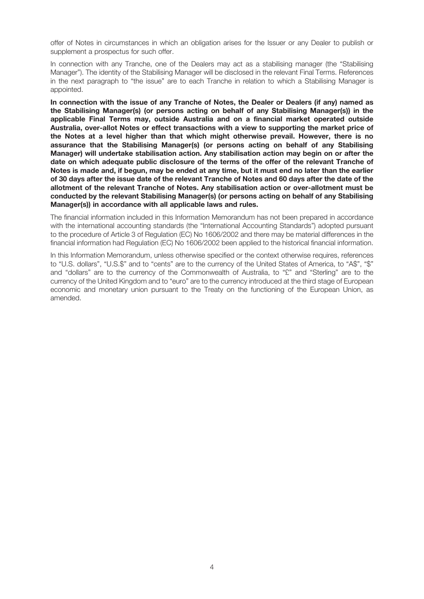offer of Notes in circumstances in which an obligation arises for the Issuer or any Dealer to publish or supplement a prospectus for such offer.

In connection with any Tranche, one of the Dealers may act as a stabilising manager (the "Stabilising Manager"). The identity of the Stabilising Manager will be disclosed in the relevant Final Terms. References in the next paragraph to "the issue" are to each Tranche in relation to which a Stabilising Manager is appointed.

**In connection with the issue of any Tranche of Notes, the Dealer or Dealers (if any) named as the Stabilising Manager(s) (or persons acting on behalf of any Stabilising Manager(s)) in the applicable Final Terms may, outside Australia and on a financial market operated outside Australia, over-allot Notes or effect transactions with a view to supporting the market price of the Notes at a level higher than that which might otherwise prevail. However, there is no assurance that the Stabilising Manager(s) (or persons acting on behalf of any Stabilising Manager) will undertake stabilisation action. Any stabilisation action may begin on or after the date on which adequate public disclosure of the terms of the offer of the relevant Tranche of** Notes is made and, if begun, may be ended at any time, but it must end no later than the earlier of 30 days after the issue date of the relevant Tranche of Notes and 60 days after the date of the **allotment of the relevant Tranche of Notes. Any stabilisation action or over-allotment must be conducted by the relevant Stabilising Manager(s) (or persons acting on behalf of any Stabilising Manager(s)) in accordance with all applicable laws and rules.**

The financial information included in this Information Memorandum has not been prepared in accordance with the international accounting standards (the "International Accounting Standards") adopted pursuant to the procedure of Article 3 of Regulation (EC) No 1606/2002 and there may be material differences in the financial information had Regulation (EC) No 1606/2002 been applied to the historical financial information.

In this Information Memorandum, unless otherwise specified or the context otherwise requires, references to "U.S. dollars", "U.S.\$" and to "cents" are to the currency of the United States of America, to "A\$", "\$" and "dollars" are to the currency of the Commonwealth of Australia, to "£" and "Sterling" are to the currency of the United Kingdom and to "euro" are to the currency introduced at the third stage of European economic and monetary union pursuant to the Treaty on the functioning of the European Union, as amended.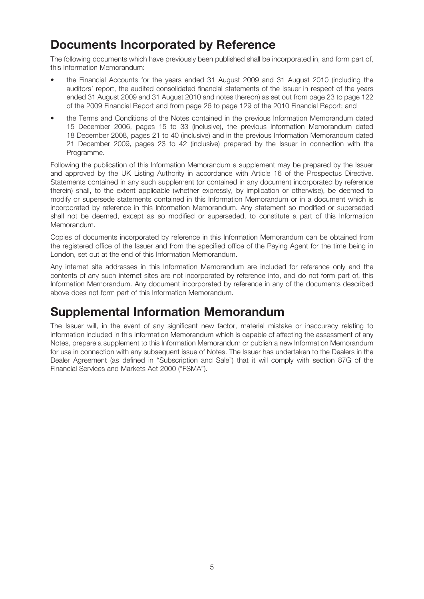## **Documents Incorporated by Reference**

The following documents which have previously been published shall be incorporated in, and form part of, this Information Memorandum:

- the Financial Accounts for the years ended 31 August 2009 and 31 August 2010 (including the auditors' report, the audited consolidated financial statements of the Issuer in respect of the years ended 31 August 2009 and 31 August 2010 and notes thereon) as set out from page 23 to page 122 of the 2009 Financial Report and from page 26 to page 129 of the 2010 Financial Report; and
- the Terms and Conditions of the Notes contained in the previous Information Memorandum dated 15 December 2006, pages 15 to 33 (inclusive), the previous Information Memorandum dated 18 December 2008, pages 21 to 40 (inclusive) and in the previous Information Memorandum dated 21 December 2009, pages 23 to 42 (inclusive) prepared by the Issuer in connection with the Programme.

Following the publication of this Information Memorandum a supplement may be prepared by the Issuer and approved by the UK Listing Authority in accordance with Article 16 of the Prospectus Directive. Statements contained in any such supplement (or contained in any document incorporated by reference therein) shall, to the extent applicable (whether expressly, by implication or otherwise), be deemed to modify or supersede statements contained in this Information Memorandum or in a document which is incorporated by reference in this Information Memorandum. Any statement so modified or superseded shall not be deemed, except as so modified or superseded, to constitute a part of this Information Memorandum.

Copies of documents incorporated by reference in this Information Memorandum can be obtained from the registered office of the Issuer and from the specified office of the Paying Agent for the time being in London, set out at the end of this Information Memorandum.

Any internet site addresses in this Information Memorandum are included for reference only and the contents of any such internet sites are not incorporated by reference into, and do not form part of, this Information Memorandum. Any document incorporated by reference in any of the documents described above does not form part of this Information Memorandum.

## **Supplemental Information Memorandum**

The Issuer will, in the event of any significant new factor, material mistake or inaccuracy relating to information included in this Information Memorandum which is capable of affecting the assessment of any Notes, prepare a supplement to this Information Memorandum or publish a new Information Memorandum for use in connection with any subsequent issue of Notes. The Issuer has undertaken to the Dealers in the Dealer Agreement (as defined in "Subscription and Sale") that it will comply with section 87G of the Financial Services and Markets Act 2000 ("FSMA").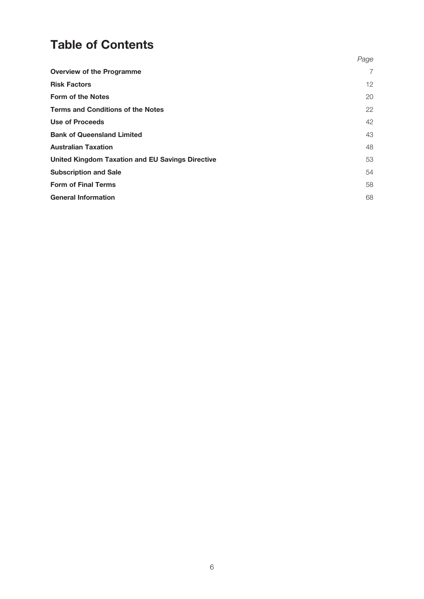## **Table of Contents**

|                                                         | Page           |
|---------------------------------------------------------|----------------|
| <b>Overview of the Programme</b>                        | $\overline{7}$ |
| <b>Risk Factors</b>                                     | 12             |
| <b>Form of the Notes</b>                                | 20             |
| <b>Terms and Conditions of the Notes</b>                | 22             |
| Use of Proceeds                                         | 42             |
| <b>Bank of Queensland Limited</b>                       | 43             |
| <b>Australian Taxation</b>                              | 48             |
| <b>United Kingdom Taxation and EU Savings Directive</b> | 53             |
| <b>Subscription and Sale</b>                            | 54             |
| <b>Form of Final Terms</b>                              | 58             |
| <b>General Information</b>                              | 68             |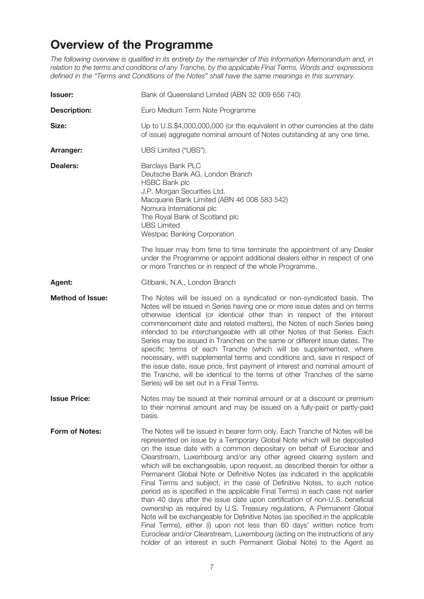## **Overview of the Programme**

The following overview is qualified in its entirety by the remainder of this Information Memorandum and, in relation to the terms and conditions of any Tranche, by the applicable Final Terms. Words and expressions defined in the "Terms and Conditions of the Notes" shall have the same meanings in this summary.

| <b>Issuer:</b>          | Bank of Queensland Limited (ABN 32 009 656 740)                                                                                                                                                                                                                                                                                                                                                                                                                                                                                                                                                                                                                                                                                                                                                                                                                                                                                                                                                                                                                                                                |
|-------------------------|----------------------------------------------------------------------------------------------------------------------------------------------------------------------------------------------------------------------------------------------------------------------------------------------------------------------------------------------------------------------------------------------------------------------------------------------------------------------------------------------------------------------------------------------------------------------------------------------------------------------------------------------------------------------------------------------------------------------------------------------------------------------------------------------------------------------------------------------------------------------------------------------------------------------------------------------------------------------------------------------------------------------------------------------------------------------------------------------------------------|
| <b>Description:</b>     | Euro Medium Term Note Programme                                                                                                                                                                                                                                                                                                                                                                                                                                                                                                                                                                                                                                                                                                                                                                                                                                                                                                                                                                                                                                                                                |
| Size:                   | Up to U.S.\$4,000,000,000 (or the equivalent in other currencies at the date<br>of issue) aggregate nominal amount of Notes outstanding at any one time.                                                                                                                                                                                                                                                                                                                                                                                                                                                                                                                                                                                                                                                                                                                                                                                                                                                                                                                                                       |
| Arranger:               | UBS Limited ("UBS").                                                                                                                                                                                                                                                                                                                                                                                                                                                                                                                                                                                                                                                                                                                                                                                                                                                                                                                                                                                                                                                                                           |
| <b>Dealers:</b>         | Barclays Bank PLC<br>Deutsche Bank AG, London Branch<br><b>HSBC Bank plc</b><br>J.P. Morgan Securities Ltd.<br>Macquarie Bank Limited (ABN 46 008 583 542)<br>Nomura International plc<br>The Royal Bank of Scotland plc<br><b>UBS Limited</b><br>Westpac Banking Corporation<br>The Issuer may from time to time terminate the appointment of any Dealer                                                                                                                                                                                                                                                                                                                                                                                                                                                                                                                                                                                                                                                                                                                                                      |
|                         | under the Programme or appoint additional dealers either in respect of one<br>or more Tranches or in respect of the whole Programme.                                                                                                                                                                                                                                                                                                                                                                                                                                                                                                                                                                                                                                                                                                                                                                                                                                                                                                                                                                           |
| Agent:                  | Citibank, N.A., London Branch                                                                                                                                                                                                                                                                                                                                                                                                                                                                                                                                                                                                                                                                                                                                                                                                                                                                                                                                                                                                                                                                                  |
| <b>Method of Issue:</b> | The Notes will be issued on a syndicated or non-syndicated basis. The<br>Notes will be issued in Series having one or more issue dates and on terms<br>otherwise identical (or identical other than in respect of the interest<br>commencement date and related matters), the Notes of each Series being<br>intended to be interchangeable with all other Notes of that Series. Each<br>Series may be issued in Tranches on the same or different issue dates. The<br>specific terms of each Tranche (which will be supplemented, where<br>necessary, with supplemental terms and conditions and, save in respect of<br>the issue date, issue price, first payment of interest and nominal amount of<br>the Tranche, will be identical to the terms of other Tranches of the same<br>Series) will be set out in a Final Terms.                                                                                                                                                                                                                                                                                 |
| <b>Issue Price:</b>     | Notes may be issued at their nominal amount or at a discount or premium<br>to their nominal amount and may be issued on a fully-paid or partly-paid<br>basis.                                                                                                                                                                                                                                                                                                                                                                                                                                                                                                                                                                                                                                                                                                                                                                                                                                                                                                                                                  |
| <b>Form of Notes:</b>   | The Notes will be issued in bearer form only. Each Tranche of Notes will be<br>represented on issue by a Temporary Global Note which will be deposited<br>on the issue date with a common depositary on behalf of Euroclear and<br>Clearstream, Luxembourg and/or any other agreed clearing system and<br>which will be exchangeable, upon request, as described therein for either a<br>Permanent Global Note or Definitive Notes (as indicated in the applicable<br>Final Terms and subject, in the case of Definitive Notes, to such notice<br>period as is specified in the applicable Final Terms) in each case not earlier<br>than 40 days after the issue date upon certification of non-U.S. beneficial<br>ownership as required by U.S. Treasury regulations. A Permanent Global<br>Note will be exchangeable for Definitive Notes (as specified in the applicable<br>Final Terms), either (i) upon not less than 60 days' written notice from<br>Euroclear and/or Clearstream, Luxembourg (acting on the instructions of any<br>holder of an interest in such Permanent Global Note) to the Agent as |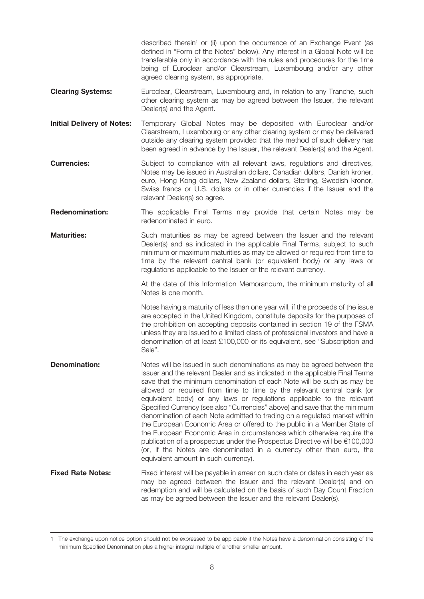described therein<sup>1</sup> or (ii) upon the occurrence of an Exchange Event (as defined in "Form of the Notes" below). Any interest in a Global Note will be transferable only in accordance with the rules and procedures for the time being of Euroclear and/or Clearstream, Luxembourg and/or any other agreed clearing system, as appropriate.

- **Clearing Systems:** Euroclear, Clearstream, Luxembourg and, in relation to any Tranche, such other clearing system as may be agreed between the Issuer, the relevant Dealer(s) and the Agent.
- **Initial Delivery of Notes:** Temporary Global Notes may be deposited with Euroclear and/or Clearstream, Luxembourg or any other clearing system or may be delivered outside any clearing system provided that the method of such delivery has been agreed in advance by the Issuer, the relevant Dealer(s) and the Agent.
- **Currencies:** Subject to compliance with all relevant laws, regulations and directives, Notes may be issued in Australian dollars, Canadian dollars, Danish kroner, euro, Hong Kong dollars, New Zealand dollars, Sterling, Swedish kronor, Swiss francs or U.S. dollars or in other currencies if the Issuer and the relevant Dealer(s) so agree.
- **Redenomination:** The applicable Final Terms may provide that certain Notes may be redenominated in euro.
- **Maturities:** Such maturities as may be agreed between the Issuer and the relevant Dealer(s) and as indicated in the applicable Final Terms, subject to such minimum or maximum maturities as may be allowed or required from time to time by the relevant central bank (or equivalent body) or any laws or regulations applicable to the Issuer or the relevant currency.

At the date of this Information Memorandum, the minimum maturity of all Notes is one month.

Notes having a maturity of less than one year will, if the proceeds of the issue are accepted in the United Kingdom, constitute deposits for the purposes of the prohibition on accepting deposits contained in section 19 of the FSMA unless they are issued to a limited class of professional investors and have a denomination of at least £100,000 or its equivalent, see "Subscription and Sale".

- **Denomination:** Notes will be issued in such denominations as may be agreed between the Issuer and the relevant Dealer and as indicated in the applicable Final Terms save that the minimum denomination of each Note will be such as may be allowed or required from time to time by the relevant central bank (or equivalent body) or any laws or regulations applicable to the relevant Specified Currency (see also "Currencies" above) and save that the minimum denomination of each Note admitted to trading on a regulated market within the European Economic Area or offered to the public in a Member State of the European Economic Area in circumstances which otherwise require the publication of a prospectus under the Prospectus Directive will be €100,000 (or, if the Notes are denominated in a currency other than euro, the equivalent amount in such currency).
- **Fixed Rate Notes:** Fixed interest will be payable in arrear on such date or dates in each year as may be agreed between the Issuer and the relevant Dealer(s) and on redemption and will be calculated on the basis of such Day Count Fraction as may be agreed between the Issuer and the relevant Dealer(s).

<sup>1</sup> The exchange upon notice option should not be expressed to be applicable if the Notes have a denomination consisting of the minimum Specified Denomination plus a higher integral multiple of another smaller amount.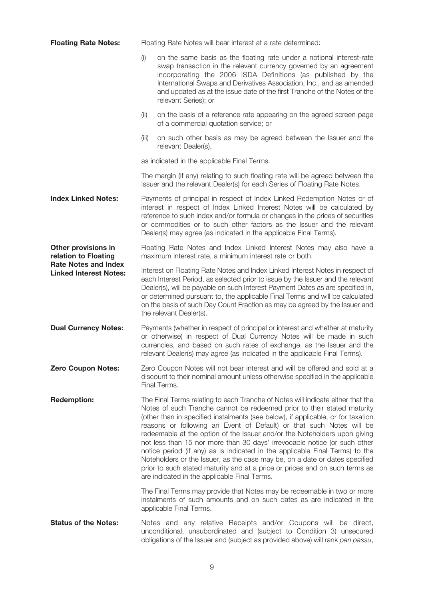| <b>Floating Rate Notes:</b>                                                                                 | Floating Rate Notes will bear interest at a rate determined:                                                                                                                                                                                                                                                                                                                        |                                                                                                                                                                                                                                                                                                                                                                                                                                                                                                                                                                                                                                                                                                                                                                                |  |
|-------------------------------------------------------------------------------------------------------------|-------------------------------------------------------------------------------------------------------------------------------------------------------------------------------------------------------------------------------------------------------------------------------------------------------------------------------------------------------------------------------------|--------------------------------------------------------------------------------------------------------------------------------------------------------------------------------------------------------------------------------------------------------------------------------------------------------------------------------------------------------------------------------------------------------------------------------------------------------------------------------------------------------------------------------------------------------------------------------------------------------------------------------------------------------------------------------------------------------------------------------------------------------------------------------|--|
|                                                                                                             | (i)                                                                                                                                                                                                                                                                                                                                                                                 | on the same basis as the floating rate under a notional interest-rate<br>swap transaction in the relevant currency governed by an agreement<br>incorporating the 2006 ISDA Definitions (as published by the<br>International Swaps and Derivatives Association, Inc., and as amended<br>and updated as at the issue date of the first Tranche of the Notes of the<br>relevant Series); or                                                                                                                                                                                                                                                                                                                                                                                      |  |
|                                                                                                             | (ii)                                                                                                                                                                                                                                                                                                                                                                                | on the basis of a reference rate appearing on the agreed screen page<br>of a commercial quotation service; or                                                                                                                                                                                                                                                                                                                                                                                                                                                                                                                                                                                                                                                                  |  |
|                                                                                                             | (iii)                                                                                                                                                                                                                                                                                                                                                                               | on such other basis as may be agreed between the Issuer and the<br>relevant Dealer(s),                                                                                                                                                                                                                                                                                                                                                                                                                                                                                                                                                                                                                                                                                         |  |
|                                                                                                             |                                                                                                                                                                                                                                                                                                                                                                                     | as indicated in the applicable Final Terms.                                                                                                                                                                                                                                                                                                                                                                                                                                                                                                                                                                                                                                                                                                                                    |  |
|                                                                                                             |                                                                                                                                                                                                                                                                                                                                                                                     | The margin (if any) relating to such floating rate will be agreed between the<br>Issuer and the relevant Dealer(s) for each Series of Floating Rate Notes.                                                                                                                                                                                                                                                                                                                                                                                                                                                                                                                                                                                                                     |  |
| <b>Index Linked Notes:</b>                                                                                  | Payments of principal in respect of Index Linked Redemption Notes or of<br>interest in respect of Index Linked Interest Notes will be calculated by<br>reference to such index and/or formula or changes in the prices of securities<br>or commodities or to such other factors as the Issuer and the relevant<br>Dealer(s) may agree (as indicated in the applicable Final Terms). |                                                                                                                                                                                                                                                                                                                                                                                                                                                                                                                                                                                                                                                                                                                                                                                |  |
| Other provisions in<br>relation to Floating<br><b>Rate Notes and Index</b><br><b>Linked Interest Notes:</b> |                                                                                                                                                                                                                                                                                                                                                                                     | Floating Rate Notes and Index Linked Interest Notes may also have a<br>maximum interest rate, a minimum interest rate or both.                                                                                                                                                                                                                                                                                                                                                                                                                                                                                                                                                                                                                                                 |  |
|                                                                                                             |                                                                                                                                                                                                                                                                                                                                                                                     | Interest on Floating Rate Notes and Index Linked Interest Notes in respect of<br>each Interest Period, as selected prior to issue by the Issuer and the relevant<br>Dealer(s), will be payable on such Interest Payment Dates as are specified in,<br>or determined pursuant to, the applicable Final Terms and will be calculated<br>on the basis of such Day Count Fraction as may be agreed by the Issuer and<br>the relevant Dealer(s).                                                                                                                                                                                                                                                                                                                                    |  |
| <b>Dual Currency Notes:</b>                                                                                 | Payments (whether in respect of principal or interest and whether at maturity<br>or otherwise) in respect of Dual Currency Notes will be made in such<br>currencies, and based on such rates of exchange, as the Issuer and the<br>relevant Dealer(s) may agree (as indicated in the applicable Final Terms).                                                                       |                                                                                                                                                                                                                                                                                                                                                                                                                                                                                                                                                                                                                                                                                                                                                                                |  |
| <b>Zero Coupon Notes:</b>                                                                                   | Zero Coupon Notes will not bear interest and will be offered and sold at a<br>discount to their nominal amount unless otherwise specified in the applicable<br>Final Terms.                                                                                                                                                                                                         |                                                                                                                                                                                                                                                                                                                                                                                                                                                                                                                                                                                                                                                                                                                                                                                |  |
| <b>Redemption:</b>                                                                                          |                                                                                                                                                                                                                                                                                                                                                                                     | The Final Terms relating to each Tranche of Notes will indicate either that the<br>Notes of such Tranche cannot be redeemed prior to their stated maturity<br>(other than in specified instalments (see below), if applicable, or for taxation<br>reasons or following an Event of Default) or that such Notes will be<br>redeemable at the option of the Issuer and/or the Noteholders upon giving<br>not less than 15 nor more than 30 days' irrevocable notice (or such other<br>notice period (if any) as is indicated in the applicable Final Terms) to the<br>Noteholders or the Issuer, as the case may be, on a date or dates specified<br>prior to such stated maturity and at a price or prices and on such terms as<br>are indicated in the applicable Final Terms. |  |
|                                                                                                             |                                                                                                                                                                                                                                                                                                                                                                                     | The Final Terms may provide that Notes may be redeemable in two or more<br>instalments of such amounts and on such dates as are indicated in the<br>applicable Final Terms.                                                                                                                                                                                                                                                                                                                                                                                                                                                                                                                                                                                                    |  |
| <b>Status of the Notes:</b>                                                                                 |                                                                                                                                                                                                                                                                                                                                                                                     | Notes and any relative Receipts and/or Coupons will be direct,<br>unconditional, unsubordinated and (subject to Condition 3) unsecured<br>obligations of the Issuer and (subject as provided above) will rank pari passu,                                                                                                                                                                                                                                                                                                                                                                                                                                                                                                                                                      |  |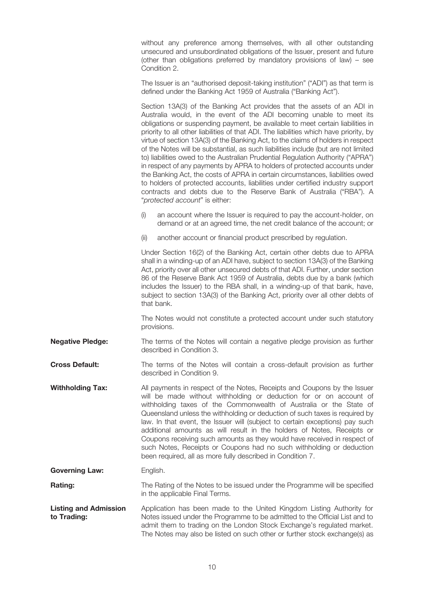without any preference among themselves, with all other outstanding unsecured and unsubordinated obligations of the Issuer, present and future (other than obligations preferred by mandatory provisions of law) – see Condition 2.

The Issuer is an "authorised deposit-taking institution" ("ADI") as that term is defined under the Banking Act 1959 of Australia ("Banking Act").

Section 13A(3) of the Banking Act provides that the assets of an ADI in Australia would, in the event of the ADI becoming unable to meet its obligations or suspending payment, be available to meet certain liabilities in priority to all other liabilities of that ADI. The liabilities which have priority, by virtue of section 13A(3) of the Banking Act, to the claims of holders in respect of the Notes will be substantial, as such liabilities include (but are not limited to) liabilities owed to the Australian Prudential Regulation Authority ("APRA") in respect of any payments by APRA to holders of protected accounts under the Banking Act, the costs of APRA in certain circumstances, liabilities owed to holders of protected accounts, liabilities under certified industry support contracts and debts due to the Reserve Bank of Australia ("RBA"). A "protected account" is either:

- (i) an account where the Issuer is required to pay the account-holder, on demand or at an agreed time, the net credit balance of the account; or
- (ii) another account or financial product prescribed by regulation.

Under Section 16(2) of the Banking Act, certain other debts due to APRA shall in a winding-up of an ADI have, subject to section 13A(3) of the Banking Act, priority over all other unsecured debts of that ADI. Further, under section 86 of the Reserve Bank Act 1959 of Australia, debts due by a bank (which includes the Issuer) to the RBA shall, in a winding-up of that bank, have, subject to section 13A(3) of the Banking Act, priority over all other debts of that bank.

The Notes would not constitute a protected account under such statutory provisions.

**Negative Pledge:** The terms of the Notes will contain a negative pledge provision as further described in Condition 3.

**Cross Default:** The terms of the Notes will contain a cross-default provision as further described in Condition 9.

**Withholding Tax:** All payments in respect of the Notes, Receipts and Coupons by the Issuer will be made without withholding or deduction for or on account of withholding taxes of the Commonwealth of Australia or the State of Queensland unless the withholding or deduction of such taxes is required by law. In that event, the Issuer will (subject to certain exceptions) pay such additional amounts as will result in the holders of Notes, Receipts or Coupons receiving such amounts as they would have received in respect of such Notes, Receipts or Coupons had no such withholding or deduction been required, all as more fully described in Condition 7.

**Governing Law:** English.

**Rating:** The Rating of the Notes to be issued under the Programme will be specified in the applicable Final Terms.

Application has been made to the United Kingdom Listing Authority for Notes issued under the Programme to be admitted to the Official List and to admit them to trading on the London Stock Exchange's regulated market. The Notes may also be listed on such other or further stock exchange(s) as **Listing and Admission to Trading:**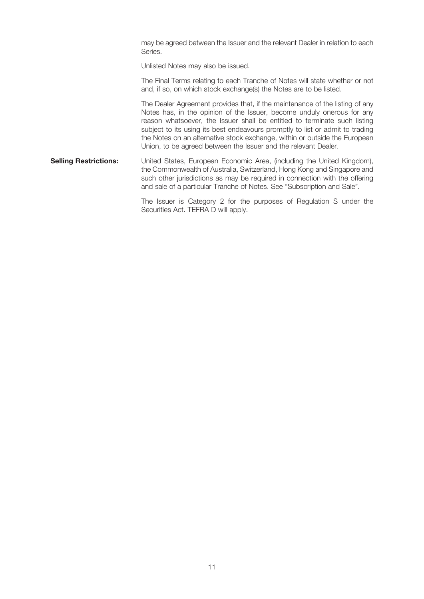may be agreed between the Issuer and the relevant Dealer in relation to each Series.

Unlisted Notes may also be issued.

The Final Terms relating to each Tranche of Notes will state whether or not and, if so, on which stock exchange(s) the Notes are to be listed.

The Dealer Agreement provides that, if the maintenance of the listing of any Notes has, in the opinion of the Issuer, become unduly onerous for any reason whatsoever, the Issuer shall be entitled to terminate such listing subject to its using its best endeavours promptly to list or admit to trading the Notes on an alternative stock exchange, within or outside the European Union, to be agreed between the Issuer and the relevant Dealer.

**Selling Restrictions:** United States, European Economic Area, (including the United Kingdom), the Commonwealth of Australia, Switzerland, Hong Kong and Singapore and such other jurisdictions as may be required in connection with the offering and sale of a particular Tranche of Notes. See "Subscription and Sale".

> The Issuer is Category 2 for the purposes of Regulation S under the Securities Act. TEFRA D will apply.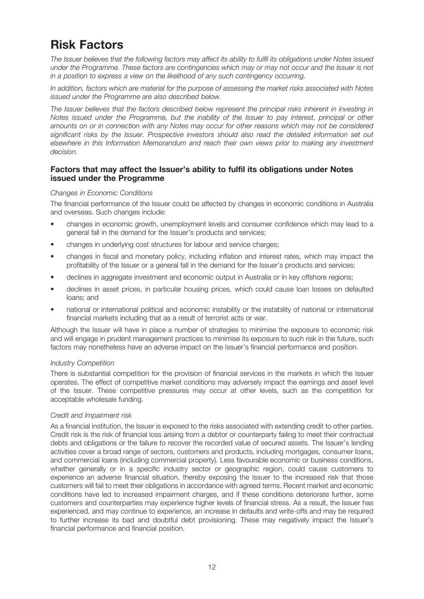## **Risk Factors**

The Issuer believes that the following factors may affect its ability to fulfil its obligations under Notes issued under the Programme. These factors are contingencies which may or may not occur and the Issuer is not in a position to express a view on the likelihood of any such contingency occurring.

In addition, factors which are material for the purpose of assessing the market risks associated with Notes issued under the Programme are also described below.

The Issuer believes that the factors described below represent the principal risks inherent in investing in Notes issued under the Programme, but the inability of the Issuer to pay interest, principal or other amounts on or in connection with any Notes may occur for other reasons which may not be considered significant risks by the Issuer. Prospective investors should also read the detailed information set out elsewhere in this Information Memorandum and reach their own views prior to making any investment decision.

## **Factors that may affect the Issuer's ability to fulfil its obligations under Notes issued under the Programme**

## Changes in Economic Conditions

The financial performance of the Issuer could be affected by changes in economic conditions in Australia and overseas. Such changes include:

- changes in economic growth, unemployment levels and consumer confidence which may lead to a general fall in the demand for the Issuer's products and services;
- changes in underlying cost structures for labour and service charges;
- changes in fiscal and monetary policy, including inflation and interest rates, which may impact the profitability of the Issuer or a general fall in the demand for the Issuer's products and services;
- declines in aggregate investment and economic output in Australia or in key offshore regions;
- declines in asset prices, in particular housing prices, which could cause loan losses on defaulted loans; and
- national or international political and economic instability or the instability of national or international financial markets including that as a result of terrorist acts or war.

Although the Issuer will have in place a number of strategies to minimise the exposure to economic risk and will engage in prudent management practices to minimise its exposure to such risk in the future, such factors may nonetheless have an adverse impact on the Issuer's financial performance and position.

## Industry Competition

There is substantial competition for the provision of financial services in the markets in which the Issuer operates. The effect of competitive market conditions may adversely impact the earnings and asset level of the Issuer. These competitive pressures may occur at other levels, such as the competition for acceptable wholesale funding.

## Credit and Impairment risk

As a financial institution, the Issuer is exposed to the risks associated with extending credit to other parties. Credit risk is the risk of financial loss arising from a debtor or counterparty failing to meet their contractual debts and obligations or the failure to recover the recorded value of secured assets. The Issuer's lending activities cover a broad range of sectors, customers and products, including mortgages, consumer loans, and commercial loans (including commercial property). Less favourable economic or business conditions, whether generally or in a specific industry sector or geographic region, could cause customers to experience an adverse financial situation, thereby exposing the Issuer to the increased risk that those customers will fail to meet their obligations in accordance with agreed terms. Recent market and economic conditions have led to increased impairment charges, and if these conditions deteriorate further, some customers and counterparties may experience higher levels of financial stress. As a result, the Issuer has experienced, and may continue to experience, an increase in defaults and write-offs and may be required to further increase its bad and doubtful debt provisioning. These may negatively impact the Issuer's financial performance and financial position.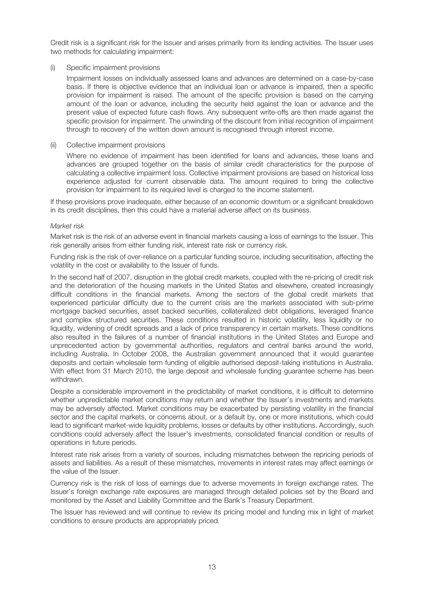Credit risk is a significant risk for the Issuer and arises primarily from its lending activities. The Issuer uses two methods for calculating impairment:

#### (i) Specific impairment provisions

Impairment losses on individually assessed loans and advances are determined on a case-by-case basis. If there is objective evidence that an individual loan or advance is impaired, then a specific provision for impairment is raised. The amount of the specific provision is based on the carrying amount of the loan or advance, including the security held against the loan or advance and the present value of expected future cash flows. Any subsequent write-offs are then made against the specific provision for impairment. The unwinding of the discount from initial recognition of impairment through to recovery of the written down amount is recognised through interest income.

### (ii) Collective impairment provisions

Where no evidence of impairment has been identified for loans and advances, these loans and advances are grouped together on the basis of similar credit characteristics for the purpose of calculating a collective impairment loss. Collective impairment provisions are based on historical loss experience adjusted for current observable data. The amount required to bring the collective provision for impairment to its required level is charged to the income statement.

If these provisions prove inadequate, either because of an economic downturn or a significant breakdown in its credit disciplines, then this could have a material adverse affect on its business.

#### Market risk

Market risk is the risk of an adverse event in financial markets causing a loss of earnings to the Issuer. This risk generally arises from either funding risk, interest rate risk or currency risk.

Funding risk is the risk of over-reliance on a particular funding source, including securitisation, affecting the volatility in the cost or availability to the Issuer of funds.

In the second half of 2007, disruption in the global credit markets, coupled with the re-pricing of credit risk and the deterioration of the housing markets in the United States and elsewhere, created increasingly difficult conditions in the financial markets. Among the sectors of the global credit markets that experienced particular difficulty due to the current crisis are the markets associated with sub-prime mortgage backed securities, asset backed securities, collateralized debt obligations, leveraged finance and complex structured securities. These conditions resulted in historic volatility, less liquidity or no liquidity, widening of credit spreads and a lack of price transparency in certain markets. These conditions also resulted in the failures of a number of financial institutions in the United States and Europe and unprecedented action by governmental authorities, regulators and central banks around the world, including Australia. In October 2008, the Australian government announced that it would guarantee deposits and certain wholesale term funding of eligible authorised deposit-taking institutions in Australia. With effect from 31 March 2010, the large deposit and wholesale funding quarantee scheme has been withdrawn.

Despite a considerable improvement in the predictability of market conditions, it is difficult to determine whether unpredictable market conditions may return and whether the Issuer's investments and markets may be adversely affected. Market conditions may be exacerbated by persisting volatility in the financial sector and the capital markets, or concerns about, or a default by, one or more institutions, which could lead to significant market-wide liquidity problems, losses or defaults by other institutions. Accordingly, such conditions could adversely affect the Issuer's investments, consolidated financial condition or results of operations in future periods.

Interest rate risk arises from a variety of sources, including mismatches between the repricing periods of assets and liabilities. As a result of these mismatches, movements in interest rates may affect earnings or the value of the Issuer.

Currency risk is the risk of loss of earnings due to adverse movements in foreign exchange rates. The Issuer's foreign exchange rate exposures are managed through detailed policies set by the Board and monitored by the Asset and Liability Committee and the Bank's Treasury Department.

The Issuer has reviewed and will continue to review its pricing model and funding mix in light of market conditions to ensure products are appropriately priced.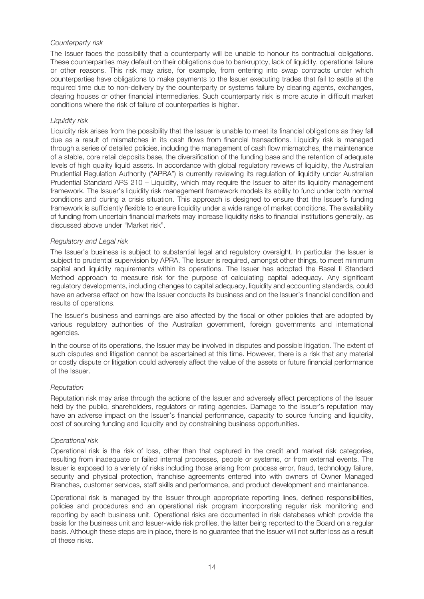## Counterparty risk

The Issuer faces the possibility that a counterparty will be unable to honour its contractual obligations. These counterparties may default on their obligations due to bankruptcy, lack of liquidity, operational failure or other reasons. This risk may arise, for example, from entering into swap contracts under which counterparties have obligations to make payments to the Issuer executing trades that fail to settle at the required time due to non-delivery by the counterparty or systems failure by clearing agents, exchanges, clearing houses or other financial intermediaries. Such counterparty risk is more acute in difficult market conditions where the risk of failure of counterparties is higher.

## Liquidity risk

Liquidity risk arises from the possibility that the Issuer is unable to meet its financial obligations as they fall due as a result of mismatches in its cash flows from financial transactions. Liquidity risk is managed through a series of detailed policies, including the management of cash flow mismatches, the maintenance of a stable, core retail deposits base, the diversification of the funding base and the retention of adequate levels of high quality liquid assets. In accordance with global regulatory reviews of liquidity, the Australian Prudential Regulation Authority ("APRA") is currently reviewing its regulation of liquidity under Australian Prudential Standard APS 210 – Liquidity, which may require the Issuer to alter its liquidity management framework. The Issuer's liquidity risk management framework models its ability to fund under both normal conditions and during a crisis situation. This approach is designed to ensure that the Issuer's funding framework is sufficiently flexible to ensure liquidity under a wide range of market conditions. The availability of funding from uncertain financial markets may increase liquidity risks to financial institutions generally, as discussed above under "Market risk".

### Regulatory and Legal risk

The Issuer's business is subject to substantial legal and regulatory oversight. In particular the Issuer is subject to prudential supervision by APRA. The Issuer is required, amongst other things, to meet minimum capital and liquidity requirements within its operations. The Issuer has adopted the Basel II Standard Method approach to measure risk for the purpose of calculating capital adequacy. Any significant regulatory developments, including changes to capital adequacy, liquidity and accounting standards, could have an adverse effect on how the Issuer conducts its business and on the Issuer's financial condition and results of operations.

The Issuer's business and earnings are also affected by the fiscal or other policies that are adopted by various regulatory authorities of the Australian government, foreign governments and international agencies.

In the course of its operations, the Issuer may be involved in disputes and possible litigation. The extent of such disputes and litigation cannot be ascertained at this time. However, there is a risk that any material or costly dispute or litigation could adversely affect the value of the assets or future financial performance of the Issuer.

## Reputation

Reputation risk may arise through the actions of the Issuer and adversely affect perceptions of the Issuer held by the public, shareholders, regulators or rating agencies. Damage to the Issuer's reputation may have an adverse impact on the Issuer's financial performance, capacity to source funding and liquidity, cost of sourcing funding and liquidity and by constraining business opportunities.

#### Operational risk

Operational risk is the risk of loss, other than that captured in the credit and market risk categories, resulting from inadequate or failed internal processes, people or systems, or from external events. The Issuer is exposed to a variety of risks including those arising from process error, fraud, technology failure, security and physical protection, franchise agreements entered into with owners of Owner Managed Branches, customer services, staff skills and performance, and product development and maintenance.

Operational risk is managed by the Issuer through appropriate reporting lines, defined responsibilities, policies and procedures and an operational risk program incorporating regular risk monitoring and reporting by each business unit. Operational risks are documented in risk databases which provide the basis for the business unit and Issuer-wide risk profiles, the latter being reported to the Board on a regular basis. Although these steps are in place, there is no guarantee that the Issuer will not suffer loss as a result of these risks.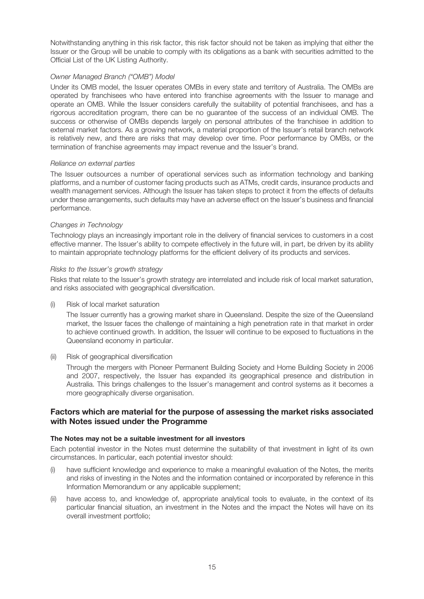Notwithstanding anything in this risk factor, this risk factor should not be taken as implying that either the Issuer or the Group will be unable to comply with its obligations as a bank with securities admitted to the Official List of the UK Listing Authority.

## Owner Managed Branch ("OMB") Model

Under its OMB model, the Issuer operates OMBs in every state and territory of Australia. The OMBs are operated by franchisees who have entered into franchise agreements with the Issuer to manage and operate an OMB. While the Issuer considers carefully the suitability of potential franchisees, and has a rigorous accreditation program, there can be no guarantee of the success of an individual OMB. The success or otherwise of OMBs depends largely on personal attributes of the franchisee in addition to external market factors. As a growing network, a material proportion of the Issuer's retail branch network is relatively new, and there are risks that may develop over time. Poor performance by OMBs, or the termination of franchise agreements may impact revenue and the Issuer's brand.

## Reliance on external parties

The Issuer outsources a number of operational services such as information technology and banking platforms, and a number of customer facing products such as ATMs, credit cards, insurance products and wealth management services. Although the Issuer has taken steps to protect it from the effects of defaults under these arrangements, such defaults may have an adverse effect on the Issuer's business and financial performance.

## Changes in Technology

Technology plays an increasingly important role in the delivery of financial services to customers in a cost effective manner. The Issuer's ability to compete effectively in the future will, in part, be driven by its ability to maintain appropriate technology platforms for the efficient delivery of its products and services.

## Risks to the Issuer's growth strategy

Risks that relate to the Issuer's growth strategy are interrelated and include risk of local market saturation, and risks associated with geographical diversification.

(i) Risk of local market saturation

The Issuer currently has a growing market share in Queensland. Despite the size of the Queensland market, the Issuer faces the challenge of maintaining a high penetration rate in that market in order to achieve continued growth. In addition, the Issuer will continue to be exposed to fluctuations in the Queensland economy in particular.

## (ii) Risk of geographical diversification

Through the mergers with Pioneer Permanent Building Society and Home Building Society in 2006 and 2007, respectively, the Issuer has expanded its geographical presence and distribution in Australia. This brings challenges to the Issuer's management and control systems as it becomes a more geographically diverse organisation.

## **Factors which are material for the purpose of assessing the market risks associated with Notes issued under the Programme**

## **The Notes may not be a suitable investment for all investors**

Each potential investor in the Notes must determine the suitability of that investment in light of its own circumstances. In particular, each potential investor should:

- (i) have sufficient knowledge and experience to make a meaningful evaluation of the Notes, the merits and risks of investing in the Notes and the information contained or incorporated by reference in this Information Memorandum or any applicable supplement;
- (ii) have access to, and knowledge of, appropriate analytical tools to evaluate, in the context of its particular financial situation, an investment in the Notes and the impact the Notes will have on its overall investment portfolio;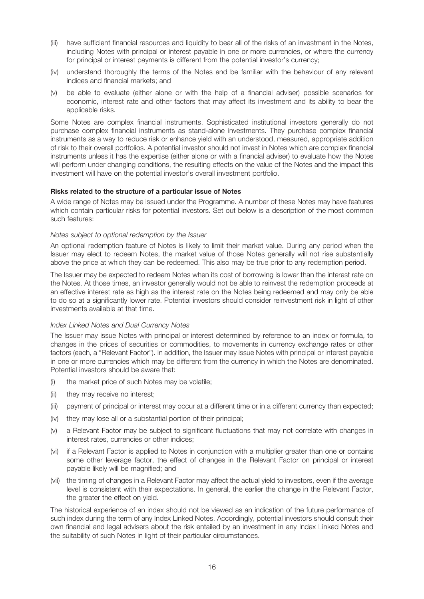- (iii) have sufficient financial resources and liquidity to bear all of the risks of an investment in the Notes, including Notes with principal or interest payable in one or more currencies, or where the currency for principal or interest payments is different from the potential investor's currency;
- (iv) understand thoroughly the terms of the Notes and be familiar with the behaviour of any relevant indices and financial markets; and
- (v) be able to evaluate (either alone or with the help of a financial adviser) possible scenarios for economic, interest rate and other factors that may affect its investment and its ability to bear the applicable risks.

Some Notes are complex financial instruments. Sophisticated institutional investors generally do not purchase complex financial instruments as stand-alone investments. They purchase complex financial instruments as a way to reduce risk or enhance yield with an understood, measured, appropriate addition of risk to their overall portfolios. A potential investor should not invest in Notes which are complex financial instruments unless it has the expertise (either alone or with a financial adviser) to evaluate how the Notes will perform under changing conditions, the resulting effects on the value of the Notes and the impact this investment will have on the potential investor's overall investment portfolio.

#### **Risks related to the structure of a particular issue of Notes**

A wide range of Notes may be issued under the Programme. A number of these Notes may have features which contain particular risks for potential investors. Set out below is a description of the most common such features:

### Notes subject to optional redemption by the Issuer

An optional redemption feature of Notes is likely to limit their market value. During any period when the Issuer may elect to redeem Notes, the market value of those Notes generally will not rise substantially above the price at which they can be redeemed. This also may be true prior to any redemption period.

The Issuer may be expected to redeem Notes when its cost of borrowing is lower than the interest rate on the Notes. At those times, an investor generally would not be able to reinvest the redemption proceeds at an effective interest rate as high as the interest rate on the Notes being redeemed and may only be able to do so at a significantly lower rate. Potential investors should consider reinvestment risk in light of other investments available at that time.

#### Index Linked Notes and Dual Currency Notes

The Issuer may issue Notes with principal or interest determined by reference to an index or formula, to changes in the prices of securities or commodities, to movements in currency exchange rates or other factors (each, a "Relevant Factor"). In addition, the Issuer may issue Notes with principal or interest payable in one or more currencies which may be different from the currency in which the Notes are denominated. Potential investors should be aware that:

- (i) the market price of such Notes may be volatile;
- (ii) they may receive no interest;
- (iii) payment of principal or interest may occur at a different time or in a different currency than expected;
- (iv) they may lose all or a substantial portion of their principal;
- (v) a Relevant Factor may be subject to significant fluctuations that may not correlate with changes in interest rates, currencies or other indices;
- (vi) if a Relevant Factor is applied to Notes in conjunction with a multiplier greater than one or contains some other leverage factor, the effect of changes in the Relevant Factor on principal or interest payable likely will be magnified; and
- (vii) the timing of changes in a Relevant Factor may affect the actual yield to investors, even if the average level is consistent with their expectations. In general, the earlier the change in the Relevant Factor, the greater the effect on yield.

The historical experience of an index should not be viewed as an indication of the future performance of such index during the term of any Index Linked Notes. Accordingly, potential investors should consult their own financial and legal advisers about the risk entailed by an investment in any Index Linked Notes and the suitability of such Notes in light of their particular circumstances.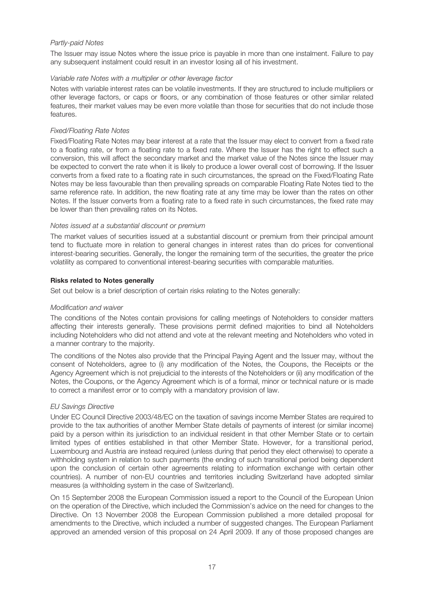## Partly-paid Notes

The Issuer may issue Notes where the issue price is payable in more than one instalment. Failure to pay any subsequent instalment could result in an investor losing all of his investment.

### Variable rate Notes with a multiplier or other leverage factor

Notes with variable interest rates can be volatile investments. If they are structured to include multipliers or other leverage factors, or caps or floors, or any combination of those features or other similar related features, their market values may be even more volatile than those for securities that do not include those features.

## Fixed/Floating Rate Notes

Fixed/Floating Rate Notes may bear interest at a rate that the Issuer may elect to convert from a fixed rate to a floating rate, or from a floating rate to a fixed rate. Where the Issuer has the right to effect such a conversion, this will affect the secondary market and the market value of the Notes since the Issuer may be expected to convert the rate when it is likely to produce a lower overall cost of borrowing. If the Issuer converts from a fixed rate to a floating rate in such circumstances, the spread on the Fixed/Floating Rate Notes may be less favourable than then prevailing spreads on comparable Floating Rate Notes tied to the same reference rate. In addition, the new floating rate at any time may be lower than the rates on other Notes. If the Issuer converts from a floating rate to a fixed rate in such circumstances, the fixed rate may be lower than then prevailing rates on its Notes.

## Notes issued at a substantial discount or premium

The market values of securities issued at a substantial discount or premium from their principal amount tend to fluctuate more in relation to general changes in interest rates than do prices for conventional interest-bearing securities. Generally, the longer the remaining term of the securities, the greater the price volatility as compared to conventional interest-bearing securities with comparable maturities.

## **Risks related to Notes generally**

Set out below is a brief description of certain risks relating to the Notes generally:

#### Modification and waiver

The conditions of the Notes contain provisions for calling meetings of Noteholders to consider matters affecting their interests generally. These provisions permit defined majorities to bind all Noteholders including Noteholders who did not attend and vote at the relevant meeting and Noteholders who voted in a manner contrary to the majority.

The conditions of the Notes also provide that the Principal Paying Agent and the Issuer may, without the consent of Noteholders, agree to (i) any modification of the Notes, the Coupons, the Receipts or the Agency Agreement which is not prejudicial to the interests of the Noteholders or (ii) any modification of the Notes, the Coupons, or the Agency Agreement which is of a formal, minor or technical nature or is made to correct a manifest error or to comply with a mandatory provision of law.

## EU Savings Directive

Under EC Council Directive 2003/48/EC on the taxation of savings income Member States are required to provide to the tax authorities of another Member State details of payments of interest (or similar income) paid by a person within its jurisdiction to an individual resident in that other Member State or to certain limited types of entities established in that other Member State. However, for a transitional period, Luxembourg and Austria are instead required (unless during that period they elect otherwise) to operate a withholding system in relation to such payments (the ending of such transitional period being dependent upon the conclusion of certain other agreements relating to information exchange with certain other countries). A number of non-EU countries and territories including Switzerland have adopted similar measures (a withholding system in the case of Switzerland).

On 15 September 2008 the European Commission issued a report to the Council of the European Union on the operation of the Directive, which included the Commission's advice on the need for changes to the Directive. On 13 November 2008 the European Commission published a more detailed proposal for amendments to the Directive, which included a number of suggested changes. The European Parliament approved an amended version of this proposal on 24 April 2009. If any of those proposed changes are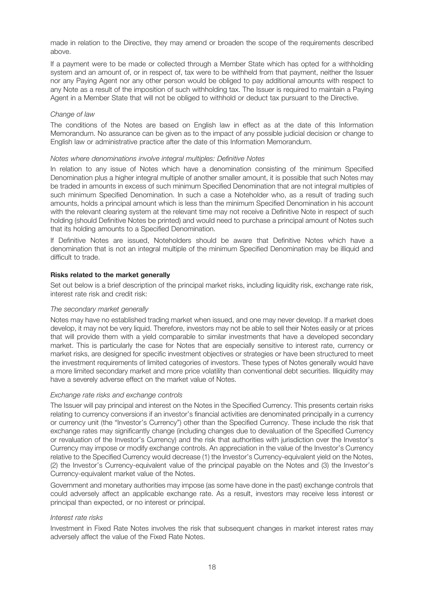made in relation to the Directive, they may amend or broaden the scope of the requirements described above.

If a payment were to be made or collected through a Member State which has opted for a withholding system and an amount of, or in respect of, tax were to be withheld from that payment, neither the Issuer nor any Paying Agent nor any other person would be obliged to pay additional amounts with respect to any Note as a result of the imposition of such withholding tax. The Issuer is required to maintain a Paying Agent in a Member State that will not be obliged to withhold or deduct tax pursuant to the Directive.

### Change of law

The conditions of the Notes are based on English law in effect as at the date of this Information Memorandum. No assurance can be given as to the impact of any possible judicial decision or change to English law or administrative practice after the date of this Information Memorandum.

### Notes where denominations involve integral multiples: Definitive Notes

In relation to any issue of Notes which have a denomination consisting of the minimum Specified Denomination plus a higher integral multiple of another smaller amount, it is possible that such Notes may be traded in amounts in excess of such minimum Specified Denomination that are not integral multiples of such minimum Specified Denomination. In such a case a Noteholder who, as a result of trading such amounts, holds a principal amount which is less than the minimum Specified Denomination in his account with the relevant clearing system at the relevant time may not receive a Definitive Note in respect of such holding (should Definitive Notes be printed) and would need to purchase a principal amount of Notes such that its holding amounts to a Specified Denomination.

If Definitive Notes are issued, Noteholders should be aware that Definitive Notes which have a denomination that is not an integral multiple of the minimum Specified Denomination may be illiquid and difficult to trade.

#### **Risks related to the market generally**

Set out below is a brief description of the principal market risks, including liquidity risk, exchange rate risk, interest rate risk and credit risk:

#### The secondary market generally

Notes may have no established trading market when issued, and one may never develop. If a market does develop, it may not be very liquid. Therefore, investors may not be able to sell their Notes easily or at prices that will provide them with a yield comparable to similar investments that have a developed secondary market. This is particularly the case for Notes that are especially sensitive to interest rate, currency or market risks, are designed for specific investment objectives or strategies or have been structured to meet the investment requirements of limited categories of investors. These types of Notes generally would have a more limited secondary market and more price volatility than conventional debt securities. Illiquidity may have a severely adverse effect on the market value of Notes.

#### Exchange rate risks and exchange controls

The Issuer will pay principal and interest on the Notes in the Specified Currency. This presents certain risks relating to currency conversions if an investor's financial activities are denominated principally in a currency or currency unit (the "Investor's Currency") other than the Specified Currency. These include the risk that exchange rates may significantly change (including changes due to devaluation of the Specified Currency or revaluation of the Investor's Currency) and the risk that authorities with jurisdiction over the Investor's Currency may impose or modify exchange controls. An appreciation in the value of the Investor's Currency relative to the Specified Currency would decrease (1) the Investor's Currency-equivalent yield on the Notes, (2) the Investor's Currency-equivalent value of the principal payable on the Notes and (3) the Investor's Currency-equivalent market value of the Notes.

Government and monetary authorities may impose (as some have done in the past) exchange controls that could adversely affect an applicable exchange rate. As a result, investors may receive less interest or principal than expected, or no interest or principal.

## Interest rate risks

Investment in Fixed Rate Notes involves the risk that subsequent changes in market interest rates may adversely affect the value of the Fixed Rate Notes.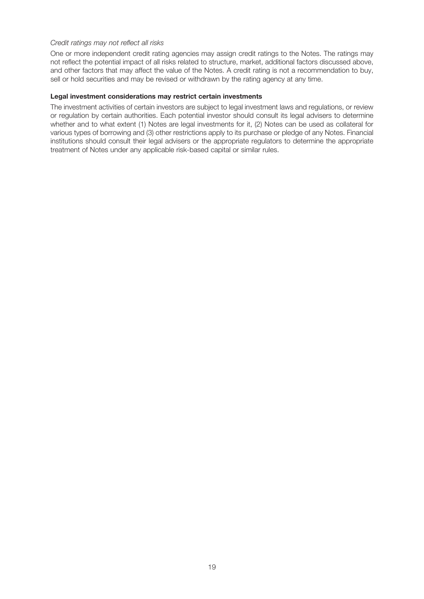## Credit ratings may not reflect all risks

One or more independent credit rating agencies may assign credit ratings to the Notes. The ratings may not reflect the potential impact of all risks related to structure, market, additional factors discussed above, and other factors that may affect the value of the Notes. A credit rating is not a recommendation to buy, sell or hold securities and may be revised or withdrawn by the rating agency at any time.

#### **Legal investment considerations may restrict certain investments**

The investment activities of certain investors are subject to legal investment laws and regulations, or review or regulation by certain authorities. Each potential investor should consult its legal advisers to determine whether and to what extent (1) Notes are legal investments for it, (2) Notes can be used as collateral for various types of borrowing and (3) other restrictions apply to its purchase or pledge of any Notes. Financial institutions should consult their legal advisers or the appropriate regulators to determine the appropriate treatment of Notes under any applicable risk-based capital or similar rules.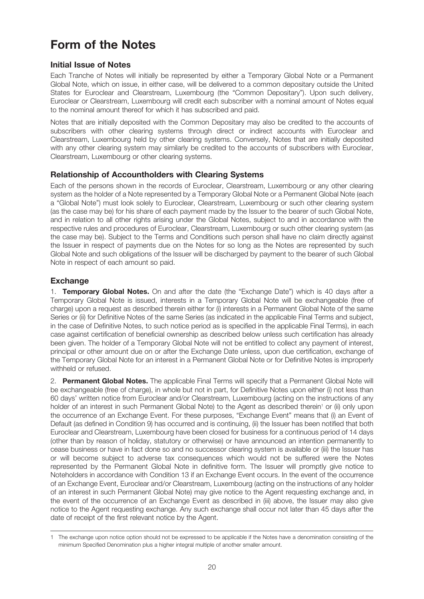## **Form of the Notes**

## **Initial Issue of Notes**

Each Tranche of Notes will initially be represented by either a Temporary Global Note or a Permanent Global Note, which on issue, in either case, will be delivered to a common depositary outside the United States for Euroclear and Clearstream, Luxembourg (the "Common Depositary"). Upon such delivery, Euroclear or Clearstream, Luxembourg will credit each subscriber with a nominal amount of Notes equal to the nominal amount thereof for which it has subscribed and paid.

Notes that are initially deposited with the Common Depositary may also be credited to the accounts of subscribers with other clearing systems through direct or indirect accounts with Euroclear and Clearstream, Luxembourg held by other clearing systems. Conversely, Notes that are initially deposited with any other clearing system may similarly be credited to the accounts of subscribers with Euroclear, Clearstream, Luxembourg or other clearing systems.

## **Relationship of Accountholders with Clearing Systems**

Each of the persons shown in the records of Euroclear, Clearstream, Luxembourg or any other clearing system as the holder of a Note represented by a Temporary Global Note or a Permanent Global Note (each a "Global Note") must look solely to Euroclear, Clearstream, Luxembourg or such other clearing system (as the case may be) for his share of each payment made by the Issuer to the bearer of such Global Note, and in relation to all other rights arising under the Global Notes, subject to and in accordance with the respective rules and procedures of Euroclear, Clearstream, Luxembourg or such other clearing system (as the case may be). Subject to the Terms and Conditions such person shall have no claim directly against the Issuer in respect of payments due on the Notes for so long as the Notes are represented by such Global Note and such obligations of the Issuer will be discharged by payment to the bearer of such Global Note in respect of each amount so paid.

## **Exchange**

1. **Temporary Global Notes.** On and after the date (the "Exchange Date") which is 40 days after a Temporary Global Note is issued, interests in a Temporary Global Note will be exchangeable (free of charge) upon a request as described therein either for (i) interests in a Permanent Global Note of the same Series or (ii) for Definitive Notes of the same Series (as indicated in the applicable Final Terms and subject, in the case of Definitive Notes, to such notice period as is specified in the applicable Final Terms), in each case against certification of beneficial ownership as described below unless such certification has already been given. The holder of a Temporary Global Note will not be entitled to collect any payment of interest, principal or other amount due on or after the Exchange Date unless, upon due certification, exchange of the Temporary Global Note for an interest in a Permanent Global Note or for Definitive Notes is improperly withheld or refused.

2. **Permanent Global Notes.** The applicable Final Terms will specify that a Permanent Global Note will be exchangeable (free of charge), in whole but not in part, for Definitive Notes upon either (i) not less than 60 days' written notice from Euroclear and/or Clearstream, Luxembourg (acting on the instructions of any holder of an interest in such Permanent Global Note) to the Agent as described therein<sup>1</sup> or (ii) only upon the occurrence of an Exchange Event. For these purposes, "Exchange Event" means that (i) an Event of Default (as defined in Condition 9) has occurred and is continuing, (ii) the Issuer has been notified that both Euroclear and Clearstream, Luxembourg have been closed for business for a continuous period of 14 days (other than by reason of holiday, statutory or otherwise) or have announced an intention permanently to cease business or have in fact done so and no successor clearing system is available or (iii) the Issuer has or will become subject to adverse tax consequences which would not be suffered were the Notes represented by the Permanent Global Note in definitive form. The Issuer will promptly give notice to Noteholders in accordance with Condition 13 if an Exchange Event occurs. In the event of the occurrence of an Exchange Event, Euroclear and/or Clearstream, Luxembourg (acting on the instructions of any holder of an interest in such Permanent Global Note) may give notice to the Agent requesting exchange and, in the event of the occurrence of an Exchange Event as described in (iii) above, the Issuer may also give notice to the Agent requesting exchange. Any such exchange shall occur not later than 45 days after the date of receipt of the first relevant notice by the Agent.

<sup>1</sup> The exchange upon notice option should not be expressed to be applicable if the Notes have a denomination consisting of the minimum Specified Denomination plus a higher integral multiple of another smaller amount.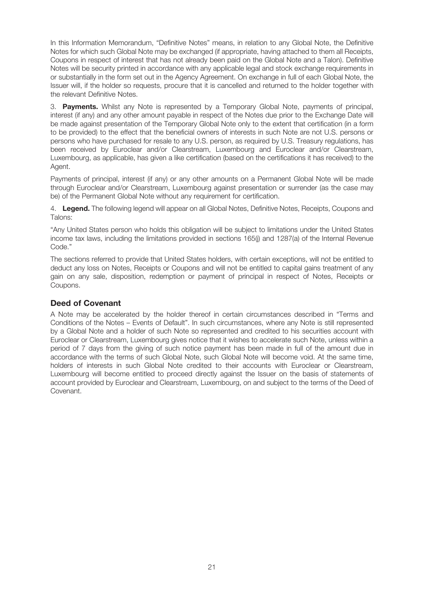In this Information Memorandum, "Definitive Notes" means, in relation to any Global Note, the Definitive Notes for which such Global Note may be exchanged (if appropriate, having attached to them all Receipts, Coupons in respect of interest that has not already been paid on the Global Note and a Talon). Definitive Notes will be security printed in accordance with any applicable legal and stock exchange requirements in or substantially in the form set out in the Agency Agreement. On exchange in full of each Global Note, the Issuer will, if the holder so requests, procure that it is cancelled and returned to the holder together with the relevant Definitive Notes.

3. **Payments.** Whilst any Note is represented by a Temporary Global Note, payments of principal, interest (if any) and any other amount payable in respect of the Notes due prior to the Exchange Date will be made against presentation of the Temporary Global Note only to the extent that certification (in a form to be provided) to the effect that the beneficial owners of interests in such Note are not U.S. persons or persons who have purchased for resale to any U.S. person, as required by U.S. Treasury regulations, has been received by Euroclear and/or Clearstream, Luxembourg and Euroclear and/or Clearstream, Luxembourg, as applicable, has given a like certification (based on the certifications it has received) to the Agent.

Payments of principal, interest (if any) or any other amounts on a Permanent Global Note will be made through Euroclear and/or Clearstream, Luxembourg against presentation or surrender (as the case may be) of the Permanent Global Note without any requirement for certification.

4. **Legend.** The following legend will appear on all Global Notes, Definitive Notes, Receipts, Coupons and Talons:

"Any United States person who holds this obligation will be subject to limitations under the United States income tax laws, including the limitations provided in sections 165(j) and 1287(a) of the Internal Revenue Code."

The sections referred to provide that United States holders, with certain exceptions, will not be entitled to deduct any loss on Notes, Receipts or Coupons and will not be entitled to capital gains treatment of any gain on any sale, disposition, redemption or payment of principal in respect of Notes, Receipts or Coupons.

## **Deed of Covenant**

A Note may be accelerated by the holder thereof in certain circumstances described in "Terms and Conditions of the Notes – Events of Default". In such circumstances, where any Note is still represented by a Global Note and a holder of such Note so represented and credited to his securities account with Euroclear or Clearstream, Luxembourg gives notice that it wishes to accelerate such Note, unless within a period of 7 days from the giving of such notice payment has been made in full of the amount due in accordance with the terms of such Global Note, such Global Note will become void. At the same time, holders of interests in such Global Note credited to their accounts with Euroclear or Clearstream, Luxembourg will become entitled to proceed directly against the Issuer on the basis of statements of account provided by Euroclear and Clearstream, Luxembourg, on and subject to the terms of the Deed of Covenant.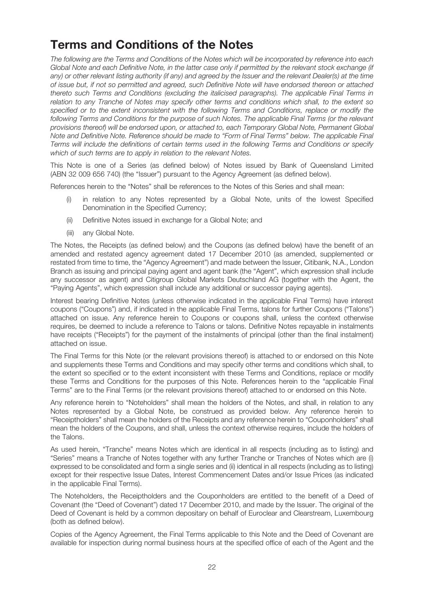## **Terms and Conditions of the Notes**

The following are the Terms and Conditions of the Notes which will be incorporated by reference into each Global Note and each Definitive Note, in the latter case only if permitted by the relevant stock exchange (if any) or other relevant listing authority (if any) and agreed by the Issuer and the relevant Dealer(s) at the time of issue but, if not so permitted and agreed, such Definitive Note will have endorsed thereon or attached thereto such Terms and Conditions (excluding the italicised paragraphs). The applicable Final Terms in relation to any Tranche of Notes may specify other terms and conditions which shall, to the extent so specified or to the extent inconsistent with the following Terms and Conditions, replace or modify the following Terms and Conditions for the purpose of such Notes. The applicable Final Terms (or the relevant provisions thereof) will be endorsed upon, or attached to, each Temporary Global Note, Permanent Global Note and Definitive Note. Reference should be made to "Form of Final Terms" below. The applicable Final Terms will include the definitions of certain terms used in the following Terms and Conditions or specify which of such terms are to apply in relation to the relevant Notes.

This Note is one of a Series (as defined below) of Notes issued by Bank of Queensland Limited (ABN 32 009 656 740) (the "Issuer") pursuant to the Agency Agreement (as defined below).

References herein to the "Notes" shall be references to the Notes of this Series and shall mean:

- (i) in relation to any Notes represented by a Global Note, units of the lowest Specified Denomination in the Specified Currency;
- (ii) Definitive Notes issued in exchange for a Global Note; and
- (iii) any Global Note.

The Notes, the Receipts (as defined below) and the Coupons (as defined below) have the benefit of an amended and restated agency agreement dated 17 December 2010 (as amended, supplemented or restated from time to time, the "Agency Agreement") and made between the Issuer, Citibank, N.A., London Branch as issuing and principal paying agent and agent bank (the "Agent", which expression shall include any successor as agent) and Citigroup Global Markets Deutschland AG (together with the Agent, the "Paying Agents", which expression shall include any additional or successor paying agents).

Interest bearing Definitive Notes (unless otherwise indicated in the applicable Final Terms) have interest coupons ("Coupons") and, if indicated in the applicable Final Terms, talons for further Coupons ("Talons") attached on issue. Any reference herein to Coupons or coupons shall, unless the context otherwise requires, be deemed to include a reference to Talons or talons. Definitive Notes repayable in instalments have receipts ("Receipts") for the payment of the instalments of principal (other than the final instalment) attached on issue.

The Final Terms for this Note (or the relevant provisions thereof) is attached to or endorsed on this Note and supplements these Terms and Conditions and may specify other terms and conditions which shall, to the extent so specified or to the extent inconsistent with these Terms and Conditions, replace or modify these Terms and Conditions for the purposes of this Note. References herein to the "applicable Final Terms" are to the Final Terms (or the relevant provisions thereof) attached to or endorsed on this Note.

Any reference herein to "Noteholders" shall mean the holders of the Notes, and shall, in relation to any Notes represented by a Global Note, be construed as provided below. Any reference herein to "Receiptholders" shall mean the holders of the Receipts and any reference herein to "Couponholders" shall mean the holders of the Coupons, and shall, unless the context otherwise requires, include the holders of the Talons.

As used herein, "Tranche" means Notes which are identical in all respects (including as to listing) and "Series" means a Tranche of Notes together with any further Tranche or Tranches of Notes which are (i) expressed to be consolidated and form a single series and (ii) identical in all respects (including as to listing) except for their respective Issue Dates, Interest Commencement Dates and/or Issue Prices (as indicated in the applicable Final Terms).

The Noteholders, the Receiptholders and the Couponholders are entitled to the benefit of a Deed of Covenant (the "Deed of Covenant") dated 17 December 2010, and made by the Issuer. The original of the Deed of Covenant is held by a common depositary on behalf of Euroclear and Clearstream, Luxembourg (both as defined below).

Copies of the Agency Agreement, the Final Terms applicable to this Note and the Deed of Covenant are available for inspection during normal business hours at the specified office of each of the Agent and the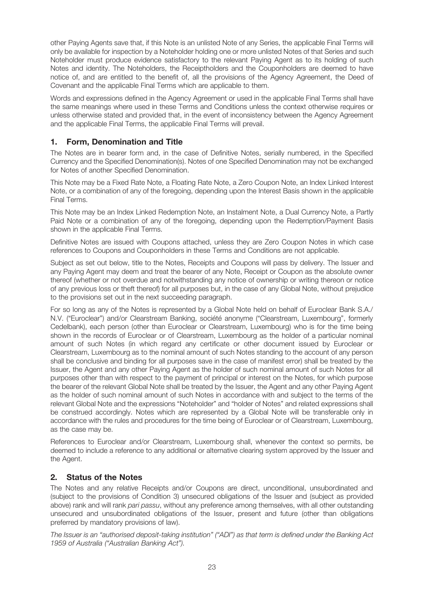other Paying Agents save that, if this Note is an unlisted Note of any Series, the applicable Final Terms will only be available for inspection by a Noteholder holding one or more unlisted Notes of that Series and such Noteholder must produce evidence satisfactory to the relevant Paying Agent as to its holding of such Notes and identity. The Noteholders, the Receiptholders and the Couponholders are deemed to have notice of, and are entitled to the benefit of, all the provisions of the Agency Agreement, the Deed of Covenant and the applicable Final Terms which are applicable to them.

Words and expressions defined in the Agency Agreement or used in the applicable Final Terms shall have the same meanings where used in these Terms and Conditions unless the context otherwise requires or unless otherwise stated and provided that, in the event of inconsistency between the Agency Agreement and the applicable Final Terms, the applicable Final Terms will prevail.

## **1. Form, Denomination and Title**

The Notes are in bearer form and, in the case of Definitive Notes, serially numbered, in the Specified Currency and the Specified Denomination(s). Notes of one Specified Denomination may not be exchanged for Notes of another Specified Denomination.

This Note may be a Fixed Rate Note, a Floating Rate Note, a Zero Coupon Note, an Index Linked Interest Note, or a combination of any of the foregoing, depending upon the Interest Basis shown in the applicable Final Terms.

This Note may be an Index Linked Redemption Note, an Instalment Note, a Dual Currency Note, a Partly Paid Note or a combination of any of the foregoing, depending upon the Redemption/Payment Basis shown in the applicable Final Terms.

Definitive Notes are issued with Coupons attached, unless they are Zero Coupon Notes in which case references to Coupons and Couponholders in these Terms and Conditions are not applicable.

Subject as set out below, title to the Notes, Receipts and Coupons will pass by delivery. The Issuer and any Paying Agent may deem and treat the bearer of any Note, Receipt or Coupon as the absolute owner thereof (whether or not overdue and notwithstanding any notice of ownership or writing thereon or notice of any previous loss or theft thereof) for all purposes but, in the case of any Global Note, without prejudice to the provisions set out in the next succeeding paragraph.

For so long as any of the Notes is represented by a Global Note held on behalf of Euroclear Bank S.A./ N.V. ("Euroclear") and/or Clearstream Banking, société anonyme ("Clearstream, Luxembourg", formerly Cedelbank), each person (other than Euroclear or Clearstream, Luxembourg) who is for the time being shown in the records of Euroclear or of Clearstream, Luxembourg as the holder of a particular nominal amount of such Notes (in which regard any certificate or other document issued by Euroclear or Clearstream, Luxembourg as to the nominal amount of such Notes standing to the account of any person shall be conclusive and binding for all purposes save in the case of manifest error) shall be treated by the Issuer, the Agent and any other Paying Agent as the holder of such nominal amount of such Notes for all purposes other than with respect to the payment of principal or interest on the Notes, for which purpose the bearer of the relevant Global Note shall be treated by the Issuer, the Agent and any other Paying Agent as the holder of such nominal amount of such Notes in accordance with and subject to the terms of the relevant Global Note and the expressions "Noteholder" and "holder of Notes" and related expressions shall be construed accordingly. Notes which are represented by a Global Note will be transferable only in accordance with the rules and procedures for the time being of Euroclear or of Clearstream, Luxembourg, as the case may be.

References to Euroclear and/or Clearstream, Luxembourg shall, whenever the context so permits, be deemed to include a reference to any additional or alternative clearing system approved by the Issuer and the Agent.

## **2. Status of the Notes**

The Notes and any relative Receipts and/or Coupons are direct, unconditional, unsubordinated and (subject to the provisions of Condition 3) unsecured obligations of the Issuer and (subject as provided above) rank and will rank pari passu, without any preference among themselves, with all other outstanding unsecured and unsubordinated obligations of the Issuer, present and future (other than obligations preferred by mandatory provisions of law).

The Issuer is an "authorised deposit-taking institution" ("ADI") as that term is defined under the Banking Act 1959 of Australia ("Australian Banking Act").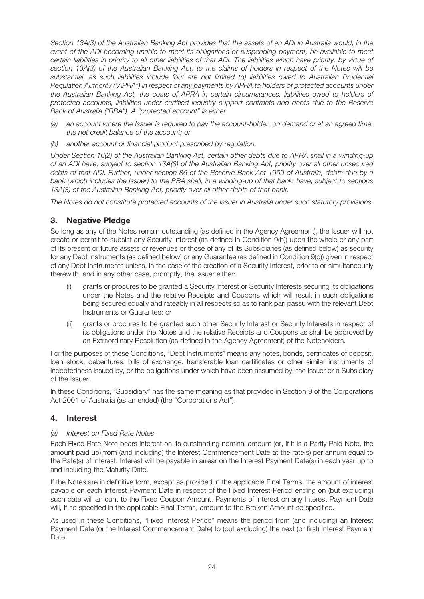Section 13A(3) of the Australian Banking Act provides that the assets of an ADI in Australia would, in the event of the ADI becoming unable to meet its obligations or suspending payment, be available to meet certain liabilities in priority to all other liabilities of that ADI. The liabilities which have priority, by virtue of section 13A(3) of the Australian Banking Act, to the claims of holders in respect of the Notes will be substantial, as such liabilities include (but are not limited to) liabilities owed to Australian Prudential Regulation Authority ("APRA") in respect of any payments by APRA to holders of protected accounts under the Australian Banking Act, the costs of APRA in certain circumstances, liabilities owed to holders of protected accounts, liabilities under certified industry support contracts and debts due to the Reserve Bank of Australia ("RBA"). A "protected account" is either

- (a) an account where the Issuer is required to pay the account-holder, on demand or at an agreed time, the net credit balance of the account; or
- (b) another account or financial product prescribed by regulation.

Under Section 16(2) of the Australian Banking Act, certain other debts due to APRA shall in a winding-up of an ADI have, subject to section 13A(3) of the Australian Banking Act, priority over all other unsecured debts of that ADI. Further, under section 86 of the Reserve Bank Act 1959 of Australia, debts due by a bank (which includes the Issuer) to the RBA shall, in a winding-up of that bank, have, subject to sections 13A(3) of the Australian Banking Act, priority over all other debts of that bank.

The Notes do not constitute protected accounts of the Issuer in Australia under such statutory provisions.

## **3. Negative Pledge**

So long as any of the Notes remain outstanding (as defined in the Agency Agreement), the Issuer will not create or permit to subsist any Security Interest (as defined in Condition 9(b)) upon the whole or any part of its present or future assets or revenues or those of any of its Subsidiaries (as defined below) as security for any Debt Instruments (as defined below) or any Guarantee (as defined in Condition 9(b)) given in respect of any Debt Instruments unless, in the case of the creation of a Security Interest, prior to or simultaneously therewith, and in any other case, promptly, the Issuer either:

- (i) grants or procures to be granted a Security Interest or Security Interests securing its obligations under the Notes and the relative Receipts and Coupons which will result in such obligations being secured equally and rateably in all respects so as to rank pari passu with the relevant Debt Instruments or Guarantee; or
- (ii) grants or procures to be granted such other Security Interest or Security Interests in respect of its obligations under the Notes and the relative Receipts and Coupons as shall be approved by an Extraordinary Resolution (as defined in the Agency Agreement) of the Noteholders.

For the purposes of these Conditions, "Debt Instruments" means any notes, bonds, certificates of deposit, loan stock, debentures, bills of exchange, transferable loan certificates or other similar instruments of indebtedness issued by, or the obligations under which have been assumed by, the Issuer or a Subsidiary of the Issuer.

In these Conditions, "Subsidiary" has the same meaning as that provided in Section 9 of the Corporations Act 2001 of Australia (as amended) (the "Corporations Act").

## **4. Interest**

## (a) Interest on Fixed Rate Notes

Each Fixed Rate Note bears interest on its outstanding nominal amount (or, if it is a Partly Paid Note, the amount paid up) from (and including) the Interest Commencement Date at the rate(s) per annum equal to the Rate(s) of Interest. Interest will be payable in arrear on the Interest Payment Date(s) in each year up to and including the Maturity Date.

If the Notes are in definitive form, except as provided in the applicable Final Terms, the amount of interest payable on each Interest Payment Date in respect of the Fixed Interest Period ending on (but excluding) such date will amount to the Fixed Coupon Amount. Payments of interest on any Interest Payment Date will, if so specified in the applicable Final Terms, amount to the Broken Amount so specified.

As used in these Conditions, "Fixed Interest Period" means the period from (and including) an Interest Payment Date (or the Interest Commencement Date) to (but excluding) the next (or first) Interest Payment Date.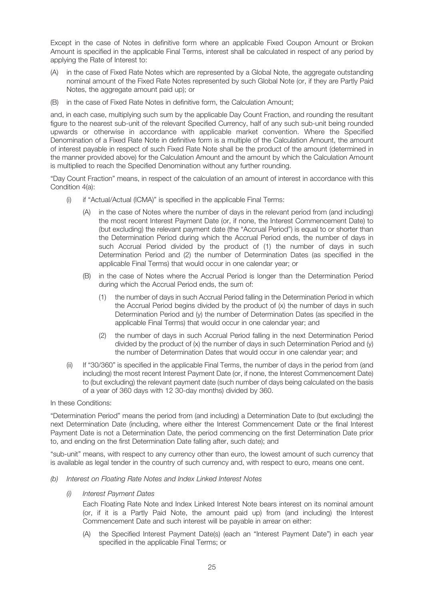Except in the case of Notes in definitive form where an applicable Fixed Coupon Amount or Broken Amount is specified in the applicable Final Terms, interest shall be calculated in respect of any period by applying the Rate of Interest to:

- (A) in the case of Fixed Rate Notes which are represented by a Global Note, the aggregate outstanding nominal amount of the Fixed Rate Notes represented by such Global Note (or, if they are Partly Paid Notes, the aggregate amount paid up); or
- (B) in the case of Fixed Rate Notes in definitive form, the Calculation Amount;

and, in each case, multiplying such sum by the applicable Day Count Fraction, and rounding the resultant figure to the nearest sub-unit of the relevant Specified Currency, half of any such sub-unit being rounded upwards or otherwise in accordance with applicable market convention. Where the Specified Denomination of a Fixed Rate Note in definitive form is a multiple of the Calculation Amount, the amount of interest payable in respect of such Fixed Rate Note shall be the product of the amount (determined in the manner provided above) for the Calculation Amount and the amount by which the Calculation Amount is multiplied to reach the Specified Denomination without any further rounding.

"Day Count Fraction" means, in respect of the calculation of an amount of interest in accordance with this Condition 4(a):

- (i) if "Actual/Actual (ICMA)" is specified in the applicable Final Terms:
	- (A) in the case of Notes where the number of days in the relevant period from (and including) the most recent Interest Payment Date (or, if none, the Interest Commencement Date) to (but excluding) the relevant payment date (the "Accrual Period") is equal to or shorter than the Determination Period during which the Accrual Period ends, the number of days in such Accrual Period divided by the product of (1) the number of days in such Determination Period and (2) the number of Determination Dates (as specified in the applicable Final Terms) that would occur in one calendar year; or
	- (B) in the case of Notes where the Accrual Period is longer than the Determination Period during which the Accrual Period ends, the sum of:
		- (1) the number of days in such Accrual Period falling in the Determination Period in which the Accrual Period begins divided by the product of (x) the number of days in such Determination Period and (y) the number of Determination Dates (as specified in the applicable Final Terms) that would occur in one calendar year; and
		- (2) the number of days in such Accrual Period falling in the next Determination Period divided by the product of  $(x)$  the number of days in such Determination Period and  $(y)$ the number of Determination Dates that would occur in one calendar year; and
- (ii) If "30/360" is specified in the applicable Final Terms, the number of days in the period from (and including) the most recent Interest Payment Date (or, if none, the Interest Commencement Date) to (but excluding) the relevant payment date (such number of days being calculated on the basis of a year of 360 days with 12 30-day months) divided by 360.

## In these Conditions:

"Determination Period" means the period from (and including) a Determination Date to (but excluding) the next Determination Date (including, where either the Interest Commencement Date or the final Interest Payment Date is not a Determination Date, the period commencing on the first Determination Date prior to, and ending on the first Determination Date falling after, such date); and

"sub-unit" means, with respect to any currency other than euro, the lowest amount of such currency that is available as legal tender in the country of such currency and, with respect to euro, means one cent.

(b) Interest on Floating Rate Notes and Index Linked Interest Notes

## (i) Interest Payment Dates

Each Floating Rate Note and Index Linked Interest Note bears interest on its nominal amount (or, if it is a Partly Paid Note, the amount paid up) from (and including) the Interest Commencement Date and such interest will be payable in arrear on either:

(A) the Specified Interest Payment Date(s) (each an "Interest Payment Date") in each year specified in the applicable Final Terms; or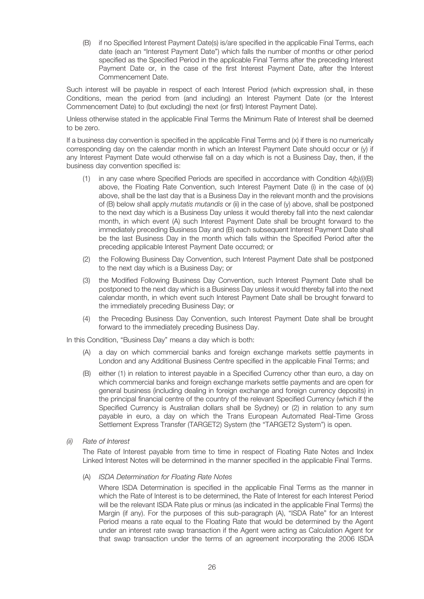(B) if no Specified Interest Payment Date(s) is/are specified in the applicable Final Terms, each date (each an "Interest Payment Date") which falls the number of months or other period specified as the Specified Period in the applicable Final Terms after the preceding Interest Payment Date or, in the case of the first Interest Payment Date, after the Interest Commencement Date.

Such interest will be payable in respect of each Interest Period (which expression shall, in these Conditions, mean the period from (and including) an Interest Payment Date (or the Interest Commencement Date) to (but excluding) the next (or first) Interest Payment Date).

Unless otherwise stated in the applicable Final Terms the Minimum Rate of Interest shall be deemed to be zero.

If a business day convention is specified in the applicable Final Terms and (x) if there is no numerically corresponding day on the calendar month in which an Interest Payment Date should occur or (y) if any Interest Payment Date would otherwise fall on a day which is not a Business Day, then, if the business day convention specified is:

- (1) in any case where Specified Periods are specified in accordance with Condition  $4(b)/i/(B)$ above, the Floating Rate Convention, such Interest Payment Date (i) in the case of (x) above, shall be the last day that is a Business Day in the relevant month and the provisions of (B) below shall apply mutatis mutandis or (ii) in the case of (y) above, shall be postponed to the next day which is a Business Day unless it would thereby fall into the next calendar month, in which event (A) such Interest Payment Date shall be brought forward to the immediately preceding Business Day and (B) each subsequent Interest Payment Date shall be the last Business Day in the month which falls within the Specified Period after the preceding applicable Interest Payment Date occurred; or
- (2) the Following Business Day Convention, such Interest Payment Date shall be postponed to the next day which is a Business Day; or
- (3) the Modified Following Business Day Convention, such Interest Payment Date shall be postponed to the next day which is a Business Day unless it would thereby fall into the next calendar month, in which event such Interest Payment Date shall be brought forward to the immediately preceding Business Day; or
- (4) the Preceding Business Day Convention, such Interest Payment Date shall be brought forward to the immediately preceding Business Day.

In this Condition, "Business Day" means a day which is both:

- (A) a day on which commercial banks and foreign exchange markets settle payments in London and any Additional Business Centre specified in the applicable Final Terms; and
- (B) either (1) in relation to interest payable in a Specified Currency other than euro, a day on which commercial banks and foreign exchange markets settle payments and are open for general business (including dealing in foreign exchange and foreign currency deposits) in the principal financial centre of the country of the relevant Specified Currency (which if the Specified Currency is Australian dollars shall be Sydney) or (2) in relation to any sum payable in euro, a day on which the Trans European Automated Real-Time Gross Settlement Express Transfer (TARGET2) System (the "TARGET2 System") is open.
- (ii) Rate of Interest

The Rate of Interest payable from time to time in respect of Floating Rate Notes and Index Linked Interest Notes will be determined in the manner specified in the applicable Final Terms.

(A) ISDA Determination for Floating Rate Notes

Where ISDA Determination is specified in the applicable Final Terms as the manner in which the Rate of Interest is to be determined, the Rate of Interest for each Interest Period will be the relevant ISDA Rate plus or minus (as indicated in the applicable Final Terms) the Margin (if any). For the purposes of this sub-paragraph (A), "ISDA Rate" for an Interest Period means a rate equal to the Floating Rate that would be determined by the Agent under an interest rate swap transaction if the Agent were acting as Calculation Agent for that swap transaction under the terms of an agreement incorporating the 2006 ISDA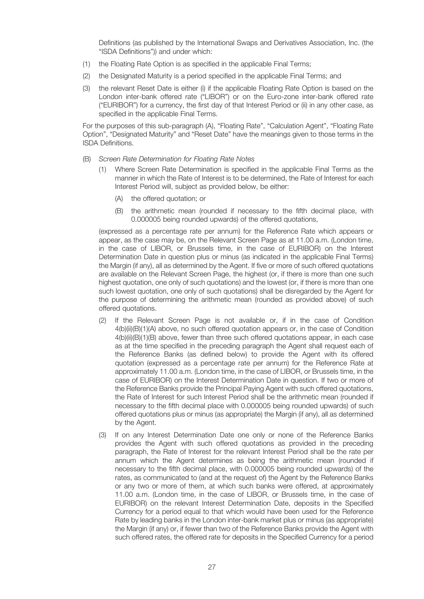Definitions (as published by the International Swaps and Derivatives Association, Inc. (the "ISDA Definitions")) and under which:

- (1) the Floating Rate Option is as specified in the applicable Final Terms;
- (2) the Designated Maturity is a period specified in the applicable Final Terms; and
- (3) the relevant Reset Date is either (i) if the applicable Floating Rate Option is based on the London inter-bank offered rate ("LIBOR") or on the Euro-zone inter-bank offered rate ("EURIBOR") for a currency, the first day of that Interest Period or (ii) in any other case, as specified in the applicable Final Terms.

For the purposes of this sub-paragraph (A), "Floating Rate", "Calculation Agent", "Floating Rate Option", "Designated Maturity" and "Reset Date" have the meanings given to those terms in the ISDA Definitions.

- (B) Screen Rate Determination for Floating Rate Notes
	- (1) Where Screen Rate Determination is specified in the applicable Final Terms as the manner in which the Rate of Interest is to be determined, the Rate of Interest for each Interest Period will, subject as provided below, be either:
		- (A) the offered quotation; or
		- (B) the arithmetic mean (rounded if necessary to the fifth decimal place, with 0.000005 being rounded upwards) of the offered quotations,

(expressed as a percentage rate per annum) for the Reference Rate which appears or appear, as the case may be, on the Relevant Screen Page as at 11.00 a.m. (London time, in the case of LIBOR, or Brussels time, in the case of EURIBOR) on the Interest Determination Date in question plus or minus (as indicated in the applicable Final Terms) the Margin (if any), all as determined by the Agent. If five or more of such offered quotations are available on the Relevant Screen Page, the highest (or, if there is more than one such highest quotation, one only of such quotations) and the lowest (or, if there is more than one such lowest quotation, one only of such quotations) shall be disregarded by the Agent for the purpose of determining the arithmetic mean (rounded as provided above) of such offered quotations.

- (2) If the Relevant Screen Page is not available or, if in the case of Condition 4(b)(ii)(B)(1)(A) above, no such offered quotation appears or, in the case of Condition 4(b)(ii)(B)(1)(B) above, fewer than three such offered quotations appear, in each case as at the time specified in the preceding paragraph the Agent shall request each of the Reference Banks (as defined below) to provide the Agent with its offered quotation (expressed as a percentage rate per annum) for the Reference Rate at approximately 11.00 a.m. (London time, in the case of LIBOR, or Brussels time, in the case of EURIBOR) on the Interest Determination Date in question. If two or more of the Reference Banks provide the Principal Paying Agent with such offered quotations, the Rate of Interest for such Interest Period shall be the arithmetic mean (rounded if necessary to the fifth decimal place with 0.000005 being rounded upwards) of such offered quotations plus or minus (as appropriate) the Margin (if any), all as determined by the Agent.
- (3) If on any Interest Determination Date one only or none of the Reference Banks provides the Agent with such offered quotations as provided in the preceding paragraph, the Rate of Interest for the relevant Interest Period shall be the rate per annum which the Agent determines as being the arithmetic mean (rounded if necessary to the fifth decimal place, with 0.000005 being rounded upwards) of the rates, as communicated to (and at the request of) the Agent by the Reference Banks or any two or more of them, at which such banks were offered, at approximately 11.00 a.m. (London time, in the case of LIBOR, or Brussels time, in the case of EURIBOR) on the relevant Interest Determination Date, deposits in the Specified Currency for a period equal to that which would have been used for the Reference Rate by leading banks in the London inter-bank market plus or minus (as appropriate) the Margin (if any) or, if fewer than two of the Reference Banks provide the Agent with such offered rates, the offered rate for deposits in the Specified Currency for a period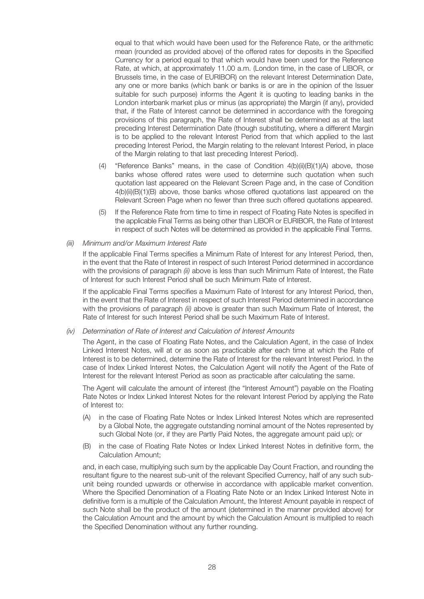equal to that which would have been used for the Reference Rate, or the arithmetic mean (rounded as provided above) of the offered rates for deposits in the Specified Currency for a period equal to that which would have been used for the Reference Rate, at which, at approximately 11.00 a.m. (London time, in the case of LIBOR, or Brussels time, in the case of EURIBOR) on the relevant Interest Determination Date, any one or more banks (which bank or banks is or are in the opinion of the Issuer suitable for such purpose) informs the Agent it is quoting to leading banks in the London interbank market plus or minus (as appropriate) the Margin (if any), provided that, if the Rate of Interest cannot be determined in accordance with the foregoing provisions of this paragraph, the Rate of Interest shall be determined as at the last preceding Interest Determination Date (though substituting, where a different Margin is to be applied to the relevant Interest Period from that which applied to the last preceding Interest Period, the Margin relating to the relevant Interest Period, in place of the Margin relating to that last preceding Interest Period).

- (4) "Reference Banks" means, in the case of Condition 4(b)(ii)(B)(1)(A) above, those banks whose offered rates were used to determine such quotation when such quotation last appeared on the Relevant Screen Page and, in the case of Condition 4(b)(ii)(B)(1)(B) above, those banks whose offered quotations last appeared on the Relevant Screen Page when no fewer than three such offered quotations appeared.
- (5) If the Reference Rate from time to time in respect of Floating Rate Notes is specified in the applicable Final Terms as being other than LIBOR or EURIBOR, the Rate of Interest in respect of such Notes will be determined as provided in the applicable Final Terms.

## (iii) Minimum and/or Maximum Interest Rate

If the applicable Final Terms specifies a Minimum Rate of Interest for any Interest Period, then, in the event that the Rate of Interest in respect of such Interest Period determined in accordance with the provisions of paragraph (ii) above is less than such Minimum Rate of Interest, the Rate of Interest for such Interest Period shall be such Minimum Rate of Interest.

If the applicable Final Terms specifies a Maximum Rate of Interest for any Interest Period, then, in the event that the Rate of Interest in respect of such Interest Period determined in accordance with the provisions of paragraph (ii) above is greater than such Maximum Rate of Interest, the Rate of Interest for such Interest Period shall be such Maximum Rate of Interest.

#### (iv) Determination of Rate of Interest and Calculation of Interest Amounts

The Agent, in the case of Floating Rate Notes, and the Calculation Agent, in the case of Index Linked Interest Notes, will at or as soon as practicable after each time at which the Rate of Interest is to be determined, determine the Rate of Interest for the relevant Interest Period. In the case of Index Linked Interest Notes, the Calculation Agent will notify the Agent of the Rate of Interest for the relevant Interest Period as soon as practicable after calculating the same.

The Agent will calculate the amount of interest (the "Interest Amount") payable on the Floating Rate Notes or Index Linked Interest Notes for the relevant Interest Period by applying the Rate of Interest to:

- in the case of Floating Rate Notes or Index Linked Interest Notes which are represented by a Global Note, the aggregate outstanding nominal amount of the Notes represented by such Global Note (or, if they are Partly Paid Notes, the aggregate amount paid up); or
- (B) in the case of Floating Rate Notes or Index Linked Interest Notes in definitive form, the Calculation Amount;

and, in each case, multiplying such sum by the applicable Day Count Fraction, and rounding the resultant figure to the nearest sub-unit of the relevant Specified Currency, half of any such subunit being rounded upwards or otherwise in accordance with applicable market convention. Where the Specified Denomination of a Floating Rate Note or an Index Linked Interest Note in definitive form is a multiple of the Calculation Amount, the Interest Amount payable in respect of such Note shall be the product of the amount (determined in the manner provided above) for the Calculation Amount and the amount by which the Calculation Amount is multiplied to reach the Specified Denomination without any further rounding.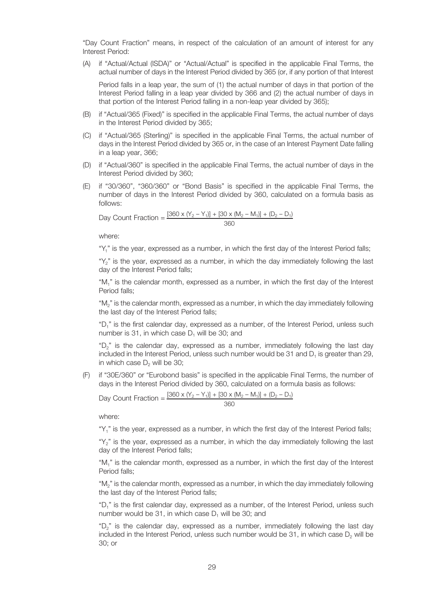"Day Count Fraction" means, in respect of the calculation of an amount of interest for any Interest Period:

(A) if "Actual/Actual (ISDA)" or "Actual/Actual" is specified in the applicable Final Terms, the actual number of days in the Interest Period divided by 365 (or, if any portion of that Interest

Period falls in a leap year, the sum of (1) the actual number of days in that portion of the Interest Period falling in a leap year divided by 366 and (2) the actual number of days in that portion of the Interest Period falling in a non-leap year divided by 365);

- (B) if "Actual/365 (Fixed)" is specified in the applicable Final Terms, the actual number of days in the Interest Period divided by 365;
- (C) if "Actual/365 (Sterling)" is specified in the applicable Final Terms, the actual number of days in the Interest Period divided by 365 or, in the case of an Interest Payment Date falling in a leap year, 366;
- (D) if "Actual/360" is specified in the applicable Final Terms, the actual number of days in the Interest Period divided by 360;
- (E) if "30/360", "360/360" or "Bond Basis" is specified in the applicable Final Terms, the number of days in the Interest Period divided by 360, calculated on a formula basis as follows:

Day Count Fraction =  $\frac{[360 \times (Y_2 - Y_1)] + [30 \times (M_2 - M_1)] + (D_2 - D_1)}{360}$ 

where:

"Y<sub>1</sub>" is the year, expressed as a number, in which the first day of the Interest Period falls;

"Y<sub>2</sub>" is the year, expressed as a number, in which the day immediately following the last day of the Interest Period falls;

" $M_1$ " is the calendar month, expressed as a number, in which the first day of the Interest Period falls;

"M2" is the calendar month, expressed as a number, in which the day immediately following the last day of the Interest Period falls;

"D1" is the first calendar day, expressed as a number, of the Interest Period, unless such number is 31, in which case  $D_1$  will be 30; and

"D<sub>2</sub>" is the calendar day, expressed as a number, immediately following the last day included in the Interest Period, unless such number would be 31 and  $D_1$  is greater than 29, in which case  $D<sub>2</sub>$  will be 30;

(F) if "30E/360" or "Eurobond basis" is specified in the applicable Final Terms, the number of days in the Interest Period divided by 360, calculated on a formula basis as follows:

Day Count Fraction =  $\frac{[360 \times (Y_2 - Y_1)] + [30 \times (M_2 - M_1)] + (D_2 - D_1)}{360}$ 

where:

"Y<sub>1</sub>" is the year, expressed as a number, in which the first day of the Interest Period falls;

" $Y_2$ " is the year, expressed as a number, in which the day immediately following the last day of the Interest Period falls;

"M1" is the calendar month, expressed as a number, in which the first day of the Interest Period falls;

"M<sub>2</sub>" is the calendar month, expressed as a number, in which the day immediately following the last day of the Interest Period falls;

"D1" is the first calendar day, expressed as a number, of the Interest Period, unless such number would be  $31$ , in which case  $D_1$  will be  $30$ ; and

"D2" is the calendar day, expressed as a number, immediately following the last day included in the Interest Period, unless such number would be  $31$ , in which case  $D<sub>2</sub>$  will be 30; or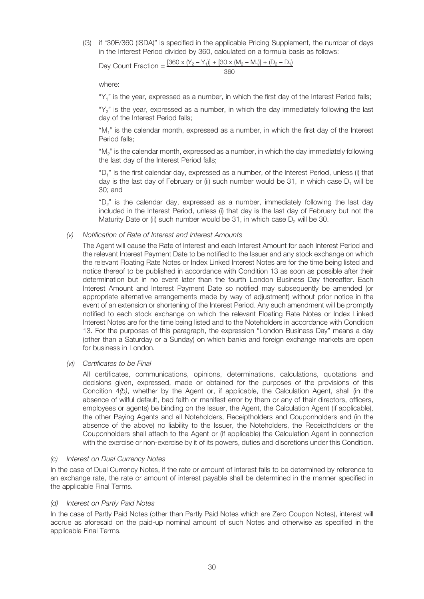(G) if "30E/360 (ISDA)" is specified in the applicable Pricing Supplement, the number of days in the Interest Period divided by 360, calculated on a formula basis as follows:

Day Count Fraction =  $\frac{[360 \times (Y_2 - Y_1)] + [30 \times (M_2 - M_1)] + (D_2 - D_1)}{360}$ 

where:

" $Y_1$ " is the year, expressed as a number, in which the first day of the Interest Period falls;

"Y<sub>2</sub>" is the year, expressed as a number, in which the day immediately following the last day of the Interest Period falls;

"M1" is the calendar month, expressed as a number, in which the first day of the Interest Period falls;

"M2" is the calendar month, expressed as a number, in which the day immediately following the last day of the Interest Period falls;

"D<sub>1</sub>" is the first calendar day, expressed as a number, of the Interest Period, unless (i) that day is the last day of February or (ii) such number would be 31, in which case  $D_1$  will be 30; and

"D<sub>2</sub>" is the calendar day, expressed as a number, immediately following the last day included in the Interest Period, unless (i) that day is the last day of February but not the Maturity Date or (ii) such number would be 31, in which case  $D<sub>2</sub>$  will be 30.

### (v) Notification of Rate of Interest and Interest Amounts

The Agent will cause the Rate of Interest and each Interest Amount for each Interest Period and the relevant Interest Payment Date to be notified to the Issuer and any stock exchange on which the relevant Floating Rate Notes or Index Linked Interest Notes are for the time being listed and notice thereof to be published in accordance with Condition 13 as soon as possible after their determination but in no event later than the fourth London Business Day thereafter. Each Interest Amount and Interest Payment Date so notified may subsequently be amended (or appropriate alternative arrangements made by way of adjustment) without prior notice in the event of an extension or shortening of the Interest Period. Any such amendment will be promptly notified to each stock exchange on which the relevant Floating Rate Notes or Index Linked Interest Notes are for the time being listed and to the Noteholders in accordance with Condition 13. For the purposes of this paragraph, the expression "London Business Day" means a day (other than a Saturday or a Sunday) on which banks and foreign exchange markets are open for business in London.

(vi) Certificates to be Final

All certificates, communications, opinions, determinations, calculations, quotations and decisions given, expressed, made or obtained for the purposes of the provisions of this Condition 4(b), whether by the Agent or, if applicable, the Calculation Agent, shall (in the absence of wilful default, bad faith or manifest error by them or any of their directors, officers, employees or agents) be binding on the Issuer, the Agent, the Calculation Agent (if applicable), the other Paying Agents and all Noteholders, Receiptholders and Couponholders and (in the absence of the above) no liability to the Issuer, the Noteholders, the Receiptholders or the Couponholders shall attach to the Agent or (if applicable) the Calculation Agent in connection with the exercise or non-exercise by it of its powers, duties and discretions under this Condition.

#### (c) Interest on Dual Currency Notes

In the case of Dual Currency Notes, if the rate or amount of interest falls to be determined by reference to an exchange rate, the rate or amount of interest payable shall be determined in the manner specified in the applicable Final Terms.

## (d) Interest on Partly Paid Notes

In the case of Partly Paid Notes (other than Partly Paid Notes which are Zero Coupon Notes), interest will accrue as aforesaid on the paid-up nominal amount of such Notes and otherwise as specified in the applicable Final Terms.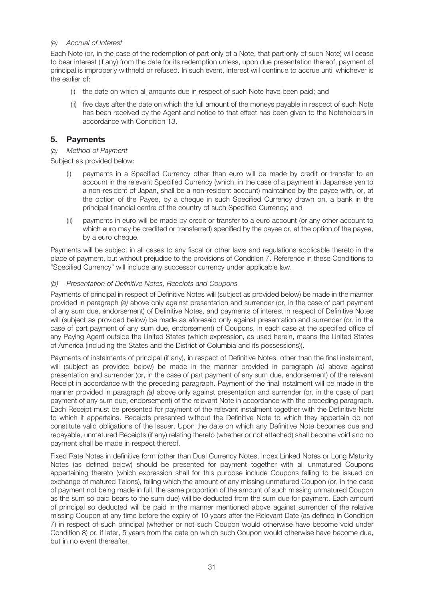## (e) Accrual of Interest

Each Note (or, in the case of the redemption of part only of a Note, that part only of such Note) will cease to bear interest (if any) from the date for its redemption unless, upon due presentation thereof, payment of principal is improperly withheld or refused. In such event, interest will continue to accrue until whichever is the earlier of:

- (i) the date on which all amounts due in respect of such Note have been paid; and
- (ii) five days after the date on which the full amount of the moneys payable in respect of such Note has been received by the Agent and notice to that effect has been given to the Noteholders in accordance with Condition 13.

## **5. Payments**

## (a) Method of Payment

Subject as provided below:

- (i) payments in a Specified Currency other than euro will be made by credit or transfer to an account in the relevant Specified Currency (which, in the case of a payment in Japanese yen to a non-resident of Japan, shall be a non-resident account) maintained by the payee with, or, at the option of the Payee, by a cheque in such Specified Currency drawn on, a bank in the principal financial centre of the country of such Specified Currency; and
- (ii) payments in euro will be made by credit or transfer to a euro account (or any other account to which euro may be credited or transferred) specified by the payee or, at the option of the payee, by a euro cheque.

Payments will be subject in all cases to any fiscal or other laws and regulations applicable thereto in the place of payment, but without prejudice to the provisions of Condition 7. Reference in these Conditions to "Specified Currency" will include any successor currency under applicable law.

## (b) Presentation of Definitive Notes, Receipts and Coupons

Payments of principal in respect of Definitive Notes will (subject as provided below) be made in the manner provided in paragraph (a) above only against presentation and surrender (or, in the case of part payment of any sum due, endorsement) of Definitive Notes, and payments of interest in respect of Definitive Notes will (subject as provided below) be made as aforesaid only against presentation and surrender (or, in the case of part payment of any sum due, endorsement) of Coupons, in each case at the specified office of any Paying Agent outside the United States (which expression, as used herein, means the United States of America (including the States and the District of Columbia and its possessions)).

Payments of instalments of principal (if any), in respect of Definitive Notes, other than the final instalment, will (subject as provided below) be made in the manner provided in paragraph (a) above against presentation and surrender (or, in the case of part payment of any sum due, endorsement) of the relevant Receipt in accordance with the preceding paragraph. Payment of the final instalment will be made in the manner provided in paragraph (a) above only against presentation and surrender (or, in the case of part payment of any sum due, endorsement) of the relevant Note in accordance with the preceding paragraph. Each Receipt must be presented for payment of the relevant instalment together with the Definitive Note to which it appertains. Receipts presented without the Definitive Note to which they appertain do not constitute valid obligations of the Issuer. Upon the date on which any Definitive Note becomes due and repayable, unmatured Receipts (if any) relating thereto (whether or not attached) shall become void and no payment shall be made in respect thereof.

Fixed Rate Notes in definitive form (other than Dual Currency Notes, Index Linked Notes or Long Maturity Notes (as defined below) should be presented for payment together with all unmatured Coupons appertaining thereto (which expression shall for this purpose include Coupons falling to be issued on exchange of matured Talons), failing which the amount of any missing unmatured Coupon (or, in the case of payment not being made in full, the same proportion of the amount of such missing unmatured Coupon as the sum so paid bears to the sum due) will be deducted from the sum due for payment. Each amount of principal so deducted will be paid in the manner mentioned above against surrender of the relative missing Coupon at any time before the expiry of 10 years after the Relevant Date (as defined in Condition 7) in respect of such principal (whether or not such Coupon would otherwise have become void under Condition 8) or, if later, 5 years from the date on which such Coupon would otherwise have become due, but in no event thereafter.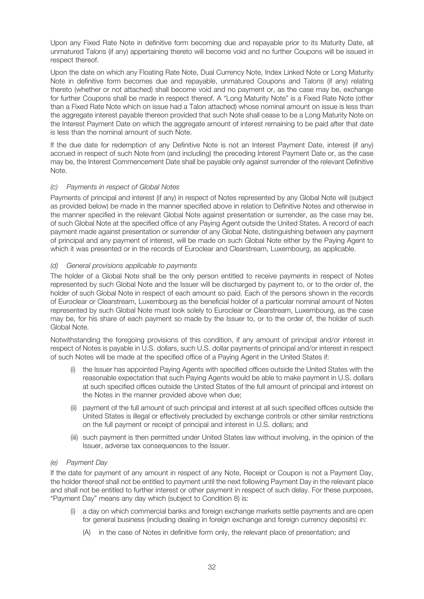Upon any Fixed Rate Note in definitive form becoming due and repayable prior to its Maturity Date, all unmatured Talons (if any) appertaining thereto will become void and no further Coupons will be issued in respect thereof.

Upon the date on which any Floating Rate Note, Dual Currency Note, Index Linked Note or Long Maturity Note in definitive form becomes due and repayable, unmatured Coupons and Talons (if any) relating thereto (whether or not attached) shall become void and no payment or, as the case may be, exchange for further Coupons shall be made in respect thereof. A "Long Maturity Note" is a Fixed Rate Note (other than a Fixed Rate Note which on issue had a Talon attached) whose nominal amount on issue is less than the aggregate interest payable thereon provided that such Note shall cease to be a Long Maturity Note on the Interest Payment Date on which the aggregate amount of interest remaining to be paid after that date is less than the nominal amount of such Note.

If the due date for redemption of any Definitive Note is not an Interest Payment Date, interest (if any) accrued in respect of such Note from (and including) the preceding Interest Payment Date or, as the case may be, the Interest Commencement Date shall be payable only against surrender of the relevant Definitive Note.

## (c) Payments in respect of Global Notes

Payments of principal and interest (if any) in respect of Notes represented by any Global Note will (subject as provided below) be made in the manner specified above in relation to Definitive Notes and otherwise in the manner specified in the relevant Global Note against presentation or surrender, as the case may be, of such Global Note at the specified office of any Paying Agent outside the United States. A record of each payment made against presentation or surrender of any Global Note, distinguishing between any payment of principal and any payment of interest, will be made on such Global Note either by the Paying Agent to which it was presented or in the records of Euroclear and Clearstream, Luxembourg, as applicable.

## (d) General provisions applicable to payments

The holder of a Global Note shall be the only person entitled to receive payments in respect of Notes represented by such Global Note and the Issuer will be discharged by payment to, or to the order of, the holder of such Global Note in respect of each amount so paid. Each of the persons shown in the records of Euroclear or Clearstream, Luxembourg as the beneficial holder of a particular nominal amount of Notes represented by such Global Note must look solely to Euroclear or Clearstream, Luxembourg, as the case may be, for his share of each payment so made by the Issuer to, or to the order of, the holder of such Global Note.

Notwithstanding the foregoing provisions of this condition, if any amount of principal and/or interest in respect of Notes is payable in U.S. dollars, such U.S. dollar payments of principal and/or interest in respect of such Notes will be made at the specified office of a Paying Agent in the United States if:

- (i) the Issuer has appointed Paying Agents with specified offices outside the United States with the reasonable expectation that such Paying Agents would be able to make payment in U.S. dollars at such specified offices outside the United States of the full amount of principal and interest on the Notes in the manner provided above when due;
- (ii) payment of the full amount of such principal and interest at all such specified offices outside the United States is illegal or effectively precluded by exchange controls or other similar restrictions on the full payment or receipt of principal and interest in U.S. dollars; and
- (iii) such payment is then permitted under United States law without involving, in the opinion of the Issuer, adverse tax consequences to the Issuer.

## (e) Payment Day

If the date for payment of any amount in respect of any Note, Receipt or Coupon is not a Payment Day, the holder thereof shall not be entitled to payment until the next following Payment Day in the relevant place and shall not be entitled to further interest or other payment in respect of such delay. For these purposes, "Payment Day" means any day which (subject to Condition 8) is:

- (i) a day on which commercial banks and foreign exchange markets settle payments and are open for general business (including dealing in foreign exchange and foreign currency deposits) in:
	- (A) in the case of Notes in definitive form only, the relevant place of presentation; and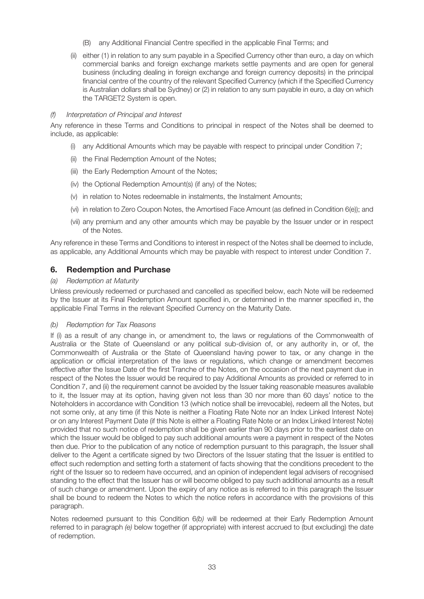- (B) any Additional Financial Centre specified in the applicable Final Terms; and
- (ii) either (1) in relation to any sum payable in a Specified Currency other than euro, a day on which commercial banks and foreign exchange markets settle payments and are open for general business (including dealing in foreign exchange and foreign currency deposits) in the principal financial centre of the country of the relevant Specified Currency (which if the Specified Currency is Australian dollars shall be Sydney) or (2) in relation to any sum payable in euro, a day on which the TARGET2 System is open.

## (f) Interpretation of Principal and Interest

Any reference in these Terms and Conditions to principal in respect of the Notes shall be deemed to include, as applicable:

- (i) any Additional Amounts which may be payable with respect to principal under Condition 7;
- (ii) the Final Redemption Amount of the Notes;
- (iii) the Early Redemption Amount of the Notes;
- (iv) the Optional Redemption Amount(s) (if any) of the Notes;
- (v) in relation to Notes redeemable in instalments, the Instalment Amounts;
- (vi) in relation to Zero Coupon Notes, the Amortised Face Amount (as defined in Condition 6(e)); and
- (vii) any premium and any other amounts which may be payable by the Issuer under or in respect of the Notes.

Any reference in these Terms and Conditions to interest in respect of the Notes shall be deemed to include, as applicable, any Additional Amounts which may be payable with respect to interest under Condition 7.

## **6. Redemption and Purchase**

## (a) Redemption at Maturity

Unless previously redeemed or purchased and cancelled as specified below, each Note will be redeemed by the Issuer at its Final Redemption Amount specified in, or determined in the manner specified in, the applicable Final Terms in the relevant Specified Currency on the Maturity Date.

## (b) Redemption for Tax Reasons

If (i) as a result of any change in, or amendment to, the laws or regulations of the Commonwealth of Australia or the State of Queensland or any political sub-division of, or any authority in, or of, the Commonwealth of Australia or the State of Queensland having power to tax, or any change in the application or official interpretation of the laws or regulations, which change or amendment becomes effective after the Issue Date of the first Tranche of the Notes, on the occasion of the next payment due in respect of the Notes the Issuer would be required to pay Additional Amounts as provided or referred to in Condition 7, and (ii) the requirement cannot be avoided by the Issuer taking reasonable measures available to it, the Issuer may at its option, having given not less than 30 nor more than 60 days' notice to the Noteholders in accordance with Condition 13 (which notice shall be irrevocable), redeem all the Notes, but not some only, at any time (if this Note is neither a Floating Rate Note nor an Index Linked Interest Note) or on any Interest Payment Date (if this Note is either a Floating Rate Note or an Index Linked Interest Note) provided that no such notice of redemption shall be given earlier than 90 days prior to the earliest date on which the Issuer would be obliged to pay such additional amounts were a payment in respect of the Notes then due. Prior to the publication of any notice of redemption pursuant to this paragraph, the Issuer shall deliver to the Agent a certificate signed by two Directors of the Issuer stating that the Issuer is entitled to effect such redemption and setting forth a statement of facts showing that the conditions precedent to the right of the Issuer so to redeem have occurred, and an opinion of independent legal advisers of recognised standing to the effect that the Issuer has or will become obliged to pay such additional amounts as a result of such change or amendment. Upon the expiry of any notice as is referred to in this paragraph the Issuer shall be bound to redeem the Notes to which the notice refers in accordance with the provisions of this paragraph.

Notes redeemed pursuant to this Condition 6(b) will be redeemed at their Early Redemption Amount referred to in paragraph (e) below together (if appropriate) with interest accrued to (but excluding) the date of redemption.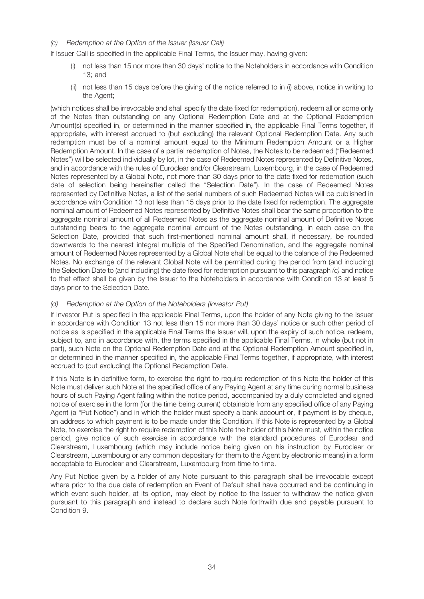## (c) Redemption at the Option of the Issuer (Issuer Call)

If Issuer Call is specified in the applicable Final Terms, the Issuer may, having given:

- (i) not less than 15 nor more than 30 days' notice to the Noteholders in accordance with Condition 13; and
- (ii) not less than 15 days before the giving of the notice referred to in (i) above, notice in writing to the Agent;

(which notices shall be irrevocable and shall specify the date fixed for redemption), redeem all or some only of the Notes then outstanding on any Optional Redemption Date and at the Optional Redemption Amount(s) specified in, or determined in the manner specified in, the applicable Final Terms together, if appropriate, with interest accrued to (but excluding) the relevant Optional Redemption Date. Any such redemption must be of a nominal amount equal to the Minimum Redemption Amount or a Higher Redemption Amount. In the case of a partial redemption of Notes, the Notes to be redeemed ("Redeemed Notes") will be selected individually by lot, in the case of Redeemed Notes represented by Definitive Notes, and in accordance with the rules of Euroclear and/or Clearstream, Luxembourg, in the case of Redeemed Notes represented by a Global Note, not more than 30 days prior to the date fixed for redemption (such date of selection being hereinafter called the "Selection Date"). In the case of Redeemed Notes represented by Definitive Notes, a list of the serial numbers of such Redeemed Notes will be published in accordance with Condition 13 not less than 15 days prior to the date fixed for redemption. The aggregate nominal amount of Redeemed Notes represented by Definitive Notes shall bear the same proportion to the aggregate nominal amount of all Redeemed Notes as the aggregate nominal amount of Definitive Notes outstanding bears to the aggregate nominal amount of the Notes outstanding, in each case on the Selection Date, provided that such first-mentioned nominal amount shall, if necessary, be rounded downwards to the nearest integral multiple of the Specified Denomination, and the aggregate nominal amount of Redeemed Notes represented by a Global Note shall be equal to the balance of the Redeemed Notes. No exchange of the relevant Global Note will be permitted during the period from (and including) the Selection Date to (and including) the date fixed for redemption pursuant to this paragraph (c) and notice to that effect shall be given by the Issuer to the Noteholders in accordance with Condition 13 at least 5 days prior to the Selection Date.

## (d) Redemption at the Option of the Noteholders (Investor Put)

If Investor Put is specified in the applicable Final Terms, upon the holder of any Note giving to the Issuer in accordance with Condition 13 not less than 15 nor more than 30 days' notice or such other period of notice as is specified in the applicable Final Terms the Issuer will, upon the expiry of such notice, redeem, subject to, and in accordance with, the terms specified in the applicable Final Terms, in whole (but not in part), such Note on the Optional Redemption Date and at the Optional Redemption Amount specified in, or determined in the manner specified in, the applicable Final Terms together, if appropriate, with interest accrued to (but excluding) the Optional Redemption Date.

If this Note is in definitive form, to exercise the right to require redemption of this Note the holder of this Note must deliver such Note at the specified office of any Paying Agent at any time during normal business hours of such Paying Agent falling within the notice period, accompanied by a duly completed and signed notice of exercise in the form (for the time being current) obtainable from any specified office of any Paying Agent (a "Put Notice") and in which the holder must specify a bank account or, if payment is by cheque, an address to which payment is to be made under this Condition. If this Note is represented by a Global Note, to exercise the right to require redemption of this Note the holder of this Note must, within the notice period, give notice of such exercise in accordance with the standard procedures of Euroclear and Clearstream, Luxembourg (which may include notice being given on his instruction by Euroclear or Clearstream, Luxembourg or any common depositary for them to the Agent by electronic means) in a form acceptable to Euroclear and Clearstream, Luxembourg from time to time.

Any Put Notice given by a holder of any Note pursuant to this paragraph shall be irrevocable except where prior to the due date of redemption an Event of Default shall have occurred and be continuing in which event such holder, at its option, may elect by notice to the Issuer to withdraw the notice given pursuant to this paragraph and instead to declare such Note forthwith due and payable pursuant to Condition 9.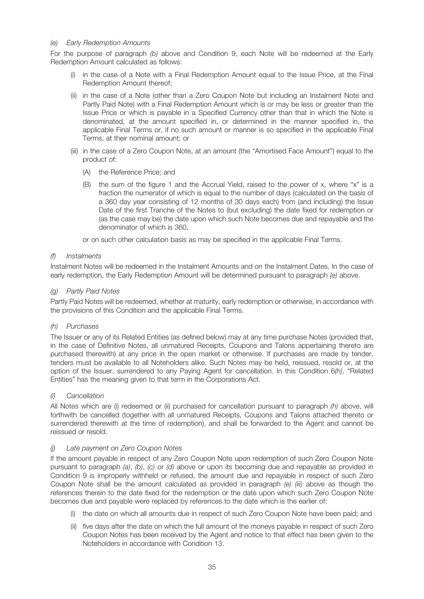## (e) Early Redemption Amounts

For the purpose of paragraph (b) above and Condition 9, each Note will be redeemed at the Early Redemption Amount calculated as follows:

- (i) in the case of a Note with a Final Redemption Amount equal to the Issue Price, at the Final Redemption Amount thereof;
- (ii) in the case of a Note (other than a Zero Coupon Note but including an Instalment Note and Partly Paid Note) with a Final Redemption Amount which is or may be less or greater than the Issue Price or which is payable in a Specified Currency other than that in which the Note is denominated, at the amount specified in, or determined in the manner specified in, the applicable Final Terms or, if no such amount or manner is so specified in the applicable Final Terms, at their nominal amount; or
- (iii) in the case of a Zero Coupon Note, at an amount (the "Amortised Face Amount") equal to the product of:
	- (A) the Reference Price; and
	- (B) the sum of the figure 1 and the Accrual Yield, raised to the power of x, where "x" is a fraction the numerator of which is equal to the number of days (calculated on the basis of a 360 day year consisting of 12 months of 30 days each) from (and including) the Issue Date of the first Tranche of the Notes to (but excluding) the date fixed for redemption or (as the case may be) the date upon which such Note becomes due and repayable and the denominator of which is 360,

or on such other calculation basis as may be specified in the applicable Final Terms.

### (f) Instalments

Instalment Notes will be redeemed in the Instalment Amounts and on the Instalment Dates. In the case of early redemption, the Early Redemption Amount will be determined pursuant to paragraph (e) above.

### (g) Partly Paid Notes

Partly Paid Notes will be redeemed, whether at maturity, early redemption or otherwise, in accordance with the provisions of this Condition and the applicable Final Terms.

## (h) Purchases

The Issuer or any of its Related Entities (as defined below) may at any time purchase Notes (provided that, in the case of Definitive Notes, all unmatured Receipts, Coupons and Talons appertaining thereto are purchased therewith) at any price in the open market or otherwise. If purchases are made by tender, tenders must be available to all Noteholders alike. Such Notes may be held, reissued, resold or, at the option of the Issuer, surrendered to any Paying Agent for cancellation. In this Condition 6(h), "Related Entities" has the meaning given to that term in the Corporations Act.

## (i) Cancellation

All Notes which are (i) redeemed or (ii) purchased for cancellation pursuant to paragraph  $(h)$  above, will forthwith be cancelled (together with all unmatured Receipts, Coupons and Talons attached thereto or surrendered therewith at the time of redemption), and shall be forwarded to the Agent and cannot be reissued or resold.

#### (j) Late payment on Zero Coupon Notes

If the amount payable in respect of any Zero Coupon Note upon redemption of such Zero Coupon Note pursuant to paragraph (a), (b), (c) or (d) above or upon its becoming due and repayable as provided in Condition 9 is improperly withheld or refused, the amount due and repayable in respect of such Zero Coupon Note shall be the amount calculated as provided in paragraph  $(e)$  (iii) above as though the references therein to the date fixed for the redemption or the date upon which such Zero Coupon Note becomes due and payable were replaced by references to the date which is the earlier of:

- (i) the date on which all amounts due in respect of such Zero Coupon Note have been paid; and
- (ii) five days after the date on which the full amount of the moneys payable in respect of such Zero Coupon Notes has been received by the Agent and notice to that effect has been given to the Noteholders in accordance with Condition 13.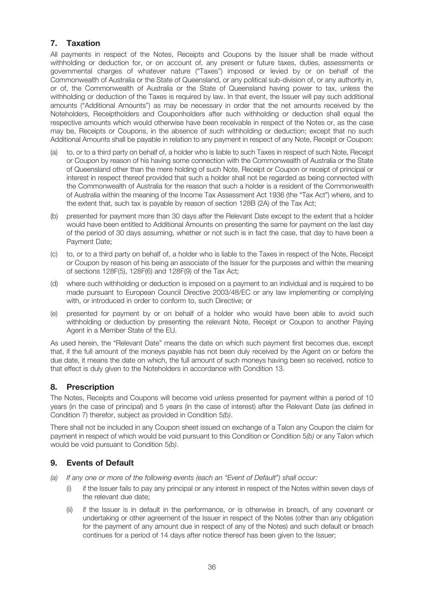## **7. Taxation**

All payments in respect of the Notes, Receipts and Coupons by the Issuer shall be made without withholding or deduction for, or on account of, any present or future taxes, duties, assessments or governmental charges of whatever nature ("Taxes") imposed or levied by or on behalf of the Commonwealth of Australia or the State of Queensland, or any political sub-division of, or any authority in, or of, the Commonwealth of Australia or the State of Queensland having power to tax, unless the withholding or deduction of the Taxes is required by law. In that event, the Issuer will pay such additional amounts ("Additional Amounts") as may be necessary in order that the net amounts received by the Noteholders, Receiptholders and Couponholders after such withholding or deduction shall equal the respective amounts which would otherwise have been receivable in respect of the Notes or, as the case may be, Receipts or Coupons, in the absence of such withholding or deduction; except that no such Additional Amounts shall be payable in relation to any payment in respect of any Note, Receipt or Coupon:

- (a) to, or to a third party on behalf of, a holder who is liable to such Taxes in respect of such Note, Receipt or Coupon by reason of his having some connection with the Commonwealth of Australia or the State of Queensland other than the mere holding of such Note, Receipt or Coupon or receipt of principal or interest in respect thereof provided that such a holder shall not be regarded as being connected with the Commonwealth of Australia for the reason that such a holder is a resident of the Commonwealth of Australia within the meaning of the Income Tax Assessment Act 1936 (the "Tax Act") where, and to the extent that, such tax is payable by reason of section 128B (2A) of the Tax Act;
- (b) presented for payment more than 30 days after the Relevant Date except to the extent that a holder would have been entitled to Additional Amounts on presenting the same for payment on the last day of the period of 30 days assuming, whether or not such is in fact the case, that day to have been a Payment Date;
- (c) to, or to a third party on behalf of, a holder who is liable to the Taxes in respect of the Note, Receipt or Coupon by reason of his being an associate of the Issuer for the purposes and within the meaning of sections 128F(5), 128F(6) and 128F(9) of the Tax Act;
- (d) where such withholding or deduction is imposed on a payment to an individual and is required to be made pursuant to European Council Directive 2003/48/EC or any law implementing or complying with, or introduced in order to conform to, such Directive; or
- (e) presented for payment by or on behalf of a holder who would have been able to avoid such withholding or deduction by presenting the relevant Note, Receipt or Coupon to another Paying Agent in a Member State of the EU.

As used herein, the "Relevant Date" means the date on which such payment first becomes due, except that, if the full amount of the moneys payable has not been duly received by the Agent on or before the due date, it means the date on which, the full amount of such moneys having been so received, notice to that effect is duly given to the Noteholders in accordance with Condition 13.

## **8. Prescription**

The Notes, Receipts and Coupons will become void unless presented for payment within a period of 10 years (in the case of principal) and 5 years (in the case of interest) after the Relevant Date (as defined in Condition 7) therefor, subject as provided in Condition 5(b).

There shall not be included in any Coupon sheet issued on exchange of a Talon any Coupon the claim for payment in respect of which would be void pursuant to this Condition or Condition 5(b) or any Talon which would be void pursuant to Condition 5(b).

## **9. Events of Default**

- (a) If any one or more of the following events (each an "Event of Default") shall occur:
	- (i) if the Issuer fails to pay any principal or any interest in respect of the Notes within seven days of the relevant due date;
	- (ii) if the Issuer is in default in the performance, or is otherwise in breach, of any covenant or undertaking or other agreement of the Issuer in respect of the Notes (other than any obligation for the payment of any amount due in respect of any of the Notes) and such default or breach continues for a period of 14 days after notice thereof has been given to the Issuer;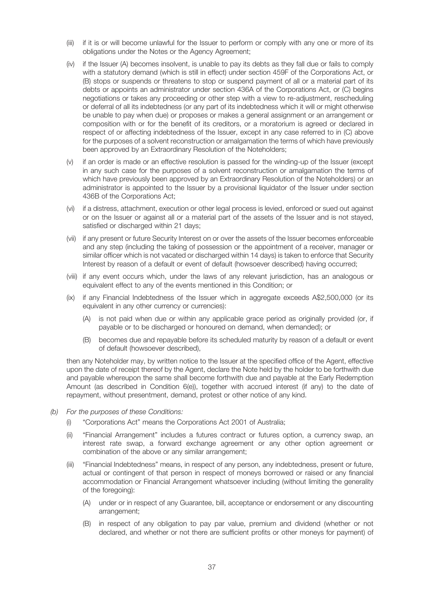- (iii) if it is or will become unlawful for the Issuer to perform or comply with any one or more of its obligations under the Notes or the Agency Agreement;
- (iv) if the Issuer (A) becomes insolvent, is unable to pay its debts as they fall due or fails to comply with a statutory demand (which is still in effect) under section 459F of the Corporations Act, or (B) stops or suspends or threatens to stop or suspend payment of all or a material part of its debts or appoints an administrator under section 436A of the Corporations Act, or (C) begins negotiations or takes any proceeding or other step with a view to re-adjustment, rescheduling or deferral of all its indebtedness (or any part of its indebtedness which it will or might otherwise be unable to pay when due) or proposes or makes a general assignment or an arrangement or composition with or for the benefit of its creditors, or a moratorium is agreed or declared in respect of or affecting indebtedness of the Issuer, except in any case referred to in (C) above for the purposes of a solvent reconstruction or amalgamation the terms of which have previously been approved by an Extraordinary Resolution of the Noteholders;
- (v) if an order is made or an effective resolution is passed for the winding-up of the Issuer (except in any such case for the purposes of a solvent reconstruction or amalgamation the terms of which have previously been approved by an Extraordinary Resolution of the Noteholders) or an administrator is appointed to the Issuer by a provisional liquidator of the Issuer under section 436B of the Corporations Act;
- (vi) if a distress, attachment, execution or other legal process is levied, enforced or sued out against or on the Issuer or against all or a material part of the assets of the Issuer and is not stayed, satisfied or discharged within 21 days;
- (vii) if any present or future Security Interest on or over the assets of the Issuer becomes enforceable and any step (including the taking of possession or the appointment of a receiver, manager or similar officer which is not vacated or discharged within 14 days) is taken to enforce that Security Interest by reason of a default or event of default (howsoever described) having occurred;
- (viii) if any event occurs which, under the laws of any relevant jurisdiction, has an analogous or equivalent effect to any of the events mentioned in this Condition; or
- (ix) if any Financial Indebtedness of the Issuer which in aggregate exceeds A\$2,500,000 (or its equivalent in any other currency or currencies):
	- (A) is not paid when due or within any applicable grace period as originally provided (or, if payable or to be discharged or honoured on demand, when demanded); or
	- (B) becomes due and repayable before its scheduled maturity by reason of a default or event of default (howsoever described),

then any Noteholder may, by written notice to the Issuer at the specified office of the Agent, effective upon the date of receipt thereof by the Agent, declare the Note held by the holder to be forthwith due and payable whereupon the same shall become forthwith due and payable at the Early Redemption Amount (as described in Condition 6(e)), together with accrued interest (if any) to the date of repayment, without presentment, demand, protest or other notice of any kind.

- (b) For the purposes of these Conditions:
	- (i) "Corporations Act" means the Corporations Act 2001 of Australia;
	- (ii) "Financial Arrangement" includes a futures contract or futures option, a currency swap, an interest rate swap, a forward exchange agreement or any other option agreement or combination of the above or any similar arrangement;
	- (iii) "Financial Indebtedness" means, in respect of any person, any indebtedness, present or future, actual or contingent of that person in respect of moneys borrowed or raised or any financial accommodation or Financial Arrangement whatsoever including (without limiting the generality of the foregoing):
		- (A) under or in respect of any Guarantee, bill, acceptance or endorsement or any discounting arrangement;
		- (B) in respect of any obligation to pay par value, premium and dividend (whether or not declared, and whether or not there are sufficient profits or other moneys for payment) of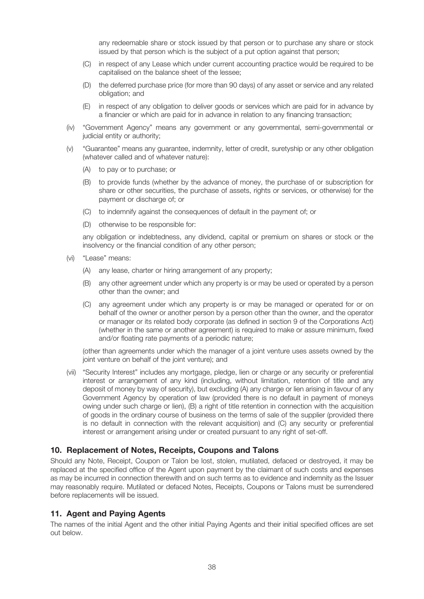any redeemable share or stock issued by that person or to purchase any share or stock issued by that person which is the subject of a put option against that person;

- (C) in respect of any Lease which under current accounting practice would be required to be capitalised on the balance sheet of the lessee;
- (D) the deferred purchase price (for more than 90 days) of any asset or service and any related obligation; and
- (E) in respect of any obligation to deliver goods or services which are paid for in advance by a financier or which are paid for in advance in relation to any financing transaction;
- (iv) "Government Agency" means any government or any governmental, semi-governmental or judicial entity or authority;
- (v) "Guarantee" means any guarantee, indemnity, letter of credit, suretyship or any other obligation (whatever called and of whatever nature):
	- (A) to pay or to purchase; or
	- (B) to provide funds (whether by the advance of money, the purchase of or subscription for share or other securities, the purchase of assets, rights or services, or otherwise) for the payment or discharge of; or
	- (C) to indemnify against the consequences of default in the payment of; or
	- (D) otherwise to be responsible for:

any obligation or indebtedness, any dividend, capital or premium on shares or stock or the insolvency or the financial condition of any other person;

- (vi) "Lease" means:
	- (A) any lease, charter or hiring arrangement of any property;
	- (B) any other agreement under which any property is or may be used or operated by a person other than the owner; and
	- (C) any agreement under which any property is or may be managed or operated for or on behalf of the owner or another person by a person other than the owner, and the operator or manager or its related body corporate (as defined in section 9 of the Corporations Act) (whether in the same or another agreement) is required to make or assure minimum, fixed and/or floating rate payments of a periodic nature;

(other than agreements under which the manager of a joint venture uses assets owned by the joint venture on behalf of the joint venture); and

(vii) "Security Interest" includes any mortgage, pledge, lien or charge or any security or preferential interest or arrangement of any kind (including, without limitation, retention of title and any deposit of money by way of security), but excluding (A) any charge or lien arising in favour of any Government Agency by operation of law (provided there is no default in payment of moneys owing under such charge or lien), (B) a right of title retention in connection with the acquisition of goods in the ordinary course of business on the terms of sale of the supplier (provided there is no default in connection with the relevant acquisition) and (C) any security or preferential interest or arrangement arising under or created pursuant to any right of set-off.

### **10. Replacement of Notes, Receipts, Coupons and Talons**

Should any Note, Receipt, Coupon or Talon be lost, stolen, mutilated, defaced or destroyed, it may be replaced at the specified office of the Agent upon payment by the claimant of such costs and expenses as may be incurred in connection therewith and on such terms as to evidence and indemnity as the Issuer may reasonably require. Mutilated or defaced Notes, Receipts, Coupons or Talons must be surrendered before replacements will be issued.

## **11. Agent and Paying Agents**

The names of the initial Agent and the other initial Paying Agents and their initial specified offices are set out below.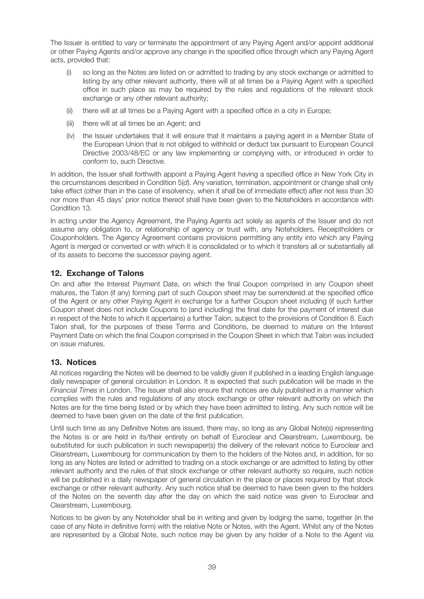The Issuer is entitled to vary or terminate the appointment of any Paying Agent and/or appoint additional or other Paying Agents and/or approve any change in the specified office through which any Paying Agent acts, provided that:

- (i) so long as the Notes are listed on or admitted to trading by any stock exchange or admitted to listing by any other relevant authority, there will at all times be a Paying Agent with a specified office in such place as may be required by the rules and regulations of the relevant stock exchange or any other relevant authority;
- (ii) there will at all times be a Paying Agent with a specified office in a city in Europe;
- (iii) there will at all times be an Agent; and
- (iv) the Issuer undertakes that it will ensure that it maintains a paying agent in a Member State of the European Union that is not obliged to withhold or deduct tax pursuant to European Council Directive 2003/48/EC or any law implementing or complying with, or introduced in order to conform to, such Directive.

In addition, the Issuer shall forthwith appoint a Paying Agent having a specified office in New York City in the circumstances described in Condition 5(d). Any variation, termination, appointment or change shall only take effect (other than in the case of insolvency, when it shall be of immediate effect) after not less than 30 nor more than 45 days' prior notice thereof shall have been given to the Noteholders in accordance with Condition 13.

In acting under the Agency Agreement, the Paying Agents act solely as agents of the Issuer and do not assume any obligation to, or relationship of agency or trust with, any Noteholders, Receiptholders or Couponholders. The Agency Agreement contains provisions permitting any entity into which any Paying Agent is merged or converted or with which it is consolidated or to which it transfers all or substantially all of its assets to become the successor paying agent.

# **12. Exchange of Talons**

On and after the Interest Payment Date, on which the final Coupon comprised in any Coupon sheet matures, the Talon (if any) forming part of such Coupon sheet may be surrendered at the specified office of the Agent or any other Paying Agent in exchange for a further Coupon sheet including (if such further Coupon sheet does not include Coupons to (and including) the final date for the payment of interest due in respect of the Note to which it appertains) a further Talon, subject to the provisions of Condition 8. Each Talon shall, for the purposes of these Terms and Conditions, be deemed to mature on the Interest Payment Date on which the final Coupon comprised in the Coupon Sheet in which that Talon was included on issue matures.

## **13. Notices**

All notices regarding the Notes will be deemed to be validly given if published in a leading English language daily newspaper of general circulation in London. It is expected that such publication will be made in the Financial Times in London. The Issuer shall also ensure that notices are duly published in a manner which complies with the rules and regulations of any stock exchange or other relevant authority on which the Notes are for the time being listed or by which they have been admitted to listing. Any such notice will be deemed to have been given on the date of the first publication.

Until such time as any Definitive Notes are issued, there may, so long as any Global Note(s) representing the Notes is or are held in its/their entirety on behalf of Euroclear and Clearstream, Luxembourg, be substituted for such publication in such newspaper(s) the delivery of the relevant notice to Euroclear and Clearstream, Luxembourg for communication by them to the holders of the Notes and, in addition, for so long as any Notes are listed or admitted to trading on a stock exchange or are admitted to listing by other relevant authority and the rules of that stock exchange or other relevant authority so require, such notice will be published in a daily newspaper of general circulation in the place or places required by that stock exchange or other relevant authority. Any such notice shall be deemed to have been given to the holders of the Notes on the seventh day after the day on which the said notice was given to Euroclear and Clearstream, Luxembourg.

Notices to be given by any Noteholder shall be in writing and given by lodging the same, together (in the case of any Note in definitive form) with the relative Note or Notes, with the Agent. Whilst any of the Notes are represented by a Global Note, such notice may be given by any holder of a Note to the Agent via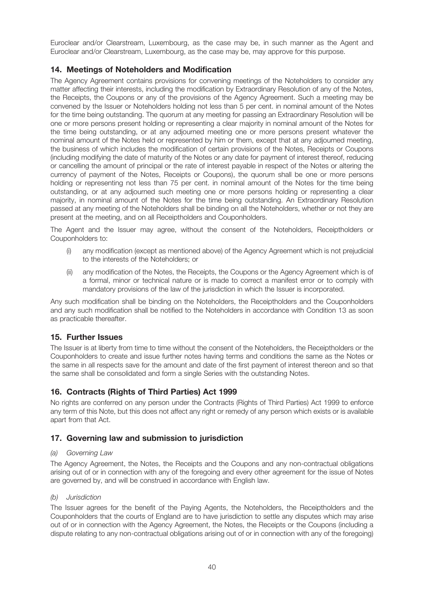Euroclear and/or Clearstream, Luxembourg, as the case may be, in such manner as the Agent and Euroclear and/or Clearstream, Luxembourg, as the case may be, may approve for this purpose.

# **14. Meetings of Noteholders and Modification**

The Agency Agreement contains provisions for convening meetings of the Noteholders to consider any matter affecting their interests, including the modification by Extraordinary Resolution of any of the Notes, the Receipts, the Coupons or any of the provisions of the Agency Agreement. Such a meeting may be convened by the Issuer or Noteholders holding not less than 5 per cent. in nominal amount of the Notes for the time being outstanding. The quorum at any meeting for passing an Extraordinary Resolution will be one or more persons present holding or representing a clear majority in nominal amount of the Notes for the time being outstanding, or at any adjourned meeting one or more persons present whatever the nominal amount of the Notes held or represented by him or them, except that at any adjourned meeting, the business of which includes the modification of certain provisions of the Notes, Receipts or Coupons (including modifying the date of maturity of the Notes or any date for payment of interest thereof, reducing or cancelling the amount of principal or the rate of interest payable in respect of the Notes or altering the currency of payment of the Notes, Receipts or Coupons), the quorum shall be one or more persons holding or representing not less than 75 per cent. in nominal amount of the Notes for the time being outstanding, or at any adjourned such meeting one or more persons holding or representing a clear majority, in nominal amount of the Notes for the time being outstanding. An Extraordinary Resolution passed at any meeting of the Noteholders shall be binding on all the Noteholders, whether or not they are present at the meeting, and on all Receiptholders and Couponholders.

The Agent and the Issuer may agree, without the consent of the Noteholders, Receiptholders or Couponholders to:

- (i) any modification (except as mentioned above) of the Agency Agreement which is not prejudicial to the interests of the Noteholders; or
- (ii) any modification of the Notes, the Receipts, the Coupons or the Agency Agreement which is of a formal, minor or technical nature or is made to correct a manifest error or to comply with mandatory provisions of the law of the jurisdiction in which the Issuer is incorporated.

Any such modification shall be binding on the Noteholders, the Receiptholders and the Couponholders and any such modification shall be notified to the Noteholders in accordance with Condition 13 as soon as practicable thereafter.

## **15. Further Issues**

The Issuer is at liberty from time to time without the consent of the Noteholders, the Receiptholders or the Couponholders to create and issue further notes having terms and conditions the same as the Notes or the same in all respects save for the amount and date of the first payment of interest thereon and so that the same shall be consolidated and form a single Series with the outstanding Notes.

# **16. Contracts (Rights of Third Parties) Act 1999**

No rights are conferred on any person under the Contracts (Rights of Third Parties) Act 1999 to enforce any term of this Note, but this does not affect any right or remedy of any person which exists or is available apart from that Act.

# **17. Governing law and submission to jurisdiction**

### (a) Governing Law

The Agency Agreement, the Notes, the Receipts and the Coupons and any non-contractual obligations arising out of or in connection with any of the foregoing and every other agreement for the issue of Notes are governed by, and will be construed in accordance with English law.

### (b) Jurisdiction

The Issuer agrees for the benefit of the Paying Agents, the Noteholders, the Receiptholders and the Couponholders that the courts of England are to have jurisdiction to settle any disputes which may arise out of or in connection with the Agency Agreement, the Notes, the Receipts or the Coupons (including a dispute relating to any non-contractual obligations arising out of or in connection with any of the foregoing)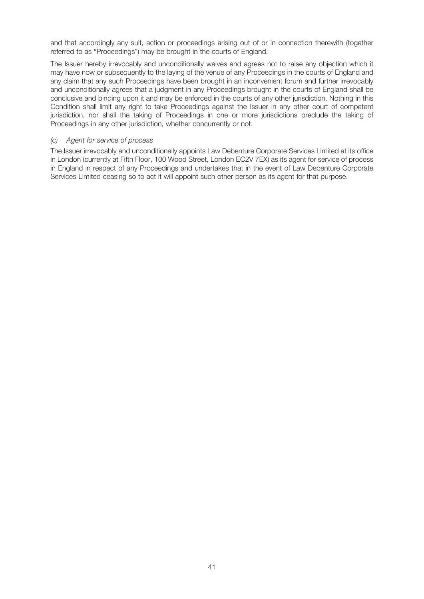and that accordingly any suit, action or proceedings arising out of or in connection therewith (together referred to as "Proceedings") may be brought in the courts of England.

The Issuer hereby irrevocably and unconditionally waives and agrees not to raise any objection which it may have now or subsequently to the laying of the venue of any Proceedings in the courts of England and any claim that any such Proceedings have been brought in an inconvenient forum and further irrevocably and unconditionally agrees that a judgment in any Proceedings brought in the courts of England shall be conclusive and binding upon it and may be enforced in the courts of any other jurisdiction. Nothing in this Condition shall limit any right to take Proceedings against the Issuer in any other court of competent jurisdiction, nor shall the taking of Proceedings in one or more jurisdictions preclude the taking of Proceedings in any other jurisdiction, whether concurrently or not.

### (c) Agent for service of process

The Issuer irrevocably and unconditionally appoints Law Debenture Corporate Services Limited at its office in London (currently at Fifth Floor, 100 Wood Street, London EC2V 7EX) as its agent for service of process in England in respect of any Proceedings and undertakes that in the event of Law Debenture Corporate Services Limited ceasing so to act it will appoint such other person as its agent for that purpose.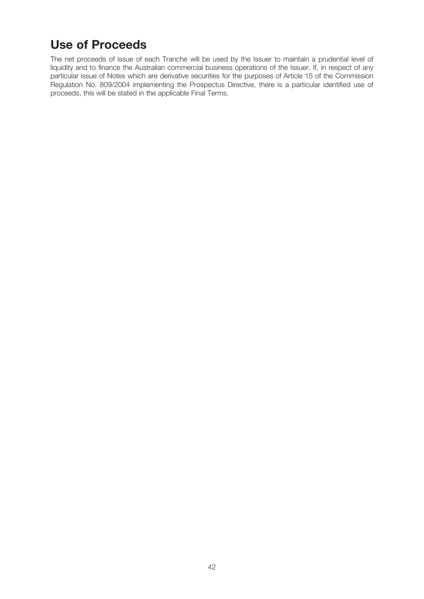# **Use of Proceeds**

The net proceeds of issue of each Tranche will be used by the Issuer to maintain a prudential level of liquidity and to finance the Australian commercial business operations of the Issuer. If, in respect of any particular issue of Notes which are derivative securities for the purposes of Article 15 of the Commission Regulation No. 809/2004 implementing the Prospectus Directive, there is a particular identified use of proceeds, this will be stated in the applicable Final Terms.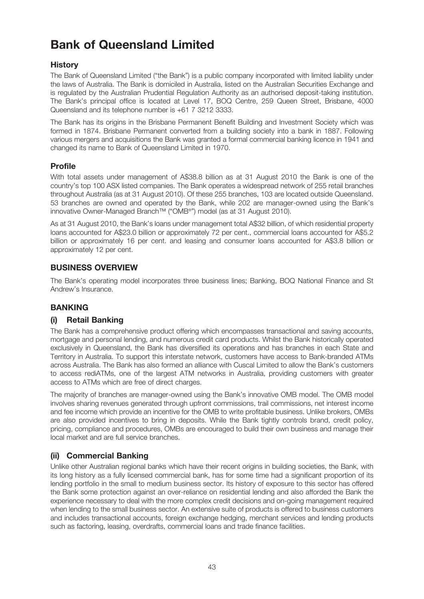# **Bank of Queensland Limited**

# **History**

The Bank of Queensland Limited ("the Bank") is a public company incorporated with limited liability under the laws of Australia. The Bank is domiciled in Australia, listed on the Australian Securities Exchange and is regulated by the Australian Prudential Regulation Authority as an authorised deposit-taking institution. The Bank's principal office is located at Level 17, BOQ Centre, 259 Queen Street, Brisbane, 4000 Queensland and its telephone number is +61 7 3212 3333.

The Bank has its origins in the Brisbane Permanent Benefit Building and Investment Society which was formed in 1874. Brisbane Permanent converted from a building society into a bank in 1887. Following various mergers and acquisitions the Bank was granted a formal commercial banking licence in 1941 and changed its name to Bank of Queensland Limited in 1970.

# **Profile**

With total assets under management of A\$38.8 billion as at 31 August 2010 the Bank is one of the country's top 100 ASX listed companies. The Bank operates a widespread network of 255 retail branches throughout Australia (as at 31 August 2010). Of these 255 branches, 103 are located outside Queensland. 53 branches are owned and operated by the Bank, while 202 are manager-owned using the Bank's innovative Owner-Managed Branch™ ("OMB®") model (as at 31 August 2010).

As at 31 August 2010, the Bank's loans under management total A\$32 billion, of which residential property loans accounted for A\$23.0 billion or approximately 72 per cent., commercial loans accounted for A\$5.2 billion or approximately 16 per cent. and leasing and consumer loans accounted for A\$3.8 billion or approximately 12 per cent.

# **BUSINESS OVERVIEW**

The Bank's operating model incorporates three business lines; Banking, BOQ National Finance and St Andrew's Insurance.

# **BANKING**

# **(i) Retail Banking**

The Bank has a comprehensive product offering which encompasses transactional and saving accounts, mortgage and personal lending, and numerous credit card products. Whilst the Bank historically operated exclusively in Queensland, the Bank has diversified its operations and has branches in each State and Territory in Australia. To support this interstate network, customers have access to Bank-branded ATMs across Australia. The Bank has also formed an alliance with Cuscal Limited to allow the Bank's customers to access rediATMs, one of the largest ATM networks in Australia, providing customers with greater access to ATMs which are free of direct charges.

The majority of branches are manager-owned using the Bank's innovative OMB model. The OMB model involves sharing revenues generated through upfront commissions, trail commissions, net interest income and fee income which provide an incentive for the OMB to write profitable business. Unlike brokers, OMBs are also provided incentives to bring in deposits. While the Bank tightly controls brand, credit policy, pricing, compliance and procedures, OMBs are encouraged to build their own business and manage their local market and are full service branches.

# **(ii) Commercial Banking**

Unlike other Australian regional banks which have their recent origins in building societies, the Bank, with its long history as a fully licensed commercial bank, has for some time had a significant proportion of its lending portfolio in the small to medium business sector. Its history of exposure to this sector has offered the Bank some protection against an over-reliance on residential lending and also afforded the Bank the experience necessary to deal with the more complex credit decisions and on-going management required when lending to the small business sector. An extensive suite of products is offered to business customers and includes transactional accounts, foreign exchange hedging, merchant services and lending products such as factoring, leasing, overdrafts, commercial loans and trade finance facilities.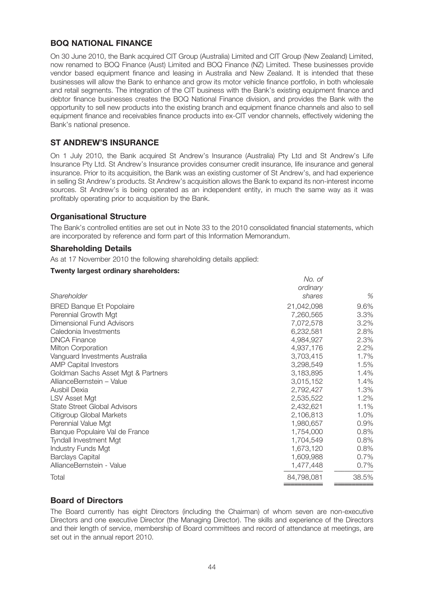# **BOQ NATIONAL FINANCE**

On 30 June 2010, the Bank acquired CIT Group (Australia) Limited and CIT Group (New Zealand) Limited, now renamed to BOQ Finance (Aust) Limited and BOQ Finance (NZ) Limited. These businesses provide vendor based equipment finance and leasing in Australia and New Zealand. It is intended that these businesses will allow the Bank to enhance and grow its motor vehicle finance portfolio, in both wholesale and retail segments. The integration of the CIT business with the Bank's existing equipment finance and debtor finance businesses creates the BOQ National Finance division, and provides the Bank with the opportunity to sell new products into the existing branch and equipment finance channels and also to sell equipment finance and receivables finance products into ex-CIT vendor channels, effectively widening the Bank's national presence.

# **ST ANDREW'S INSURANCE**

On 1 July 2010, the Bank acquired St Andrew's Insurance (Australia) Pty Ltd and St Andrew's Life Insurance Pty Ltd. St Andrew's Insurance provides consumer credit insurance, life insurance and general insurance. Prior to its acquisition, the Bank was an existing customer of St Andrew's, and had experience in selling St Andrew's products. St Andrew's acquisition allows the Bank to expand its non-interest income sources. St Andrew's is being operated as an independent entity, in much the same way as it was profitably operating prior to acquisition by the Bank.

# **Organisational Structure**

The Bank's controlled entities are set out in Note 33 to the 2010 consolidated financial statements, which are incorporated by reference and form part of this Information Memorandum.

### **Shareholding Details**

As at 17 November 2010 the following shareholding details applied:

### **Twenty largest ordinary shareholders:**

|                                     | No. of     |       |
|-------------------------------------|------------|-------|
|                                     | ordinary   |       |
| Shareholder                         | shares     | %     |
| <b>BRED Banque Et Popolaire</b>     | 21,042,098 | 9.6%  |
| Perennial Growth Mgt                | 7,260,565  | 3.3%  |
| Dimensional Fund Advisors           | 7,072,578  | 3.2%  |
| Caledonia Investments               | 6,232,581  | 2.8%  |
| <b>DNCA Finance</b>                 | 4,984,927  | 2.3%  |
| Milton Corporation                  | 4,937,176  | 2.2%  |
| Vanguard Investments Australia      | 3,703,415  | 1.7%  |
| <b>AMP Capital Investors</b>        | 3,298,549  | 1.5%  |
| Goldman Sachs Asset Mgt & Partners  | 3,183,895  | 1.4%  |
| AllianceBernstein - Value           | 3,015,152  | 1.4%  |
| Ausbil Dexia                        | 2,792,427  | 1.3%  |
| LSV Asset Mgt                       | 2,535,522  | 1.2%  |
| <b>State Street Global Advisors</b> | 2,432,621  | 1.1%  |
| Citigroup Global Markets            | 2,106,813  | 1.0%  |
| Perennial Value Mgt                 | 1,980,657  | 0.9%  |
| Banque Populaire Val de France      | 1,754,000  | 0.8%  |
| <b>Tyndall Investment Mgt</b>       | 1,704,549  | 0.8%  |
| <b>Industry Funds Mgt</b>           | 1,673,120  | 0.8%  |
| <b>Barclays Capital</b>             | 1,609,988  | 0.7%  |
| AllianceBernstein - Value           | 1,477,448  | 0.7%  |
| Total                               | 84,798,081 | 38.5% |
|                                     |            |       |

## **Board of Directors**

The Board currently has eight Directors (including the Chairman) of whom seven are non-executive Directors and one executive Director (the Managing Director). The skills and experience of the Directors and their length of service, membership of Board committees and record of attendance at meetings, are set out in the annual report 2010.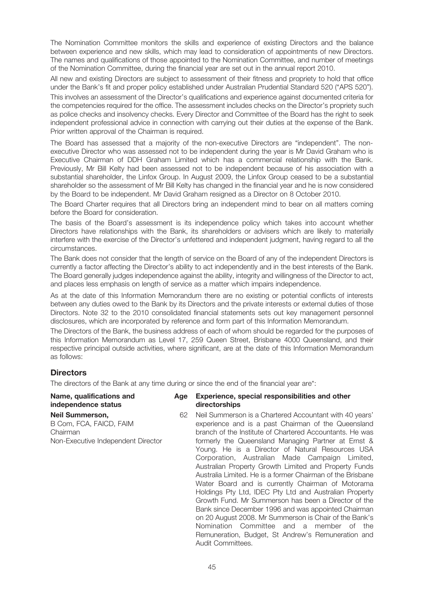The Nomination Committee monitors the skills and experience of existing Directors and the balance between experience and new skills, which may lead to consideration of appointments of new Directors. The names and qualifications of those appointed to the Nomination Committee, and number of meetings of the Nomination Committee, during the financial year are set out in the annual report 2010.

All new and existing Directors are subject to assessment of their fitness and propriety to hold that office under the Bank's fit and proper policy established under Australian Prudential Standard 520 ("APS 520").

This involves an assessment of the Director's qualifications and experience against documented criteria for the competencies required for the office. The assessment includes checks on the Director's propriety such as police checks and insolvency checks. Every Director and Committee of the Board has the right to seek independent professional advice in connection with carrying out their duties at the expense of the Bank. Prior written approval of the Chairman is required.

The Board has assessed that a majority of the non-executive Directors are "independent". The nonexecutive Director who was assessed not to be independent during the year is Mr David Graham who is Executive Chairman of DDH Graham Limited which has a commercial relationship with the Bank. Previously, Mr Bill Kelty had been assessed not to be independent because of his association with a substantial shareholder, the Linfox Group. In August 2009, the Linfox Group ceased to be a substantial shareholder so the assessment of Mr Bill Kelty has changed in the financial year and he is now considered by the Board to be independent. Mr David Graham resigned as a Director on 8 October 2010.

The Board Charter requires that all Directors bring an independent mind to bear on all matters coming before the Board for consideration.

The basis of the Board's assessment is its independence policy which takes into account whether Directors have relationships with the Bank, its shareholders or advisers which are likely to materially interfere with the exercise of the Director's unfettered and independent judgment, having regard to all the circumstances.

The Bank does not consider that the length of service on the Board of any of the independent Directors is currently a factor affecting the Director's ability to act independently and in the best interests of the Bank. The Board generally judges independence against the ability, integrity and willingness of the Director to act, and places less emphasis on length of service as a matter which impairs independence.

As at the date of this Information Memorandum there are no existing or potential conflicts of interests between any duties owed to the Bank by its Directors and the private interests or external duties of those Directors. Note 32 to the 2010 consolidated financial statements sets out key management personnel disclosures, which are incorporated by reference and form part of this Information Memorandum.

The Directors of the Bank, the business address of each of whom should be regarded for the purposes of this Information Memorandum as Level 17, 259 Queen Street, Brisbane 4000 Queensland, and their respective principal outside activities, where significant, are at the date of this Information Memorandum as follows:

# **Directors**

The directors of the Bank at any time during or since the end of the financial year are\*:

| Name, qualifications and<br>independence status                                                     | Age | Experience, special responsibilities and other<br>directorships                                                                                                                                                                                                                                                                                                                                                                                                                                                                                                                                                                                                                                                                                                                                    |
|-----------------------------------------------------------------------------------------------------|-----|----------------------------------------------------------------------------------------------------------------------------------------------------------------------------------------------------------------------------------------------------------------------------------------------------------------------------------------------------------------------------------------------------------------------------------------------------------------------------------------------------------------------------------------------------------------------------------------------------------------------------------------------------------------------------------------------------------------------------------------------------------------------------------------------------|
| <b>Neil Summerson.</b><br>B Com, FCA, FAICD, FAIM<br>Chairman<br>Non-Executive Independent Director | 62  | Neil Summerson is a Chartered Accountant with 40 years'<br>experience and is a past Chairman of the Queensland<br>branch of the Institute of Chartered Accountants. He was<br>formerly the Queensland Managing Partner at Ernst &<br>Young. He is a Director of Natural Resources USA<br>Corporation, Australian Made Campaign Limited,<br>Australian Property Growth Limited and Property Funds<br>Australia Limited. He is a former Chairman of the Brisbane<br>Water Board and is currently Chairman of Motorama<br>Holdings Pty Ltd, IDEC Pty Ltd and Australian Property<br>Growth Fund. Mr Summerson has been a Director of the<br>Bank since December 1996 and was appointed Chairman<br>on 20 August 2008. Mr Summerson is Chair of the Bank's<br>Nomination Committee and a member of the |

Audit Committees.

Remuneration, Budget, St Andrew's Remuneration and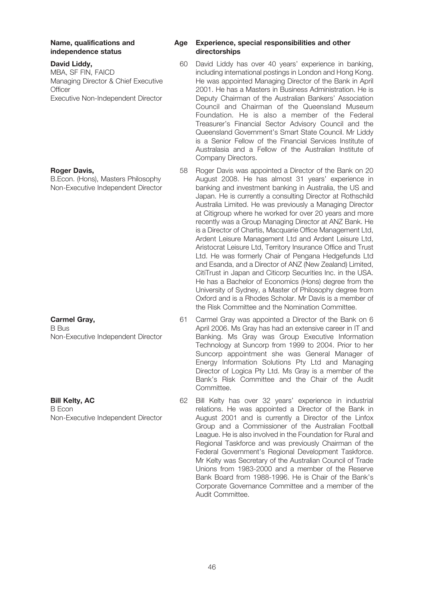# **independence** status

#### **David Liddy,**

MBA, SF FIN, FAICD Managing Director & Chief Executive **Officer** Executive Non-Independent Director

### **Roger Davis,**

B.Econ. (Hons), Masters Philosophy Non-Executive Independent Director

**Carmel Gray,** B Bus Non-Executive Independent Director

**Bill Kelty, AC** B Econ

Non-Executive Independent Director

# **Name, qualifications and Age Experience, special responsibilities and other**

- 60 David Liddy has over 40 years' experience in banking, including international postings in London and Hong Kong. He was appointed Managing Director of the Bank in April 2001. He has a Masters in Business Administration. He is Deputy Chairman of the Australian Bankers' Association Council and Chairman of the Queensland Museum Foundation. He is also a member of the Federal Treasurer's Financial Sector Advisory Council and the Queensland Government's Smart State Council. Mr Liddy is a Senior Fellow of the Financial Services Institute of Australasia and a Fellow of the Australian Institute of Company Directors.
- 58 Roger Davis was appointed a Director of the Bank on 20 August 2008. He has almost 31 years' experience in banking and investment banking in Australia, the US and Japan. He is currently a consulting Director at Rothschild Australia Limited. He was previously a Managing Director at Citigroup where he worked for over 20 years and more recently was a Group Managing Director at ANZ Bank. He is a Director of Chartis, Macquarie Office Management Ltd, Ardent Leisure Management Ltd and Ardent Leisure Ltd, Aristocrat Leisure Ltd, Territory Insurance Office and Trust Ltd. He was formerly Chair of Pengana Hedgefunds Ltd and Esanda, and a Director of ANZ (New Zealand) Limited, CitiTrust in Japan and Citicorp Securities Inc. in the USA. He has a Bachelor of Economics (Hons) degree from the University of Sydney, a Master of Philosophy degree from Oxford and is a Rhodes Scholar. Mr Davis is a member of the Risk Committee and the Nomination Committee.
- 61 Carmel Gray was appointed a Director of the Bank on 6 April 2006. Ms Gray has had an extensive career in IT and Banking. Ms Gray was Group Executive Information Technology at Suncorp from 1999 to 2004. Prior to her Suncorp appointment she was General Manager of Energy Information Solutions Pty Ltd and Managing Director of Logica Pty Ltd. Ms Gray is a member of the Bank's Risk Committee and the Chair of the Audit **Committee**
- 62 Bill Kelty has over 32 years' experience in industrial relations. He was appointed a Director of the Bank in August 2001 and is currently a Director of the Linfox Group and a Commissioner of the Australian Football League. He is also involved in the Foundation for Rural and Regional Taskforce and was previously Chairman of the Federal Government's Regional Development Taskforce. Mr Kelty was Secretary of the Australian Council of Trade Unions from 1983-2000 and a member of the Reserve Bank Board from 1988-1996. He is Chair of the Bank's Corporate Governance Committee and a member of the Audit Committee.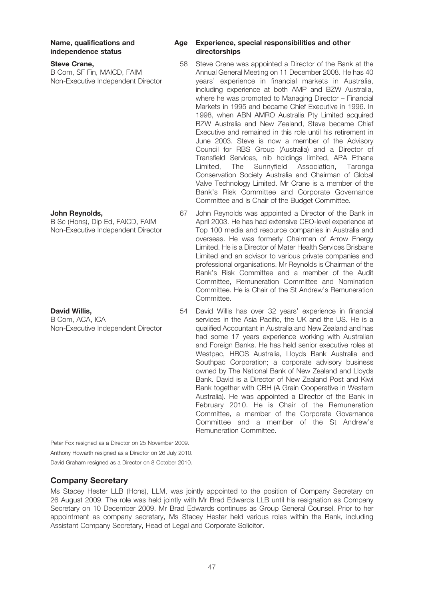# $independence status$

#### **Steve Crane,**

B Com, SF Fin, MAICD, FAIM Non-Executive Independent Director

#### **John Reynolds,**

B Sc (Hons), Dip Ed, FAICD, FAIM Non-Executive Independent Director

### **David Willis,**

B Com, ACA, ICA Non-Executive Independent Director

# **Name, qualifications and Age Experience, special responsibilities and other**

- 58 Steve Crane was appointed a Director of the Bank at the Annual General Meeting on 11 December 2008. He has 40 years' experience in financial markets in Australia, including experience at both AMP and BZW Australia, where he was promoted to Managing Director – Financial Markets in 1995 and became Chief Executive in 1996. In 1998, when ABN AMRO Australia Pty Limited acquired BZW Australia and New Zealand, Steve became Chief Executive and remained in this role until his retirement in June 2003. Steve is now a member of the Advisory Council for RBS Group (Australia) and a Director of Transfield Services, nib holdings limited, APA Ethane Limited, The Sunnyfield Association, Taronga Conservation Society Australia and Chairman of Global Valve Technology Limited. Mr Crane is a member of the Bank's Risk Committee and Corporate Governance Committee and is Chair of the Budget Committee.
- 67 John Reynolds was appointed a Director of the Bank in April 2003. He has had extensive CEO-level experience at Top 100 media and resource companies in Australia and overseas. He was formerly Chairman of Arrow Energy Limited. He is a Director of Mater Health Services Brisbane Limited and an advisor to various private companies and professional organisations. Mr Reynolds is Chairman of the Bank's Risk Committee and a member of the Audit Committee, Remuneration Committee and Nomination Committee. He is Chair of the St Andrew's Remuneration Committee.
- 54 David Willis has over 32 years' experience in financial services in the Asia Pacific, the UK and the US. He is a qualified Accountant in Australia and New Zealand and has had some 17 years experience working with Australian and Foreign Banks. He has held senior executive roles at Westpac, HBOS Australia, Lloyds Bank Australia and Southpac Corporation; a corporate advisory business owned by The National Bank of New Zealand and Lloyds Bank. David is a Director of New Zealand Post and Kiwi Bank together with CBH (A Grain Cooperative in Western Australia). He was appointed a Director of the Bank in February 2010. He is Chair of the Remuneration Committee, a member of the Corporate Governance Committee and a member of the St Andrew's Remuneration Committee.

Peter Fox resigned as a Director on 25 November 2009.

Anthony Howarth resigned as a Director on 26 July 2010. David Graham resigned as a Director on 8 October 2010.

# **Company Secretary**

Ms Stacey Hester LLB (Hons), LLM, was jointly appointed to the position of Company Secretary on 26 August 2009. The role was held jointly with Mr Brad Edwards LLB until his resignation as Company Secretary on 10 December 2009. Mr Brad Edwards continues as Group General Counsel. Prior to her appointment as company secretary, Ms Stacey Hester held various roles within the Bank, including Assistant Company Secretary, Head of Legal and Corporate Solicitor.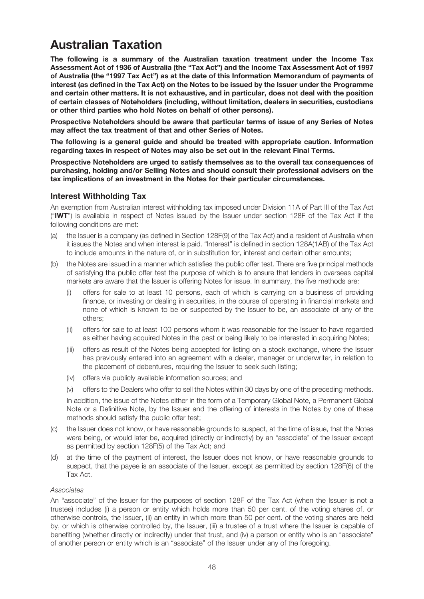# **Australian Taxation**

**The following is a summary of the Australian taxation treatment under the Income Tax Assessment Act of 1936 of Australia (the "Tax Act") and the Income Tax Assessment Act of 1997 of Australia (the "1997 Tax Act") as at the date of this Information Memorandum of payments of** interest (as defined in the Tax Act) on the Notes to be issued by the Issuer under the Programme **and certain other matters. It is not exhaustive, and in particular, does not deal with the position of certain classes of Noteholders (including, without limitation, dealers in securities, custodians or other third parties who hold Notes on behalf of other persons).**

**Prospective Noteholders should be aware that particular terms of issue of any Series of Notes may affect the tax treatment of that and other Series of Notes.**

**The following is a general guide and should be treated with appropriate caution. Information regarding taxes in respect of Notes may also be set out in the relevant Final Terms.**

**Prospective Noteholders are urged to satisfy themselves as to the overall tax consequences of purchasing, holding and/or Selling Notes and should consult their professional advisers on the tax implications of an investment in the Notes for their particular circumstances.**

# **Interest Withholding Tax**

An exemption from Australian interest withholding tax imposed under Division 11A of Part III of the Tax Act ("**IWT**") is available in respect of Notes issued by the Issuer under section 128F of the Tax Act if the following conditions are met:

- (a) the Issuer is a company (as defined in Section 128F(9) of the Tax Act) and a resident of Australia when it issues the Notes and when interest is paid. "Interest" is defined in section 128A(1AB) of the Tax Act to include amounts in the nature of, or in substitution for, interest and certain other amounts;
- (b) the Notes are issued in a manner which satisfies the public offer test. There are five principal methods of satisfying the public offer test the purpose of which is to ensure that lenders in overseas capital markets are aware that the Issuer is offering Notes for issue. In summary, the five methods are:
	- (i) offers for sale to at least 10 persons, each of which is carrying on a business of providing finance, or investing or dealing in securities, in the course of operating in financial markets and none of which is known to be or suspected by the Issuer to be, an associate of any of the others;
	- (ii) offers for sale to at least 100 persons whom it was reasonable for the Issuer to have regarded as either having acquired Notes in the past or being likely to be interested in acquiring Notes;
	- (iii) offers as result of the Notes being accepted for listing on a stock exchange, where the Issuer has previously entered into an agreement with a dealer, manager or underwriter, in relation to the placement of debentures, requiring the Issuer to seek such listing;
	- (iv) offers via publicly available information sources; and
	- (v) offers to the Dealers who offer to sell the Notes within 30 days by one of the preceding methods.

In addition, the issue of the Notes either in the form of a Temporary Global Note, a Permanent Global Note or a Definitive Note, by the Issuer and the offering of interests in the Notes by one of these methods should satisfy the public offer test;

- (c) the Issuer does not know, or have reasonable grounds to suspect, at the time of issue, that the Notes were being, or would later be, acquired (directly or indirectly) by an "associate" of the Issuer except as permitted by section 128F(5) of the Tax Act; and
- (d) at the time of the payment of interest, the Issuer does not know, or have reasonable grounds to suspect, that the payee is an associate of the Issuer, except as permitted by section 128F(6) of the Tax Act.

### Associates

An "associate" of the Issuer for the purposes of section 128F of the Tax Act (when the Issuer is not a trustee) includes (i) a person or entity which holds more than 50 per cent. of the voting shares of, or otherwise controls, the Issuer, (ii) an entity in which more than 50 per cent. of the voting shares are held by, or which is otherwise controlled by, the Issuer, (iii) a trustee of a trust where the Issuer is capable of benefiting (whether directly or indirectly) under that trust, and (iv) a person or entity who is an "associate" of another person or entity which is an "associate" of the Issuer under any of the foregoing.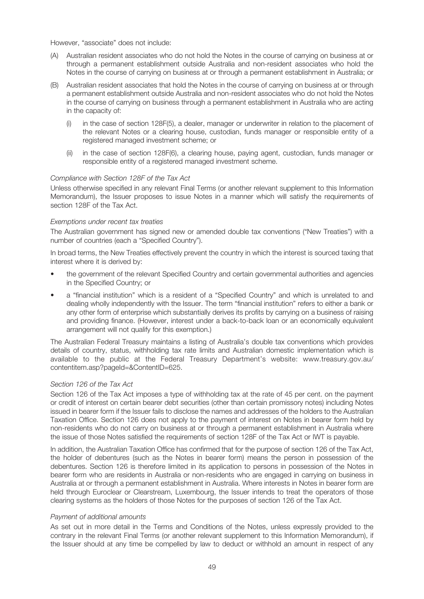However, "associate" does not include:

- (A) Australian resident associates who do not hold the Notes in the course of carrying on business at or through a permanent establishment outside Australia and non-resident associates who hold the Notes in the course of carrying on business at or through a permanent establishment in Australia; or
- (B) Australian resident associates that hold the Notes in the course of carrying on business at or through a permanent establishment outside Australia and non-resident associates who do not hold the Notes in the course of carrying on business through a permanent establishment in Australia who are acting in the capacity of:
	- (i) in the case of section 128F(5), a dealer, manager or underwriter in relation to the placement of the relevant Notes or a clearing house, custodian, funds manager or responsible entity of a registered managed investment scheme; or
	- (ii) in the case of section 128F(6), a clearing house, paying agent, custodian, funds manager or responsible entity of a registered managed investment scheme.

#### Compliance with Section 128F of the Tax Act

Unless otherwise specified in any relevant Final Terms (or another relevant supplement to this Information Memorandum), the Issuer proposes to issue Notes in a manner which will satisfy the requirements of section 128F of the Tax Act.

#### Exemptions under recent tax treaties

The Australian government has signed new or amended double tax conventions ("New Treaties") with a number of countries (each a "Specified Country").

In broad terms, the New Treaties effectively prevent the country in which the interest is sourced taxing that interest where it is derived by:

- the government of the relevant Specified Country and certain governmental authorities and agencies in the Specified Country; or
- a "financial institution" which is a resident of a "Specified Country" and which is unrelated to and dealing wholly independently with the Issuer. The term "financial institution" refers to either a bank or any other form of enterprise which substantially derives its profits by carrying on a business of raising and providing finance. (However, interest under a back-to-back loan or an economically equivalent arrangement will not qualify for this exemption.)

The Australian Federal Treasury maintains a listing of Australia's double tax conventions which provides details of country, status, withholding tax rate limits and Australian domestic implementation which is available to the public at the Federal Treasury Department's website: www.treasury.gov.au/ contentitem.asp?pageId=&ContentID=625.

#### Section 126 of the Tax Act

Section 126 of the Tax Act imposes a type of withholding tax at the rate of 45 per cent. on the payment or credit of interest on certain bearer debt securities (other than certain promissory notes) including Notes issued in bearer form if the Issuer fails to disclose the names and addresses of the holders to the Australian Taxation Office. Section 126 does not apply to the payment of interest on Notes in bearer form held by non-residents who do not carry on business at or through a permanent establishment in Australia where the issue of those Notes satisfied the requirements of section 128F of the Tax Act or IWT is payable.

In addition, the Australian Taxation Office has confirmed that for the purpose of section 126 of the Tax Act, the holder of debentures (such as the Notes in bearer form) means the person in possession of the debentures. Section 126 is therefore limited in its application to persons in possession of the Notes in bearer form who are residents in Australia or non-residents who are engaged in carrying on business in Australia at or through a permanent establishment in Australia. Where interests in Notes in bearer form are held through Euroclear or Clearstream, Luxembourg, the Issuer intends to treat the operators of those clearing systems as the holders of those Notes for the purposes of section 126 of the Tax Act.

#### Payment of additional amounts

As set out in more detail in the Terms and Conditions of the Notes, unless expressly provided to the contrary in the relevant Final Terms (or another relevant supplement to this Information Memorandum), if the Issuer should at any time be compelled by law to deduct or withhold an amount in respect of any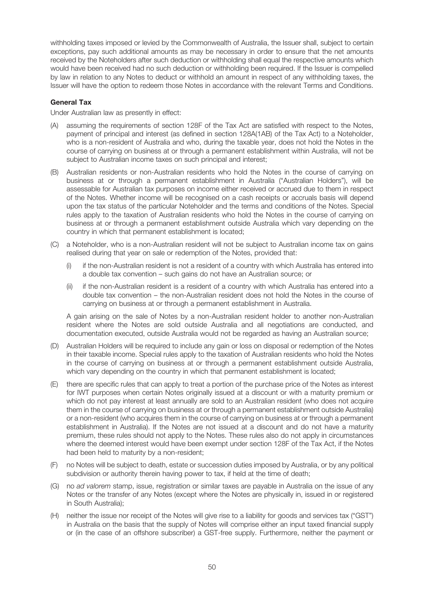withholding taxes imposed or levied by the Commonwealth of Australia, the Issuer shall, subject to certain exceptions, pay such additional amounts as may be necessary in order to ensure that the net amounts received by the Noteholders after such deduction or withholding shall equal the respective amounts which would have been received had no such deduction or withholding been required. If the Issuer is compelled by law in relation to any Notes to deduct or withhold an amount in respect of any withholding taxes, the Issuer will have the option to redeem those Notes in accordance with the relevant Terms and Conditions.

### **General Tax**

Under Australian law as presently in effect:

- (A) assuming the requirements of section 128F of the Tax Act are satisfied with respect to the Notes, payment of principal and interest (as defined in section 128A(1AB) of the Tax Act) to a Noteholder, who is a non-resident of Australia and who, during the taxable year, does not hold the Notes in the course of carrying on business at or through a permanent establishment within Australia, will not be subject to Australian income taxes on such principal and interest;
- (B) Australian residents or non-Australian residents who hold the Notes in the course of carrying on business at or through a permanent establishment in Australia ("Australian Holders"), will be assessable for Australian tax purposes on income either received or accrued due to them in respect of the Notes. Whether income will be recognised on a cash receipts or accruals basis will depend upon the tax status of the particular Noteholder and the terms and conditions of the Notes. Special rules apply to the taxation of Australian residents who hold the Notes in the course of carrying on business at or through a permanent establishment outside Australia which vary depending on the country in which that permanent establishment is located;
- (C) a Noteholder, who is a non-Australian resident will not be subject to Australian income tax on gains realised during that year on sale or redemption of the Notes, provided that:
	- (i) if the non-Australian resident is not a resident of a country with which Australia has entered into a double tax convention – such gains do not have an Australian source; or
	- (ii) if the non-Australian resident is a resident of a country with which Australia has entered into a double tax convention – the non-Australian resident does not hold the Notes in the course of carrying on business at or through a permanent establishment in Australia.

A gain arising on the sale of Notes by a non-Australian resident holder to another non-Australian resident where the Notes are sold outside Australia and all negotiations are conducted, and documentation executed, outside Australia would not be regarded as having an Australian source;

- (D) Australian Holders will be required to include any gain or loss on disposal or redemption of the Notes in their taxable income. Special rules apply to the taxation of Australian residents who hold the Notes in the course of carrying on business at or through a permanent establishment outside Australia, which vary depending on the country in which that permanent establishment is located;
- (E) there are specific rules that can apply to treat a portion of the purchase price of the Notes as interest for IWT purposes when certain Notes originally issued at a discount or with a maturity premium or which do not pay interest at least annually are sold to an Australian resident (who does not acquire them in the course of carrying on business at or through a permanent establishment outside Australia) or a non-resident (who acquires them in the course of carrying on business at or through a permanent establishment in Australia). If the Notes are not issued at a discount and do not have a maturity premium, these rules should not apply to the Notes. These rules also do not apply in circumstances where the deemed interest would have been exempt under section 128F of the Tax Act, if the Notes had been held to maturity by a non-resident;
- (F) no Notes will be subject to death, estate or succession duties imposed by Australia, or by any political subdivision or authority therein having power to tax, if held at the time of death;
- (G) no ad valorem stamp, issue, registration or similar taxes are payable in Australia on the issue of any Notes or the transfer of any Notes (except where the Notes are physically in, issued in or registered in South Australia);
- (H) neither the issue nor receipt of the Notes will give rise to a liability for goods and services tax ("GST") in Australia on the basis that the supply of Notes will comprise either an input taxed financial supply or (in the case of an offshore subscriber) a GST-free supply. Furthermore, neither the payment or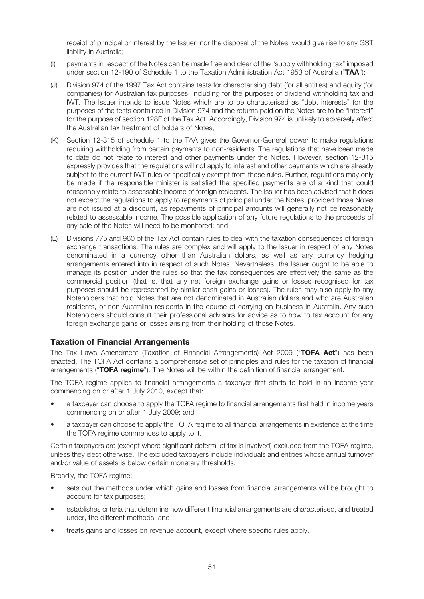receipt of principal or interest by the Issuer, nor the disposal of the Notes, would give rise to any GST liability in Australia;

- (I) payments in respect of the Notes can be made free and clear of the "supply withholding tax" imposed under section 12-190 of Schedule 1 to the Taxation Administration Act 1953 of Australia ("**TAA**");
- (J) Division 974 of the 1997 Tax Act contains tests for characterising debt (for all entities) and equity (for companies) for Australian tax purposes, including for the purposes of dividend withholding tax and IWT. The Issuer intends to issue Notes which are to be characterised as "debt interests" for the purposes of the tests contained in Division 974 and the returns paid on the Notes are to be "interest" for the purpose of section 128F of the Tax Act. Accordingly, Division 974 is unlikely to adversely affect the Australian tax treatment of holders of Notes;
- (K) Section 12-315 of schedule 1 to the TAA gives the Governor-General power to make regulations requiring withholding from certain payments to non-residents. The regulations that have been made to date do not relate to interest and other payments under the Notes. However, section 12-315 expressly provides that the regulations will not apply to interest and other payments which are already subject to the current IWT rules or specifically exempt from those rules. Further, regulations may only be made if the responsible minister is satisfied the specified payments are of a kind that could reasonably relate to assessable income of foreign residents. The Issuer has been advised that it does not expect the regulations to apply to repayments of principal under the Notes, provided those Notes are not issued at a discount, as repayments of principal amounts will generally not be reasonably related to assessable income. The possible application of any future regulations to the proceeds of any sale of the Notes will need to be monitored; and
- (L) Divisions 775 and 960 of the Tax Act contain rules to deal with the taxation consequences of foreign exchange transactions. The rules are complex and will apply to the Issuer in respect of any Notes denominated in a currency other than Australian dollars, as well as any currency hedging arrangements entered into in respect of such Notes. Nevertheless, the Issuer ought to be able to manage its position under the rules so that the tax consequences are effectively the same as the commercial position (that is, that any net foreign exchange gains or losses recognised for tax purposes should be represented by similar cash gains or losses). The rules may also apply to any Noteholders that hold Notes that are not denominated in Australian dollars and who are Australian residents, or non-Australian residents in the course of carrying on business in Australia. Any such Noteholders should consult their professional advisors for advice as to how to tax account for any foreign exchange gains or losses arising from their holding of those Notes.

## **Taxation of Financial Arrangements**

The Tax Laws Amendment (Taxation of Financial Arrangements) Act 2009 ("**TOFA Act**") has been enacted. The TOFA Act contains a comprehensive set of principles and rules for the taxation of financial arrangements ("**TOFA regime**"). The Notes will be within the definition of financial arrangement.

The TOFA regime applies to financial arrangements a taxpayer first starts to hold in an income year commencing on or after 1 July 2010, except that:

- a taxpayer can choose to apply the TOFA regime to financial arrangements first held in income years commencing on or after 1 July 2009; and
- a taxpayer can choose to apply the TOFA regime to all financial arrangements in existence at the time the TOFA regime commences to apply to it.

Certain taxpayers are (except where significant deferral of tax is involved) excluded from the TOFA regime, unless they elect otherwise. The excluded taxpayers include individuals and entities whose annual turnover and/or value of assets is below certain monetary thresholds.

Broadly, the TOFA regime:

- sets out the methods under which gains and losses from financial arrangements will be brought to account for tax purposes;
- establishes criteria that determine how different financial arrangements are characterised, and treated under, the different methods; and
- treats gains and losses on revenue account, except where specific rules apply.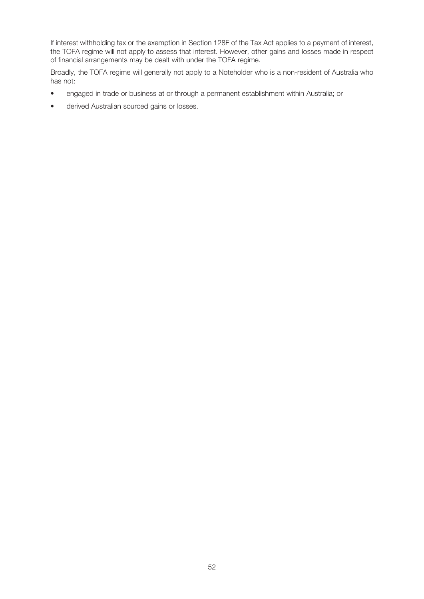If interest withholding tax or the exemption in Section 128F of the Tax Act applies to a payment of interest, the TOFA regime will not apply to assess that interest. However, other gains and losses made in respect of financial arrangements may be dealt with under the TOFA regime.

Broadly, the TOFA regime will generally not apply to a Noteholder who is a non-resident of Australia who has not:

- engaged in trade or business at or through a permanent establishment within Australia; or
- derived Australian sourced gains or losses.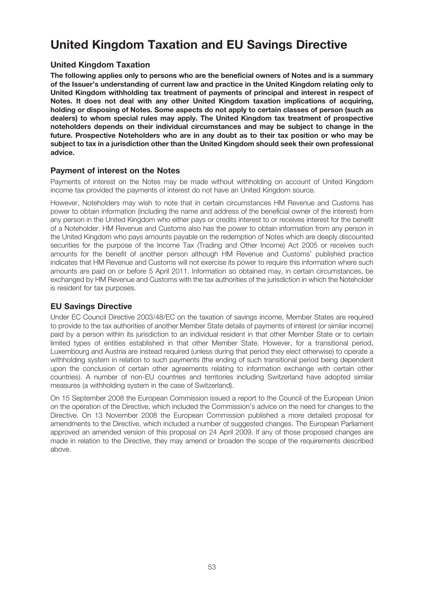# **United Kingdom Taxation and EU Savings Directive**

# **United Kingdom Taxation**

**The following applies only to persons who are the beneficial owners of Notes and is a summary of the Issuer's understanding of current law and practice in the United Kingdom relating only to United Kingdom withholding tax treatment of payments of principal and interest in respect of Notes. It does not deal with any other United Kingdom taxation implications of acquiring, holding or disposing of Notes. Some aspects do not apply to certain classes of person (such as dealers) to whom special rules may apply. The United Kingdom tax treatment of prospective noteholders depends on their individual circumstances and may be subject to change in the future. Prospective Noteholders who are in any doubt as to their tax position or who may be subject to tax in a jurisdiction other than the United Kingdom should seek their own professional advice.**

## **Payment of interest on the Notes**

Payments of interest on the Notes may be made without withholding on account of United Kingdom income tax provided the payments of interest do not have an United Kingdom source.

However, Noteholders may wish to note that in certain circumstances HM Revenue and Customs has power to obtain information (including the name and address of the beneficial owner of the interest) from any person in the United Kingdom who either pays or credits interest to or receives interest for the benefit of a Noteholder. HM Revenue and Customs also has the power to obtain information from any person in the United Kingdom who pays amounts payable on the redemption of Notes which are deeply discounted securities for the purpose of the Income Tax (Trading and Other Income) Act 2005 or receives such amounts for the benefit of another person although HM Revenue and Customs' published practice indicates that HM Revenue and Customs will not exercise its power to require this information where such amounts are paid on or before 5 April 2011. Information so obtained may, in certain circumstances, be exchanged by HM Revenue and Customs with the tax authorities of the jurisdiction in which the Noteholder is resident for tax purposes.

# **EU Savings Directive**

Under EC Council Directive 2003/48/EC on the taxation of savings income, Member States are required to provide to the tax authorities of another Member State details of payments of interest (or similar income) paid by a person within its jurisdiction to an individual resident in that other Member State or to certain limited types of entities established in that other Member State. However, for a transitional period, Luxembourg and Austria are instead required (unless during that period they elect otherwise) to operate a withholding system in relation to such payments (the ending of such transitional period being dependent upon the conclusion of certain other agreements relating to information exchange with certain other countries). A number of non-EU countries and territories including Switzerland have adopted similar measures (a withholding system in the case of Switzerland).

On 15 September 2008 the European Commission issued a report to the Council of the European Union on the operation of the Directive, which included the Commission's advice on the need for changes to the Directive. On 13 November 2008 the European Commission published a more detailed proposal for amendments to the Directive, which included a number of suggested changes. The European Parliament approved an amended version of this proposal on 24 April 2009. If any of those proposed changes are made in relation to the Directive, they may amend or broaden the scope of the requirements described above.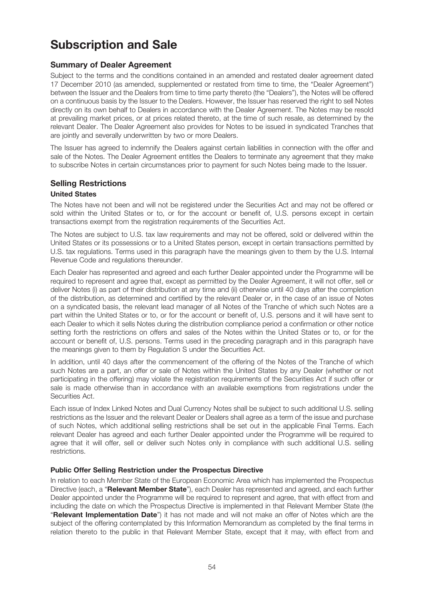# **Subscription and Sale**

# **Summary of Dealer Agreement**

Subject to the terms and the conditions contained in an amended and restated dealer agreement dated 17 December 2010 (as amended, supplemented or restated from time to time, the "Dealer Agreement") between the Issuer and the Dealers from time to time party thereto (the "Dealers"), the Notes will be offered on a continuous basis by the Issuer to the Dealers. However, the Issuer has reserved the right to sell Notes directly on its own behalf to Dealers in accordance with the Dealer Agreement. The Notes may be resold at prevailing market prices, or at prices related thereto, at the time of such resale, as determined by the relevant Dealer. The Dealer Agreement also provides for Notes to be issued in syndicated Tranches that are jointly and severally underwritten by two or more Dealers.

The Issuer has agreed to indemnify the Dealers against certain liabilities in connection with the offer and sale of the Notes. The Dealer Agreement entitles the Dealers to terminate any agreement that they make to subscribe Notes in certain circumstances prior to payment for such Notes being made to the Issuer.

# **Selling Restrictions**

### **United States**

The Notes have not been and will not be registered under the Securities Act and may not be offered or sold within the United States or to, or for the account or benefit of, U.S. persons except in certain transactions exempt from the registration requirements of the Securities Act.

The Notes are subject to U.S. tax law requirements and may not be offered, sold or delivered within the United States or its possessions or to a United States person, except in certain transactions permitted by U.S. tax regulations. Terms used in this paragraph have the meanings given to them by the U.S. Internal Revenue Code and regulations thereunder.

Each Dealer has represented and agreed and each further Dealer appointed under the Programme will be required to represent and agree that, except as permitted by the Dealer Agreement, it will not offer, sell or deliver Notes (i) as part of their distribution at any time and (ii) otherwise until 40 days after the completion of the distribution, as determined and certified by the relevant Dealer or, in the case of an issue of Notes on a syndicated basis, the relevant lead manager of all Notes of the Tranche of which such Notes are a part within the United States or to, or for the account or benefit of, U.S. persons and it will have sent to each Dealer to which it sells Notes during the distribution compliance period a confirmation or other notice setting forth the restrictions on offers and sales of the Notes within the United States or to, or for the account or benefit of, U.S. persons. Terms used in the preceding paragraph and in this paragraph have the meanings given to them by Regulation S under the Securities Act.

In addition, until 40 days after the commencement of the offering of the Notes of the Tranche of which such Notes are a part, an offer or sale of Notes within the United States by any Dealer (whether or not participating in the offering) may violate the registration requirements of the Securities Act if such offer or sale is made otherwise than in accordance with an available exemptions from registrations under the Securities Act.

Each issue of Index Linked Notes and Dual Currency Notes shall be subject to such additional U.S. selling restrictions as the Issuer and the relevant Dealer or Dealers shall agree as a term of the issue and purchase of such Notes, which additional selling restrictions shall be set out in the applicable Final Terms. Each relevant Dealer has agreed and each further Dealer appointed under the Programme will be required to agree that it will offer, sell or deliver such Notes only in compliance with such additional U.S. selling restrictions.

### **Public Offer Selling Restriction under the Prospectus Directive**

In relation to each Member State of the European Economic Area which has implemented the Prospectus Directive (each, a "**Relevant Member State**"), each Dealer has represented and agreed, and each further Dealer appointed under the Programme will be required to represent and agree, that with effect from and including the date on which the Prospectus Directive is implemented in that Relevant Member State (the "**Relevant Implementation Date**") it has not made and will not make an offer of Notes which are the subject of the offering contemplated by this Information Memorandum as completed by the final terms in relation thereto to the public in that Relevant Member State, except that it may, with effect from and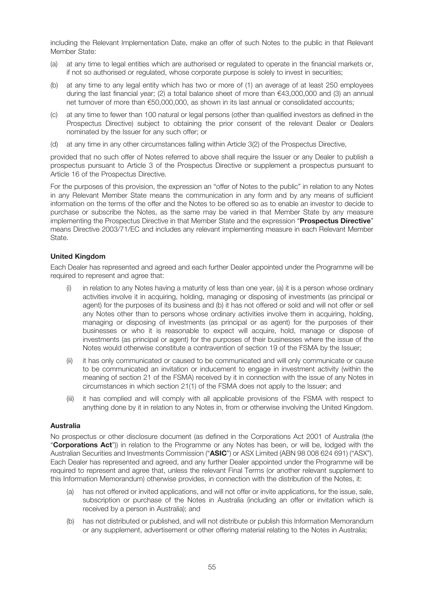including the Relevant Implementation Date, make an offer of such Notes to the public in that Relevant Member State:

- (a) at any time to legal entities which are authorised or regulated to operate in the financial markets or, if not so authorised or regulated, whose corporate purpose is solely to invest in securities;
- (b) at any time to any legal entity which has two or more of (1) an average of at least 250 employees during the last financial year; (2) a total balance sheet of more than  $\epsilon$ 43,000,000 and (3) an annual net turnover of more than €50,000,000, as shown in its last annual or consolidated accounts;
- (c) at any time to fewer than 100 natural or legal persons (other than qualified investors as defined in the Prospectus Directive) subject to obtaining the prior consent of the relevant Dealer or Dealers nominated by the Issuer for any such offer; or
- (d) at any time in any other circumstances falling within Article 3(2) of the Prospectus Directive,

provided that no such offer of Notes referred to above shall require the Issuer or any Dealer to publish a prospectus pursuant to Article 3 of the Prospectus Directive or supplement a prospectus pursuant to Article 16 of the Prospectus Directive.

For the purposes of this provision, the expression an "offer of Notes to the public" in relation to any Notes in any Relevant Member State means the communication in any form and by any means of sufficient information on the terms of the offer and the Notes to be offered so as to enable an investor to decide to purchase or subscribe the Notes, as the same may be varied in that Member State by any measure implementing the Prospectus Directive in that Member State and the expression "**Prospectus Directive**" means Directive 2003/71/EC and includes any relevant implementing measure in each Relevant Member State.

### **United Kingdom**

Each Dealer has represented and agreed and each further Dealer appointed under the Programme will be required to represent and agree that:

- (i) in relation to any Notes having a maturity of less than one year, (a) it is a person whose ordinary activities involve it in acquiring, holding, managing or disposing of investments (as principal or agent) for the purposes of its business and (b) it has not offered or sold and will not offer or sell any Notes other than to persons whose ordinary activities involve them in acquiring, holding, managing or disposing of investments (as principal or as agent) for the purposes of their businesses or who it is reasonable to expect will acquire, hold, manage or dispose of investments (as principal or agent) for the purposes of their businesses where the issue of the Notes would otherwise constitute a contravention of section 19 of the FSMA by the Issuer;
- (ii) it has only communicated or caused to be communicated and will only communicate or cause to be communicated an invitation or inducement to engage in investment activity (within the meaning of section 21 of the FSMA) received by it in connection with the issue of any Notes in circumstances in which section 21(1) of the FSMA does not apply to the Issuer; and
- (iii) it has complied and will comply with all applicable provisions of the FSMA with respect to anything done by it in relation to any Notes in, from or otherwise involving the United Kingdom.

### **Australia**

No prospectus or other disclosure document (as defined in the Corporations Act 2001 of Australia (the "**Corporations Act**")) in relation to the Programme or any Notes has been, or will be, lodged with the Australian Securities and Investments Commission ("**ASIC**") or ASX Limited (ABN 98 008 624 691) ("ASX"). Each Dealer has represented and agreed, and any further Dealer appointed under the Programme will be required to represent and agree that, unless the relevant Final Terms (or another relevant supplement to this Information Memorandum) otherwise provides, in connection with the distribution of the Notes, it:

- (a) has not offered or invited applications, and will not offer or invite applications, for the issue, sale, subscription or purchase of the Notes in Australia (including an offer or invitation which is received by a person in Australia); and
- (b) has not distributed or published, and will not distribute or publish this Information Memorandum or any supplement, advertisement or other offering material relating to the Notes in Australia;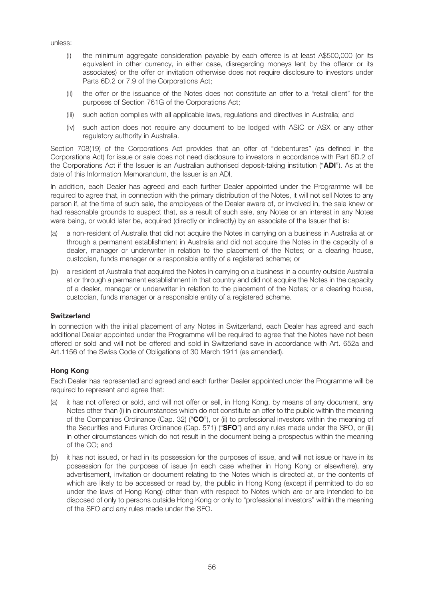unless:

- (i) the minimum aggregate consideration payable by each offeree is at least A\$500,000 (or its equivalent in other currency, in either case, disregarding moneys lent by the offeror or its associates) or the offer or invitation otherwise does not require disclosure to investors under Parts 6D.2 or 7.9 of the Corporations Act;
- (ii) the offer or the issuance of the Notes does not constitute an offer to a "retail client" for the purposes of Section 761G of the Corporations Act;
- (iii) such action complies with all applicable laws, regulations and directives in Australia; and
- (iv) such action does not require any document to be lodged with ASIC or ASX or any other regulatory authority in Australia.

Section 708(19) of the Corporations Act provides that an offer of "debentures" (as defined in the Corporations Act) for issue or sale does not need disclosure to investors in accordance with Part 6D.2 of the Corporations Act if the Issuer is an Australian authorised deposit-taking institution ("**ADI**"). As at the date of this Information Memorandum, the Issuer is an ADI.

In addition, each Dealer has agreed and each further Dealer appointed under the Programme will be required to agree that, in connection with the primary distribution of the Notes, it will not sell Notes to any person if, at the time of such sale, the employees of the Dealer aware of, or involved in, the sale knew or had reasonable grounds to suspect that, as a result of such sale, any Notes or an interest in any Notes were being, or would later be, acquired (directly or indirectly) by an associate of the Issuer that is:

- (a) a non-resident of Australia that did not acquire the Notes in carrying on a business in Australia at or through a permanent establishment in Australia and did not acquire the Notes in the capacity of a dealer, manager or underwriter in relation to the placement of the Notes; or a clearing house, custodian, funds manager or a responsible entity of a registered scheme; or
- (b) a resident of Australia that acquired the Notes in carrying on a business in a country outside Australia at or through a permanent establishment in that country and did not acquire the Notes in the capacity of a dealer, manager or underwriter in relation to the placement of the Notes; or a clearing house, custodian, funds manager or a responsible entity of a registered scheme.

#### **Switzerland**

In connection with the initial placement of any Notes in Switzerland, each Dealer has agreed and each additional Dealer appointed under the Programme will be required to agree that the Notes have not been offered or sold and will not be offered and sold in Switzerland save in accordance with Art. 652a and Art.1156 of the Swiss Code of Obligations of 30 March 1911 (as amended).

### **Hong Kong**

Each Dealer has represented and agreed and each further Dealer appointed under the Programme will be required to represent and agree that:

- (a) it has not offered or sold, and will not offer or sell, in Hong Kong, by means of any document, any Notes other than (i) in circumstances which do not constitute an offer to the public within the meaning of the Companies Ordinance (Cap. 32) ("**CO**"), or (ii) to professional investors within the meaning of the Securities and Futures Ordinance (Cap. 571) ("**SFO**") and any rules made under the SFO, or (iii) in other circumstances which do not result in the document being a prospectus within the meaning of the CO; and
- (b) it has not issued, or had in its possession for the purposes of issue, and will not issue or have in its possession for the purposes of issue (in each case whether in Hong Kong or elsewhere), any advertisement, invitation or document relating to the Notes which is directed at, or the contents of which are likely to be accessed or read by, the public in Hong Kong (except if permitted to do so under the laws of Hong Kong) other than with respect to Notes which are or are intended to be disposed of only to persons outside Hong Kong or only to "professional investors" within the meaning of the SFO and any rules made under the SFO.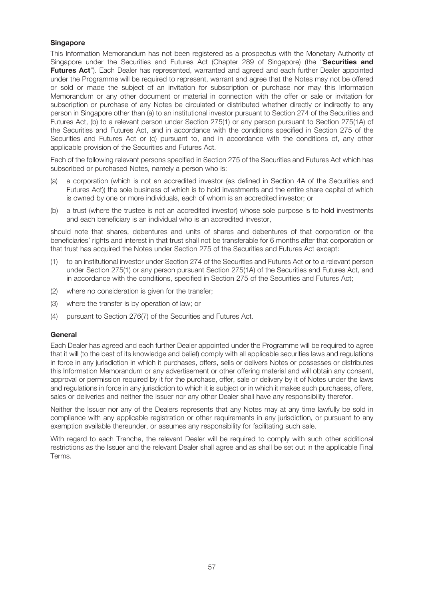### **Singapore**

This Information Memorandum has not been registered as a prospectus with the Monetary Authority of Singapore under the Securities and Futures Act (Chapter 289 of Singapore) (the "**Securities and Futures Act**"). Each Dealer has represented, warranted and agreed and each further Dealer appointed under the Programme will be required to represent, warrant and agree that the Notes may not be offered or sold or made the subject of an invitation for subscription or purchase nor may this Information Memorandum or any other document or material in connection with the offer or sale or invitation for subscription or purchase of any Notes be circulated or distributed whether directly or indirectly to any person in Singapore other than (a) to an institutional investor pursuant to Section 274 of the Securities and Futures Act, (b) to a relevant person under Section 275(1) or any person pursuant to Section 275(1A) of the Securities and Futures Act, and in accordance with the conditions specified in Section 275 of the Securities and Futures Act or (c) pursuant to, and in accordance with the conditions of, any other applicable provision of the Securities and Futures Act.

Each of the following relevant persons specified in Section 275 of the Securities and Futures Act which has subscribed or purchased Notes, namely a person who is:

- (a) a corporation (which is not an accredited investor (as defined in Section 4A of the Securities and Futures Act)) the sole business of which is to hold investments and the entire share capital of which is owned by one or more individuals, each of whom is an accredited investor; or
- (b) a trust (where the trustee is not an accredited investor) whose sole purpose is to hold investments and each beneficiary is an individual who is an accredited investor,

should note that shares, debentures and units of shares and debentures of that corporation or the beneficiaries' rights and interest in that trust shall not be transferable for 6 months after that corporation or that trust has acquired the Notes under Section 275 of the Securities and Futures Act except:

- (1) to an institutional investor under Section 274 of the Securities and Futures Act or to a relevant person under Section 275(1) or any person pursuant Section 275(1A) of the Securities and Futures Act, and in accordance with the conditions, specified in Section 275 of the Securities and Futures Act;
- (2) where no consideration is given for the transfer;
- (3) where the transfer is by operation of law; or
- (4) pursuant to Section 276(7) of the Securities and Futures Act.

### **General**

Each Dealer has agreed and each further Dealer appointed under the Programme will be required to agree that it will (to the best of its knowledge and belief) comply with all applicable securities laws and regulations in force in any jurisdiction in which it purchases, offers, sells or delivers Notes or possesses or distributes this Information Memorandum or any advertisement or other offering material and will obtain any consent, approval or permission required by it for the purchase, offer, sale or delivery by it of Notes under the laws and regulations in force in any jurisdiction to which it is subject or in which it makes such purchases, offers, sales or deliveries and neither the Issuer nor any other Dealer shall have any responsibility therefor.

Neither the Issuer nor any of the Dealers represents that any Notes may at any time lawfully be sold in compliance with any applicable registration or other requirements in any jurisdiction, or pursuant to any exemption available thereunder, or assumes any responsibility for facilitating such sale.

With regard to each Tranche, the relevant Dealer will be required to comply with such other additional restrictions as the Issuer and the relevant Dealer shall agree and as shall be set out in the applicable Final Terms.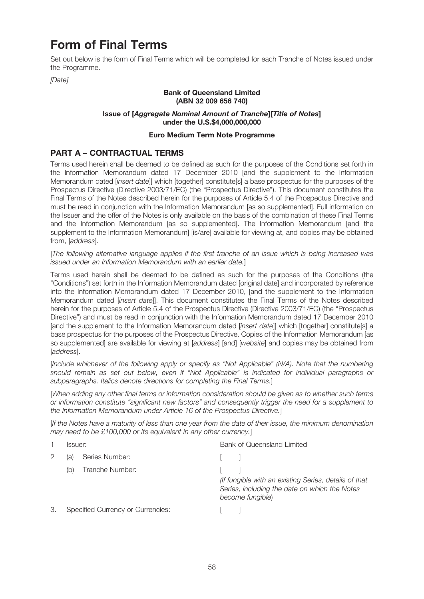# **Form of Final Terms**

Set out below is the form of Final Terms which will be completed for each Tranche of Notes issued under the Programme.

[Date]

# **Bank of Queensland Limited (ABN 32 009 656 740)**

#### **Issue of [Aggregate Nominal Amount of Tranche][Title of Notes] under the U.S.\$4,000,000,000**

### **Euro Medium Term Note Programme**

# **PART A – CONTRACTUAL TERMS**

Terms used herein shall be deemed to be defined as such for the purposes of the Conditions set forth in the Information Memorandum dated 17 December 2010 [and the supplement to the Information Memorandum dated [insert date]] which [together] constitute[s] a base prospectus for the purposes of the Prospectus Directive (Directive 2003/71/EC) (the "Prospectus Directive"). This document constitutes the Final Terms of the Notes described herein for the purposes of Article 5.4 of the Prospectus Directive and must be read in conjunction with the Information Memorandum [as so supplemented]. Full information on the Issuer and the offer of the Notes is only available on the basis of the combination of these Final Terms and the Information Memorandum [as so supplemented]. The Information Memorandum [and the supplement to the Information Memorandum] [is/are] available for viewing at, and copies may be obtained from, [address].

[The following alternative language applies if the first tranche of an issue which is being increased was issued under an Information Memorandum with an earlier date.]

Terms used herein shall be deemed to be defined as such for the purposes of the Conditions (the "Conditions") set forth in the Information Memorandum dated [original date] and incorporated by reference into the Information Memorandum dated 17 December 2010, [and the supplement to the Information Memorandum dated [insert date]]. This document constitutes the Final Terms of the Notes described herein for the purposes of Article 5.4 of the Prospectus Directive (Directive 2003/71/EC) (the "Prospectus Directive") and must be read in conjunction with the Information Memorandum dated 17 December 2010 [and the supplement to the Information Memorandum dated [insert date]] which [together] constitute[s] a base prospectus for the purposes of the Prospectus Directive. Copies of the Information Memorandum [as so supplemented] are available for viewing at [address] [and] [website] and copies may be obtained from [address].

[Include whichever of the following apply or specify as "Not Applicable" (N/A). Note that the numbering should remain as set out below, even if "Not Applicable" is indicated for individual paragraphs or subparagraphs. Italics denote directions for completing the Final Terms.]

[When adding any other final terms or information consideration should be given as to whether such terms or information constitute "significant new factors" and consequently trigger the need for a supplement to the Information Memorandum under Article 16 of the Prospectus Directive.]

[If the Notes have a maturity of less than one year from the date of their issue, the minimum denomination may need to be £100,000 or its equivalent in any other currency.

|    | Issuer: |                                          | Bank of Queensland Limited                                                                                                 |
|----|---------|------------------------------------------|----------------------------------------------------------------------------------------------------------------------------|
| 2  | (al     | Series Number:                           |                                                                                                                            |
|    | (b)     | Tranche Number:                          |                                                                                                                            |
|    |         |                                          | (If fungible with an existing Series, details of that<br>Series, including the date on which the Notes<br>become fungible) |
| З. |         | <b>Specified Currency or Currencies:</b> |                                                                                                                            |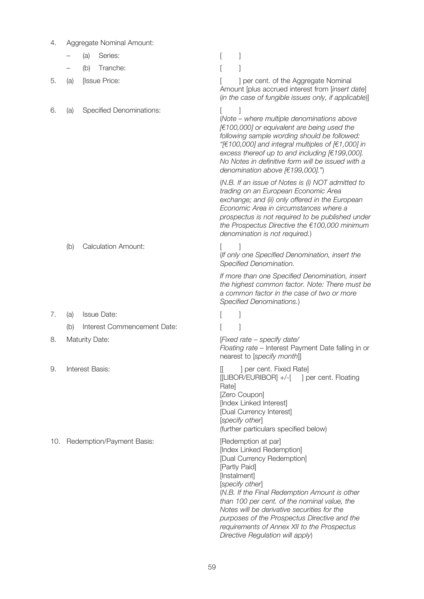| 4.  |                 | Aggregate Nominal Amount:       |                                                                                                                                                                                                                                                                                                                                                                                                                       |  |  |  |
|-----|-----------------|---------------------------------|-----------------------------------------------------------------------------------------------------------------------------------------------------------------------------------------------------------------------------------------------------------------------------------------------------------------------------------------------------------------------------------------------------------------------|--|--|--|
|     |                 | Series:<br>(a)                  |                                                                                                                                                                                                                                                                                                                                                                                                                       |  |  |  |
|     |                 | Tranche:<br>(b)                 |                                                                                                                                                                                                                                                                                                                                                                                                                       |  |  |  |
| 5.  | (a)             | [Issue Price:                   | ] per cent. of the Aggregate Nominal<br>Amount [plus accrued interest from [insert date]<br>(in the case of fungible issues only, if applicable)]                                                                                                                                                                                                                                                                     |  |  |  |
| 6.  | (a)             | <b>Specified Denominations:</b> | (Note – where multiple denominations above<br>[€100,000] or equivalent are being used the<br>following sample wording should be followed:<br>"[ $\in$ 100,000] and integral multiples of [ $\in$ 1,000] in<br>excess thereof up to and including $[€199,000]$ .<br>No Notes in definitive form will be issued with a<br>denomination above [€199,000].")                                                              |  |  |  |
|     |                 |                                 | (N.B. If an issue of Notes is (i) NOT admitted to<br>trading on an European Economic Area<br>exchange; and (ii) only offered in the European<br>Economic Area in circumstances where a<br>prospectus is not required to be published under<br>the Prospectus Directive the $€100,000$ minimum<br>denomination is not required.)                                                                                       |  |  |  |
|     | (b)             | <b>Calculation Amount:</b>      | (If only one Specified Denomination, insert the<br>Specified Denomination.                                                                                                                                                                                                                                                                                                                                            |  |  |  |
|     |                 |                                 | If more than one Specified Denomination, insert<br>the highest common factor. Note: There must be<br>a common factor in the case of two or more<br>Specified Denominations.)                                                                                                                                                                                                                                          |  |  |  |
| 7.  | (a)             | <b>Issue Date:</b>              |                                                                                                                                                                                                                                                                                                                                                                                                                       |  |  |  |
|     | (b)             | Interest Commencement Date:     |                                                                                                                                                                                                                                                                                                                                                                                                                       |  |  |  |
| 8.  |                 | <b>Maturity Date:</b>           | [Fixed rate – specify date/<br>Floating rate - Interest Payment Date falling in or<br>nearest to [specify month]]                                                                                                                                                                                                                                                                                                     |  |  |  |
| 9.  | Interest Basis: |                                 | ] per cent. Fixed Rate]<br>IL<br>[[LIBOR/EURIBOR] +/-[ ] per cent. Floating<br>Ratel<br>[Zero Coupon]<br>[Index Linked Interest]<br>[Dual Currency Interest]<br>[specify other]<br>(further particulars specified below)                                                                                                                                                                                              |  |  |  |
| 10. |                 | Redemption/Payment Basis:       | [Redemption at par]<br>[Index Linked Redemption]<br>[Dual Currency Redemption]<br>[Partly Paid]<br>[Instalment]<br>[specify other]<br>(N.B. If the Final Redemption Amount is other<br>than 100 per cent. of the nominal value, the<br>Notes will be derivative securities for the<br>purposes of the Prospectus Directive and the<br>requirements of Annex XII to the Prospectus<br>Directive Regulation will apply) |  |  |  |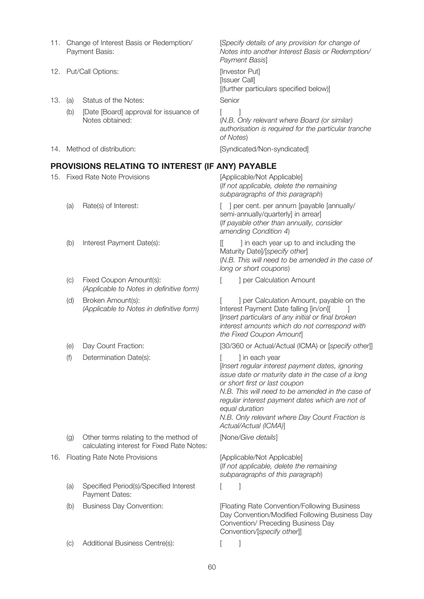- 11. Change of Interest Basis or Redemption/ [Specify details of any provision for change of Payment Basis:
- 12. Put/Call Options: **Example 2018** [Investor Put]
- 13. (a) Status of the Notes: Senior
	- (b) [Date [Board] approval for issuance of [ ] Notes obtained:

Notes into another Interest Basis or Redemption/ Payment Basis]

[Issuer Call] [(further particulars specified below)]

(N.B. Only relevant where Board (or similar) authorisation is required for the particular tranche of Notes)

14. Method of distribution: **intervalsion** [Syndicated/Non-syndicated]

## **PROVISIONS RELATING TO INTEREST (IF ANY) PAYABLE**

- 15. Fixed Rate Note Provisions [Applicable/Not Applicable]
	-
	-
	- (c) Fixed Coupon Amount(s): [ ] per Calculation Amount Fixed Coupon Amount(s): (Applicable to Notes in definitive form)
	- Broken Amount(s): (Applicable to Notes in definitive form)
	-
	- (f) Determination Date(s):  $\qquad \qquad$  [ ] in each year

- (g) Other terms relating to the method of [None/Give details] calculating interest for Fixed Rate Notes:
- 16. Floating Rate Note Provisions [Applicable/Not Applicable]
	- (a) Specified Period(s)/Specified Interest [  $\qquad$  ] Payment Dates:
	-
	- (c) Additional Business Centre(s): [ ]

(If not applicable, delete the remaining subparagraphs of this paragraph)

(a) Rate(s) of Interest:  $\qquad \qquad$  [ ] per cent. per annum [payable [annually/ semi-annually/quarterly] in arrear] (If payable other than annually, consider amending Condition 4)

(b) Interest Payment Date(s): [[ ] in each year up to and including the Maturity Date]/[specify other] (N.B. This will need to be amended in the case of long or short coupons)

I per Calculation Amount, payable on the Interest Payment Date falling [in/on][ ] [Insert particulars of any initial or final broken interest amounts which do not correspond with the Fixed Coupon Amount]

(e) Day Count Fraction: [30/360 or Actual/Actual (ICMA) or [specify other]]

[Insert regular interest payment dates, ignoring issue date or maturity date in the case of a long

or short first or last coupon N.B. This will need to be amended in the case of regular interest payment dates which are not of equal duration

N.B. Only relevant where Day Count Fraction is Actual/Actual (ICMA)]

(If not applicable, delete the remaining subparagraphs of this paragraph)

(b) Business Day Convention: [Floating Rate Convention/Following Business Day Convention/Modified Following Business Day Convention/ Preceding Business Day Convention/[specify other]]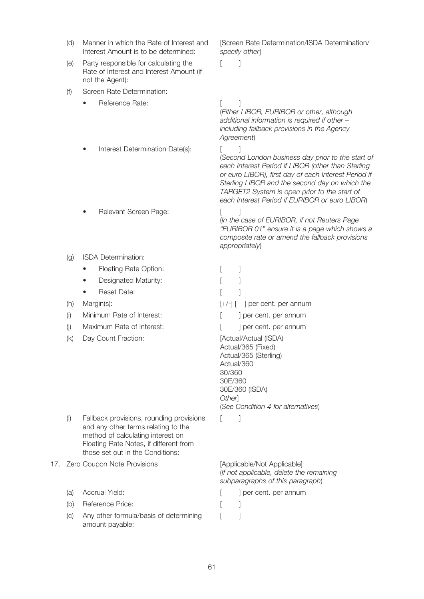- (d) Manner in which the Rate of Interest and [Screen Rate Determination/ISDA Determination/ Manner in which the Rate of Interest and Interest Amount is to be determined:
- (e) Party responsible for calculating the  $[$  ] Rate of Interest and Interest Amount (if not the Agent):
- (f) Screen Rate Determination:
	- **Property** Reference Rate:  $\begin{bmatrix} 1 & 1 \\ 1 & 1 \end{bmatrix}$
- specify other]

(Either LIBOR, EURIBOR or other, although additional information is required if other – including fallback provisions in the Agency Agreement)

- Interest Determination Date(s): [ ]
- **Provent Screen Page:** [ ]
- (g) ISDA Determination:
	- Floating Rate Option: [ ]
	- Designated Maturity: [ ]
	- Reset Date: [ ]
- 
- (i) Minimum Rate of Interest:  $\begin{bmatrix} \cdot & \cdot \\ \cdot & \cdot \end{bmatrix}$  per cent. per annum
- (i) Maximum Rate of Interest:  $\begin{bmatrix} 1 & 1 \\ 1 & 1 \end{bmatrix}$  per cent. per annum
- (k) Day Count Fraction: [Actual/Actual (ISDA)

(I) Fallback provisions, rounding provisions [ ] and any other terms relating to the method of calculating interest on Floating Rate Notes, if different from those set out in the Conditions:

### 17. Zero Coupon Note Provisions [Applicable/Not Applicable]

- 
- (b) Reference Price: [ ]
- (c) Any other formula/basis of determining [131] amount payable:

# each Interest Period if EURIBOR or euro LIBOR)

(In the case of EURIBOR, if not Reuters Page "EURIBOR 01" ensure it is a page which shows a composite rate or amend the fallback provisions appropriately)

(Second London business day prior to the start of each Interest Period if LIBOR (other than Sterling or euro LIBOR), first day of each Interest Period if Sterling LIBOR and the second day on which the TARGET2 System is open prior to the start of

(h) Margin(s): [+/-] [ ] per cent. per annum Actual/365 (Fixed) Actual/365 (Sterling) Actual/360 30/360 30E/360 30E/360 (ISDA) **Otherl** (See Condition 4 for alternatives)

(If not applicable, delete the remaining subparagraphs of this paragraph)

- (a) Accrual Yield:  $[$  ] per cent. per annum
	-
	-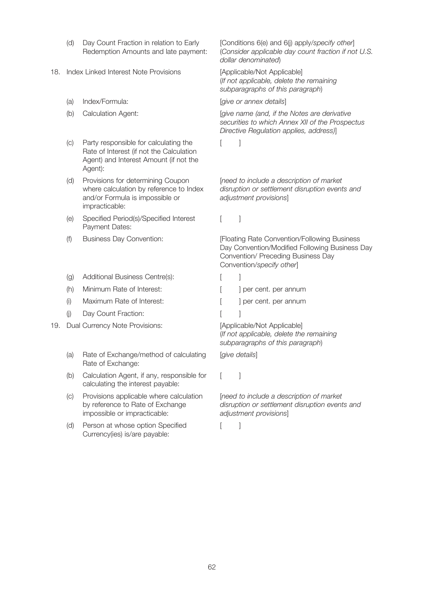- (d) Day Count Fraction in relation to Early Redemption Amounts and late payment:
- 18. Index Linked Interest Note Provisions [Applicable/Not Applicable]
	-
	-
	- $(c)$  Party responsible for calculating the  $[$  ] Rate of Interest (if not the Calculation Agent) and Interest Amount (if not the Agent):
	- (d) Provisions for determining Coupon where calculation by reference to Index and/or Formula is impossible or impracticable:
	- (e) Specified Period(s)/Specified Interest [ ] Payment Dates:
	-
	- (g) Additional Business Centre(s):
	- $(h)$  Minimum Rate of Interest:
	- $(i)$  Maximum Rate of Interest:
	- (i) Day Count Fraction:
- 19. Dual Currency Note Provisions: [Applicable/Not Applicable]
	- (a) Gate of Exchange/method of calculating [give details] Rate of Exchange:
	- (b) Calculation Agent, if any, responsible for  $\left[ \begin{array}{cc} \phantom{a} \end{array} \right]$ calculating the interest payable:
	- $(C)$ Provisions applicable where calculation by reference to Rate of Exchange impossible or impracticable:
	- (d) Person at whose option Specified [  $\qquad$  ] Currency(ies) is/are payable:

[Conditions 6(e) and 6(j) apply/specify other] (Consider applicable day count fraction if not U.S. dollar denominated)

(If not applicable, delete the remaining subparagraphs of this paragraph)

(a) Index/Formula:  $[give or annex details]$ 

(b) Calculation Agent: [give name (and, if the Notes are derivative securities to which Annex XII of the Prospectus Directive Regulation applies, address)]

[need to include a description of market disruption or settlement disruption events and adjustment provisions]

(f) Business Day Convention: [Floating Rate Convention/Following Business Day Convention/Modified Following Business Day Convention/ Preceding Business Day Convention/specify other]

| ] per cent. per annum |
|-----------------------|
| ] per cent. per annum |
|                       |

(If not applicable, delete the remaining subparagraphs of this paragraph)

[need to include a description of market disruption or settlement disruption events and adjustment provisions]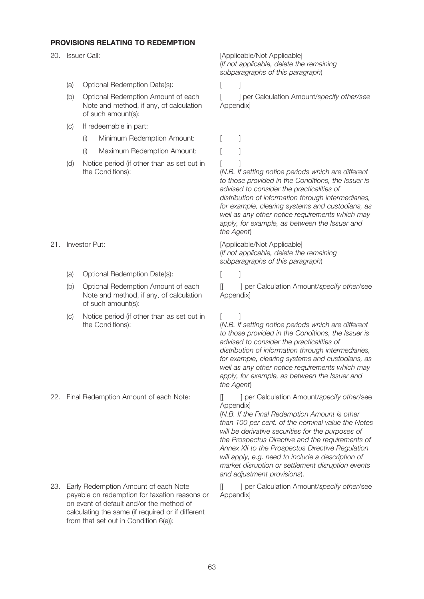## **PROVISIONS RELATING TO REDEMPTION**

#### (a) Optional Redemption Date(s): [ ]

- Optional Redemption Amount of each Note and method, if any, of calculation of such amount(s):
- (c) If redeemable in part:
	- (i) Minimum Redemption Amount:
	- (i) Maximum Redemption Amount:
- (d) [ ] Notice period (if other than as set out in the Conditions):

- - (a) Optional Redemption Date(s): [ ]
	- Optional Redemption Amount of each Note and method, if any, of calculation of such amount(s):
	- (c) Notice period (if other than as set out in  $\qquad \qquad [$   $]$ the Conditions):

23. Early Redemption Amount of each Note  $[[ \quad]$  per Calculation Amount/specify other/see payable on redemption for taxation reasons or on event of default and/or the method of calculating the same (if required or if different from that set out in Condition 6(e)):

20. Issuer Call: **Example 20. In the Call:** [Applicable/Not Applicable] (If not applicable, delete the remaining subparagraphs of this paragraph)

(b) Optional Redemption Amount of each [ ] per Calculation Amount/specify other/see Appendix]

| [ | ] |
|---|---|
| [ | 1 |
| г | ı |

(N.B. If setting notice periods which are different to those provided in the Conditions, the Issuer is advised to consider the practicalities of distribution of information through intermediaries, for example, clearing systems and custodians, as well as any other notice requirements which may apply, for example, as between the Issuer and the Agent)

21. Investor Put: [Applicable/Not Applicable] (If not applicable, delete the remaining subparagraphs of this paragraph)

(b) Optional Redemption Amount of each [100] per Calculation Amount/specify other/see Appendix]

(N.B. If setting notice periods which are different to those provided in the Conditions, the Issuer is advised to consider the practicalities of distribution of information through intermediaries, for example, clearing systems and custodians, as well as any other notice requirements which may apply, for example, as between the Issuer and the Agent)

22. Final Redemption Amount of each Note: [[ ] per Calculation Amount/specify other/see Appendix]

> (N.B. If the Final Redemption Amount is other than 100 per cent. of the nominal value the Notes will be derivative securities for the purposes of the Prospectus Directive and the requirements of Annex XII to the Prospectus Directive Regulation will apply, e.g. need to include a description of market disruption or settlement disruption events and adjustment provisions).

Appendix]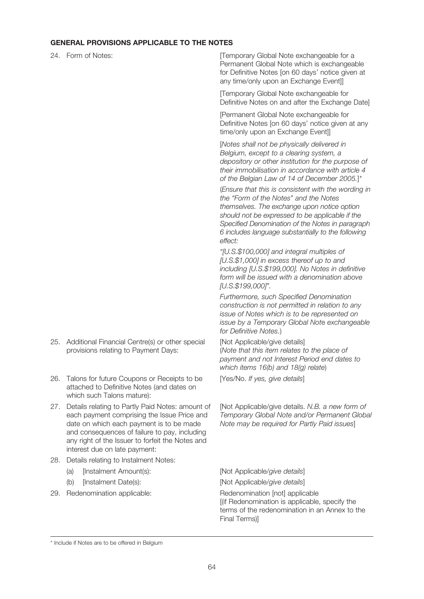### **GENERAL PROVISIONS APPLICABLE TO THE NOTES**

24. Form of Notes:  $[Temperature]$  [Temporary Global Note exchangeable for a Permanent Global Note which is exchangeable for Definitive Notes [on 60 days' notice given at any time/only upon an Exchange Event]]

> [Temporary Global Note exchangeable for Definitive Notes on and after the Exchange Date]

[Permanent Global Note exchangeable for Definitive Notes [on 60 days' notice given at any time/only upon an Exchange Event]]

[Notes shall not be physically delivered in Belgium, except to a clearing system, a depository or other institution for the purpose of their immobilisation in accordance with article 4 of the Belgian Law of 14 of December 2005.1\*

(Ensure that this is consistent with the wording in the "Form of the Notes" and the Notes themselves. The exchange upon notice option should not be expressed to be applicable if the Specified Denomination of the Notes in paragraph 6 includes language substantially to the following effect:

"[U.S.\$100,000] and integral multiples of [U.S.\$1,000] in excess thereof up to and including [U.S.\$199,000]. No Notes in definitive form will be issued with a denomination above [U.S.\$199,000]".

Furthermore, such Specified Denomination construction is not permitted in relation to any issue of Notes which is to be represented on issue by a Temporary Global Note exchangeable for Definitive Notes.)

25. Additional Financial Centre(s) or other special [Not Applicable/give details] (Note that this item relates to the place of payment and not Interest Period end dates to which items 16(b) and 18(g) relate)

26. Talons for future Coupons or Receipts to be [Yes/No. If yes, give details]

[Not Applicable/give details. N.B. a new form of Temporary Global Note and/or Permanent Global Note may be required for Partly Paid issues]

28. Details relating to Instalment Notes:

27. Details relating to Partly Paid Notes: amount of

attached to Definitive Notes (and dates on

provisions relating to Payment Days:

each payment comprising the Issue Price and date on which each payment is to be made and consequences of failure to pay, including any right of the Issuer to forfeit the Notes and

(a) [Instalment Amount(s): [Not Applicable/give details]

interest due on late payment:

which such Talons mature):

29. Redenomination applicable: Redenomination [not] applicable

(b) [Instalment Date(s): [Not Applicable/give details]

[(if Redenomination is applicable, specify the terms of the redenomination in an Annex to the Final Terms)]

<sup>\*</sup> Include if Notes are to be offered in Belgium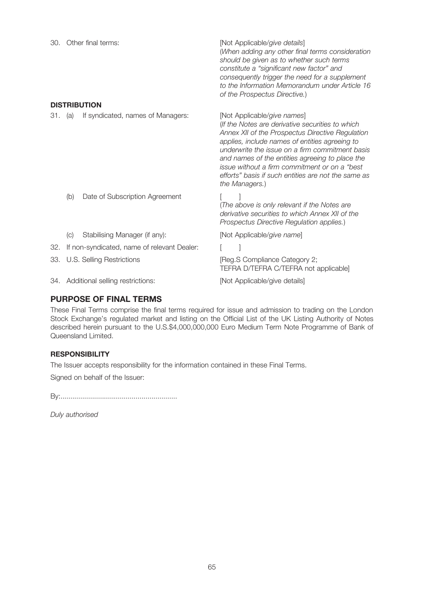|         |                                             | 30. Other final terms:               | [Not Applicable/give details]<br>(When adding any other final terms consideration<br>should be given as to whether such terms<br>constitute a "significant new factor" and<br>consequently trigger the need for a supplement<br>to the Information Memorandum under Article 16<br>of the Prospectus Directive.)                                                                                                        |
|---------|---------------------------------------------|--------------------------------------|------------------------------------------------------------------------------------------------------------------------------------------------------------------------------------------------------------------------------------------------------------------------------------------------------------------------------------------------------------------------------------------------------------------------|
|         |                                             | <b>DISTRIBUTION</b>                  |                                                                                                                                                                                                                                                                                                                                                                                                                        |
| 31. (a) |                                             | If syndicated, names of Managers:    | [Not Applicable/give names]<br>(If the Notes are derivative securities to which<br>Annex XII of the Prospectus Directive Regulation<br>applies, include names of entities agreeing to<br>underwrite the issue on a firm commitment basis<br>and names of the entities agreeing to place the<br>issue without a firm commitment or on a "best"<br>efforts" basis if such entities are not the same as<br>the Managers.) |
|         | (b)                                         | Date of Subscription Agreement       | (The above is only relevant if the Notes are<br>derivative securities to which Annex XII of the<br>Prospectus Directive Regulation applies.)                                                                                                                                                                                                                                                                           |
|         | (C)                                         | Stabilising Manager (if any):        | [Not Applicable/give name]                                                                                                                                                                                                                                                                                                                                                                                             |
| 32.     | If non-syndicated, name of relevant Dealer: |                                      |                                                                                                                                                                                                                                                                                                                                                                                                                        |
| 33.     |                                             | U.S. Selling Restrictions            | [Reg.S Compliance Category 2;<br>TEFRA D/TEFRA C/TEFRA not applicable]                                                                                                                                                                                                                                                                                                                                                 |
|         |                                             | 34. Additional selling restrictions: | [Not Applicable/give details]                                                                                                                                                                                                                                                                                                                                                                                          |

# **PURPOSE OF FINAL TERMS**

These Final Terms comprise the final terms required for issue and admission to trading on the London Stock Exchange's regulated market and listing on the Official List of the UK Listing Authority of Notes described herein pursuant to the U.S.\$4,000,000,000 Euro Medium Term Note Programme of Bank of Queensland Limited.

# **RESPONSIBILITY**

The Issuer accepts responsibility for the information contained in these Final Terms.

Signed on behalf of the Issuer:

By:...........................................................

Duly authorised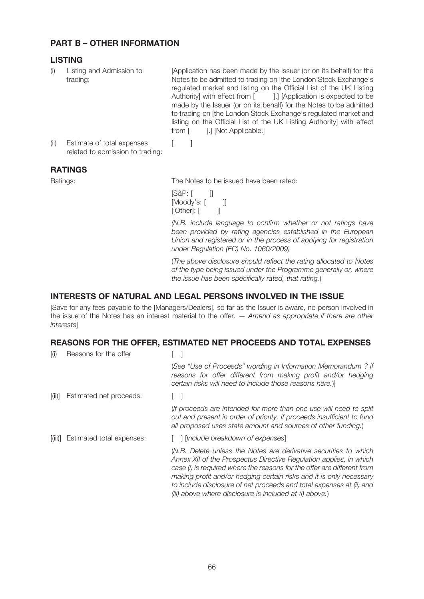# **PART B – OTHER INFORMATION**

# **LISTING**

Listing and Admission to trading:

[Application has been made by the Issuer (or on its behalf) for the Notes to be admitted to trading on [the London Stock Exchange's regulated market and listing on the Official List of the UK Listing Authority] with effect from [ ].] [Application is expected to be made by the Issuer (or on its behalf) for the Notes to be admitted to trading on [the London Stock Exchange's regulated market and listing on the Official List of the UK Listing Authority] with effect from [ ].] [Not Applicable.]

(ii) Estimate of total expenses [ ] related to admission to trading:

# **RATINGS**

Ratings: The Notes to be issued have been rated:

[S&P: [ ]] [Moody's: [ ]]<br>[[Other]: [ ]] [[Other]: [

(N.B. include language to confirm whether or not ratings have been provided by rating agencies established in the European Union and registered or in the process of applying for registration under Regulation (EC) No. 1060/2009)

(The above disclosure should reflect the rating allocated to Notes of the type being issued under the Programme generally or, where the issue has been specifically rated, that rating.)

# **INTERESTS OF NATURAL AND LEGAL PERSONS INVOLVED IN THE ISSUE**

[Save for any fees payable to the [Managers/Dealers], so far as the Issuer is aware, no person involved in the issue of the Notes has an interest material to the offer.  $-$  Amend as appropriate if there are other interests]

## **REASONS FOR THE OFFER, ESTIMATED NET PROCEEDS AND TOTAL EXPENSES**

| $\overline{I}(i)$ | Reasons for the offer     |                                                                                                                                                                                                                                                                                                                                                                                                                             |
|-------------------|---------------------------|-----------------------------------------------------------------------------------------------------------------------------------------------------------------------------------------------------------------------------------------------------------------------------------------------------------------------------------------------------------------------------------------------------------------------------|
|                   |                           | (See "Use of Proceeds" wording in Information Memorandum? if<br>reasons for offer different from making profit and/or hedging<br>certain risks will need to include those reasons here.)                                                                                                                                                                                                                                    |
| [(ii)]            | Estimated net proceeds:   |                                                                                                                                                                                                                                                                                                                                                                                                                             |
|                   |                           | (If proceeds are intended for more than one use will need to split<br>out and present in order of priority. If proceeds insufficient to fund<br>all proposed uses state amount and sources of other funding.)                                                                                                                                                                                                               |
| [(iii)]           | Estimated total expenses: | [Include breakdown of expenses]                                                                                                                                                                                                                                                                                                                                                                                             |
|                   |                           | (N.B. Delete unless the Notes are derivative securities to which<br>Annex XII of the Prospectus Directive Regulation applies, in which<br>case (i) is required where the reasons for the offer are different from<br>making profit and/or hedging certain risks and it is only necessary<br>to include disclosure of net proceeds and total expenses at (ii) and<br>(iii) above where disclosure is included at (i) above.) |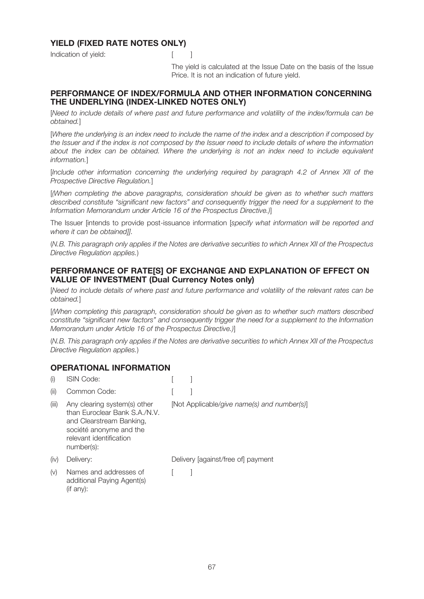# **YIELD (FIXED RATE NOTES ONLY)**

Indication of vield: The Contraction of vield:



The yield is calculated at the Issue Date on the basis of the Issue Price. It is not an indication of future yield.

# **PERFORMANCE OF INDEX/FORMULA AND OTHER INFORMATION CONCERNING THE UNDERLYING (INDEX-LINKED NOTES ONLY)**

[Need to include details of where past and future performance and volatility of the index/formula can be obtained.]

[Where the underlying is an index need to include the name of the index and a description if composed by the Issuer and if the index is not composed by the Issuer need to include details of where the information about the index can be obtained. Where the underlying is not an index need to include equivalent information.]

[Include other information concerning the underlying required by paragraph 4.2 of Annex XII of the Prospective Directive Regulation.]

[(When completing the above paragraphs, consideration should be given as to whether such matters described constitute "significant new factors" and consequently trigger the need for a supplement to the Information Memorandum under Article 16 of the Prospectus Directive.)]

The Issuer [intends to provide post-issuance information [specify what information will be reported and where it can be obtained]].

(N.B. This paragraph only applies if the Notes are derivative securities to which Annex XII of the Prospectus Directive Regulation applies.)

### **PERFORMANCE OF RATE[S] OF EXCHANGE AND EXPLANATION OF EFFECT ON VALUE OF INVESTMENT (Dual Currency Notes only)**

[Need to include details of where past and future performance and volatility of the relevant rates can be obtained.]

[(When completing this paragraph, consideration should be given as to whether such matters described constitute "significant new factors" and consequently trigger the need for a supplement to the Information Memorandum under Article 16 of the Prospectus Directive.)]

(N.B. This paragraph only applies if the Notes are derivative securities to which Annex XII of the Prospectus Directive Regulation applies.)

## **OPERATIONAL INFORMATION**

| (i)   | <b>ISIN Code:</b>                                                                                                                                             |                                             |
|-------|---------------------------------------------------------------------------------------------------------------------------------------------------------------|---------------------------------------------|
| (iii) | Common Code:                                                                                                                                                  |                                             |
| (iii) | Any clearing system(s) other<br>than Euroclear Bank S.A./N.V.<br>and Clearstream Banking,<br>société anonyme and the<br>relevant identification<br>number(s): | [Not Applicable/give name(s) and number(s)] |
| (iv)  | Delivery:                                                                                                                                                     | Delivery [against/free of] payment          |
| (v)   | Names and addresses of<br>additional Paying Agent(s)<br>(if any):                                                                                             |                                             |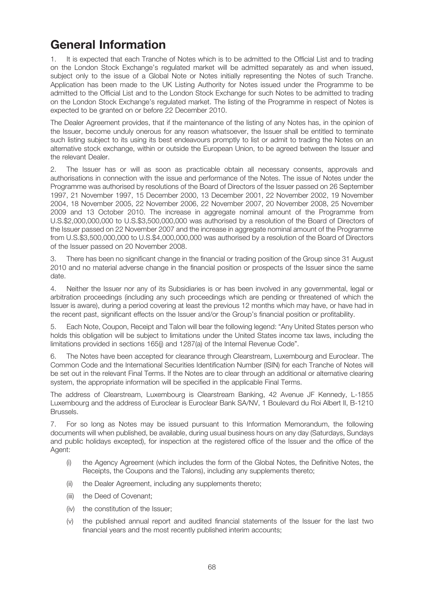# **General Information**

1. It is expected that each Tranche of Notes which is to be admitted to the Official List and to trading on the London Stock Exchange's regulated market will be admitted separately as and when issued, subject only to the issue of a Global Note or Notes initially representing the Notes of such Tranche. Application has been made to the UK Listing Authority for Notes issued under the Programme to be admitted to the Official List and to the London Stock Exchange for such Notes to be admitted to trading on the London Stock Exchange's regulated market. The listing of the Programme in respect of Notes is expected to be granted on or before 22 December 2010.

The Dealer Agreement provides, that if the maintenance of the listing of any Notes has, in the opinion of the Issuer, become unduly onerous for any reason whatsoever, the Issuer shall be entitled to terminate such listing subject to its using its best endeavours promptly to list or admit to trading the Notes on an alternative stock exchange, within or outside the European Union, to be agreed between the Issuer and the relevant Dealer.

2. The Issuer has or will as soon as practicable obtain all necessary consents, approvals and authorisations in connection with the issue and performance of the Notes. The issue of Notes under the Programme was authorised by resolutions of the Board of Directors of the Issuer passed on 26 September 1997, 21 November 1997, 15 December 2000, 13 December 2001, 22 November 2002, 19 November 2004, 18 November 2005, 22 November 2006, 22 November 2007, 20 November 2008, 25 November 2009 and 13 October 2010. The increase in aggregate nominal amount of the Programme from U.S.\$2,000,000,000 to U.S.\$3,500,000,000 was authorised by a resolution of the Board of Directors of the Issuer passed on 22 November 2007 and the increase in aggregate nominal amount of the Programme from U.S.\$3,500,000,000 to U.S.\$4,000,000,000 was authorised by a resolution of the Board of Directors of the Issuer passed on 20 November 2008.

3. There has been no significant change in the financial or trading position of the Group since 31 August 2010 and no material adverse change in the financial position or prospects of the Issuer since the same date.

4. Neither the Issuer nor any of its Subsidiaries is or has been involved in any governmental, legal or arbitration proceedings (including any such proceedings which are pending or threatened of which the Issuer is aware), during a period covering at least the previous 12 months which may have, or have had in the recent past, significant effects on the Issuer and/or the Group's financial position or profitability.

5. Each Note, Coupon, Receipt and Talon will bear the following legend: "Any United States person who holds this obligation will be subject to limitations under the United States income tax laws, including the limitations provided in sections 165(j) and 1287(a) of the Internal Revenue Code".

6. The Notes have been accepted for clearance through Clearstream, Luxembourg and Euroclear. The Common Code and the International Securities Identification Number (ISIN) for each Tranche of Notes will be set out in the relevant Final Terms. If the Notes are to clear through an additional or alternative clearing system, the appropriate information will be specified in the applicable Final Terms.

The address of Clearstream, Luxembourg is Clearstream Banking, 42 Avenue JF Kennedy, L-1855 Luxembourg and the address of Euroclear is Euroclear Bank SA/NV, 1 Boulevard du Roi Albert II, B-1210 Brussels.

7. For so long as Notes may be issued pursuant to this Information Memorandum, the following documents will when published, be available, during usual business hours on any day (Saturdays, Sundays and public holidays excepted), for inspection at the registered office of the Issuer and the office of the Agent:

- (i) the Agency Agreement (which includes the form of the Global Notes, the Definitive Notes, the Receipts, the Coupons and the Talons), including any supplements thereto;
- (ii) the Dealer Agreement, including any supplements thereto;
- (iii) the Deed of Covenant;
- (iv) the constitution of the Issuer;
- (v) the published annual report and audited financial statements of the Issuer for the last two financial years and the most recently published interim accounts;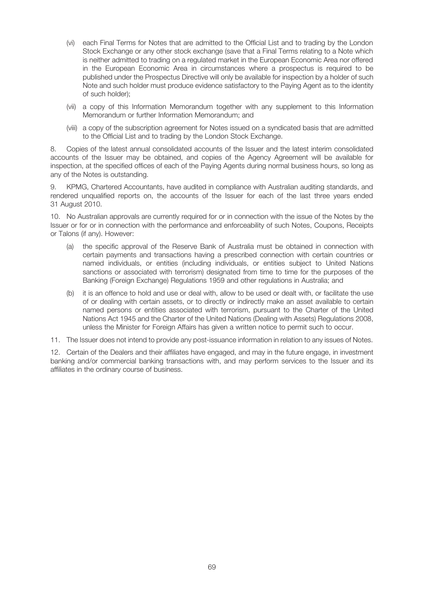- (vi) each Final Terms for Notes that are admitted to the Official List and to trading by the London Stock Exchange or any other stock exchange (save that a Final Terms relating to a Note which is neither admitted to trading on a regulated market in the European Economic Area nor offered in the European Economic Area in circumstances where a prospectus is required to be published under the Prospectus Directive will only be available for inspection by a holder of such Note and such holder must produce evidence satisfactory to the Paying Agent as to the identity of such holder);
- (vii) a copy of this Information Memorandum together with any supplement to this Information Memorandum or further Information Memorandum; and
- (viii) a copy of the subscription agreement for Notes issued on a syndicated basis that are admitted to the Official List and to trading by the London Stock Exchange.

8. Copies of the latest annual consolidated accounts of the Issuer and the latest interim consolidated accounts of the Issuer may be obtained, and copies of the Agency Agreement will be available for inspection, at the specified offices of each of the Paying Agents during normal business hours, so long as any of the Notes is outstanding.

9. KPMG, Chartered Accountants, have audited in compliance with Australian auditing standards, and rendered unqualified reports on, the accounts of the Issuer for each of the last three years ended 31 August 2010.

10. No Australian approvals are currently required for or in connection with the issue of the Notes by the Issuer or for or in connection with the performance and enforceability of such Notes, Coupons, Receipts or Talons (if any). However:

- (a) the specific approval of the Reserve Bank of Australia must be obtained in connection with certain payments and transactions having a prescribed connection with certain countries or named individuals, or entities (including individuals, or entities subject to United Nations sanctions or associated with terrorism) designated from time to time for the purposes of the Banking (Foreign Exchange) Regulations 1959 and other regulations in Australia; and
- (b) it is an offence to hold and use or deal with, allow to be used or dealt with, or facilitate the use of or dealing with certain assets, or to directly or indirectly make an asset available to certain named persons or entities associated with terrorism, pursuant to the Charter of the United Nations Act 1945 and the Charter of the United Nations (Dealing with Assets) Regulations 2008, unless the Minister for Foreign Affairs has given a written notice to permit such to occur.
- 11. The Issuer does not intend to provide any post-issuance information in relation to any issues of Notes.

12. Certain of the Dealers and their affiliates have engaged, and may in the future engage, in investment banking and/or commercial banking transactions with, and may perform services to the Issuer and its affiliates in the ordinary course of business.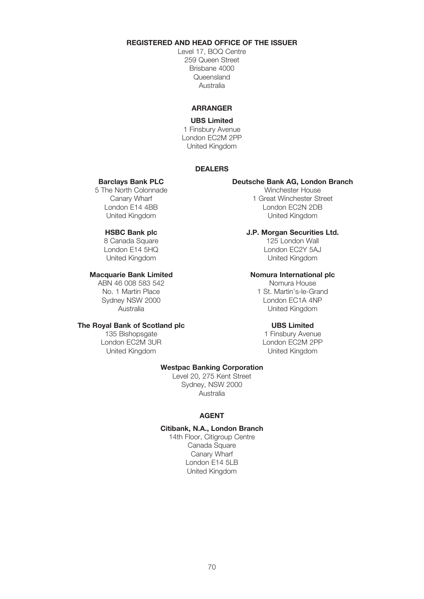## **REGISTERED AND HEAD OFFICE OF THE ISSUER**

Level 17, BOQ Centre 259 Queen Street Brisbane 4000 Queensland Australia

### **ARRANGER**

#### **UBS Limited**

1 Finsbury Avenue London EC2M 2PP United Kingdom

### **DEALERS**

5 The North Colonnade<br>Canary Wharf

8 Canada Square<br>London E14 5HQ

Sydney NSW 2000

# **The Royal Bank of Scotland plc UBS Limited**

London EC2M 3UR United Kingdom United Kingdom

# **Barclays Bank PLC Deutsche Bank AG, London Branch**

Canary Wharf 1 Great Winchester Street<br>
1 Great Winchester Street<br>
1 Great Minchester Street<br>
1 Great Minchester Street London E14 4BB London EC2N 2DB United Kingdom

# **HSBC Bank plc J.P. Morgan Securities Ltd.**

London E14 5HQ<br>
United Kingdom<br>
United Kingdom United Kingdom United Kingdom

#### **Macquarie Bank Limited Nomura International plc**

ABN 46 008 583 542<br>Nomura House<br>1 St. Martin's-le-Grand 1 St. Martin's-le-Grand 1 St. 1 St. Martin's-le-Grand<br>London EC1A 4NP Australia United Kingdom

135 Bishopsgate 135 Bishopsgate 1 Finsbury Avenue<br>
1 Finsbury Avenue<br>
1 London EC2M 3UR

#### **Westpac Banking Corporation**

Level 20, 275 Kent Street Sydney, NSW 2000 Australia

#### **AGENT**

### **Citibank, N.A., London Branch**

14th Floor, Citigroup Centre Canada Square Canary Wharf London E14 5LB United Kingdom